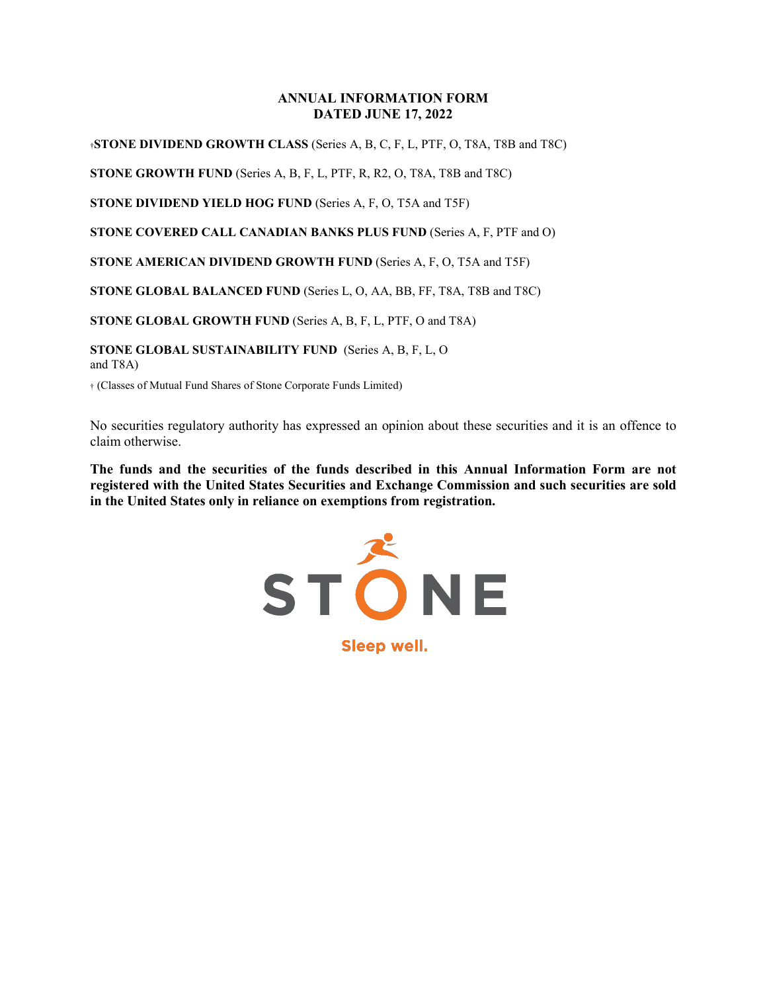#### **ANNUAL INFORMATION FORM DATED JUNE 17, 2022**

†**STONE DIVIDEND GROWTH CLASS** (Series A, B, C, F, L, PTF, O, T8A, T8B and T8C)

**STONE GROWTH FUND** (Series A, B, F, L, PTF, R, R2, O, T8A, T8B and T8C)

**STONE DIVIDEND YIELD HOG FUND** (Series A, F, O, T5A and T5F)

**STONE COVERED CALL CANADIAN BANKS PLUS FUND** (Series A, F, PTF and O)

**STONE AMERICAN DIVIDEND GROWTH FUND** (Series A, F, O, T5A and T5F)

**STONE GLOBAL BALANCED FUND** (Series L, O, AA, BB, FF, T8A, T8B and T8C)

**STONE GLOBAL GROWTH FUND** (Series A, B, F, L, PTF, O and T8A)

**STONE GLOBAL SUSTAINABILITY FUND** (Series A, B, F, L, O and T8A)

† (Classes of Mutual Fund Shares of Stone Corporate Funds Limited)

No securities regulatory authority has expressed an opinion about these securities and it is an offence to claim otherwise.

**The funds and the securities of the funds described in this Annual Information Form are not registered with the United States Securities and Exchange Commission and such securities are sold in the United States only in reliance on exemptions from registration.**



Sleep well.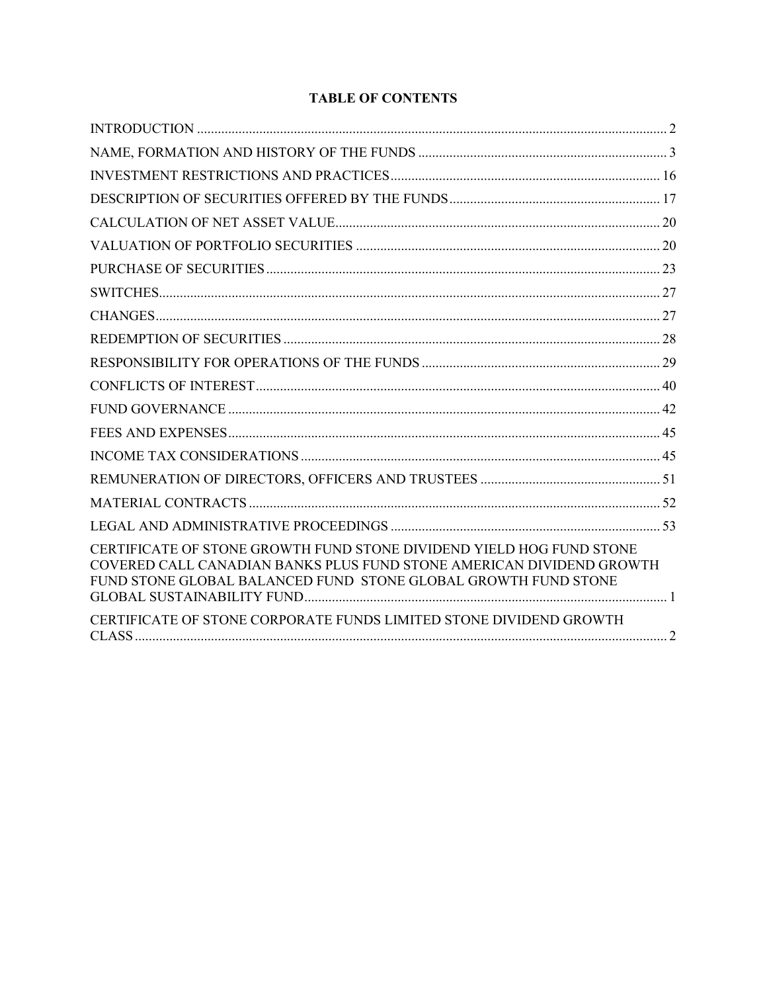# **TABLE OF CONTENTS**

| CERTIFICATE OF STONE GROWTH FUND STONE DIVIDEND YIELD HOG FUND STONE<br>COVERED CALL CANADIAN BANKS PLUS FUND STONE AMERICAN DIVIDEND GROWTH<br>FUND STONE GLOBAL BALANCED FUND STONE GLOBAL GROWTH FUND STONE |
|----------------------------------------------------------------------------------------------------------------------------------------------------------------------------------------------------------------|
| CERTIFICATE OF STONE CORPORATE FUNDS LIMITED STONE DIVIDEND GROWTH                                                                                                                                             |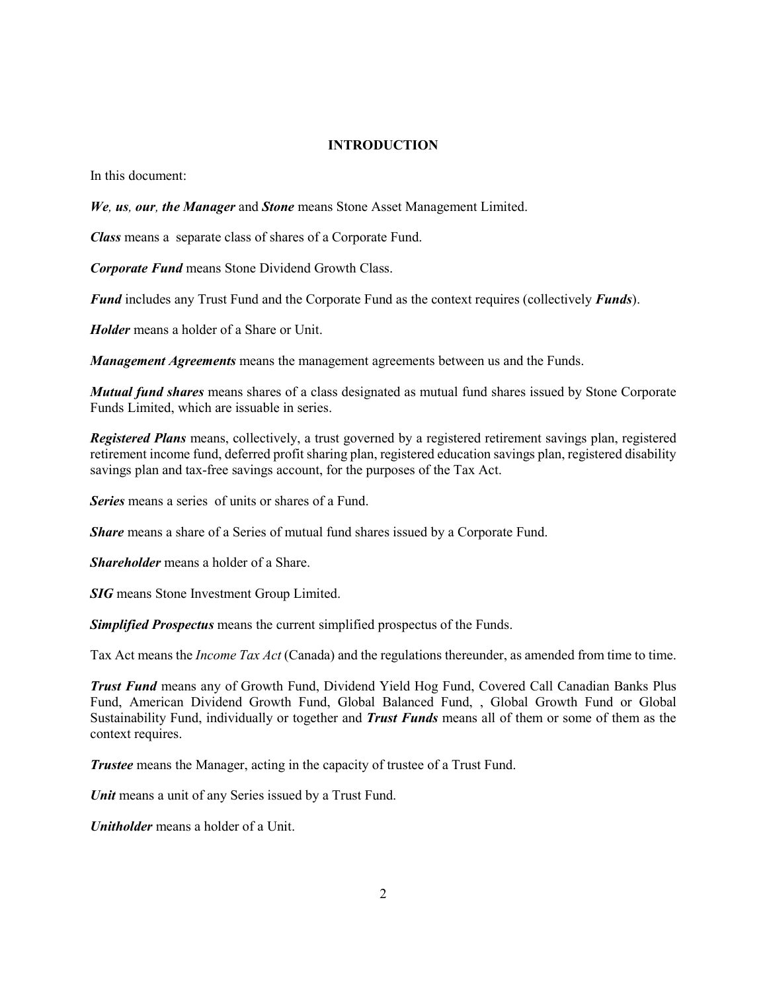#### **INTRODUCTION**

<span id="page-2-0"></span>In this document:

*We, us, our, the Manager* and *Stone* means Stone Asset Management Limited.

*Class* means a separate class of shares of a Corporate Fund.

*Corporate Fund* means Stone Dividend Growth Class.

*Fund* includes any Trust Fund and the Corporate Fund as the context requires (collectively *Funds*).

*Holder* means a holder of a Share or Unit.

*Management Agreements* means the management agreements between us and the Funds.

*Mutual fund shares* means shares of a class designated as mutual fund shares issued by Stone Corporate Funds Limited, which are issuable in series.

*Registered Plans* means, collectively, a trust governed by a registered retirement savings plan, registered retirement income fund, deferred profit sharing plan, registered education savings plan, registered disability savings plan and tax-free savings account, for the purposes of the Tax Act.

*Series* means a series of units or shares of a Fund.

*Share* means a share of a Series of mutual fund shares issued by a Corporate Fund.

*Shareholder* means a holder of a Share.

*SIG* means Stone Investment Group Limited.

*Simplified Prospectus* means the current simplified prospectus of the Funds.

Tax Act means the *Income Tax Act* (Canada) and the regulations thereunder, as amended from time to time.

*Trust Fund* means any of Growth Fund, Dividend Yield Hog Fund, Covered Call Canadian Banks Plus Fund, American Dividend Growth Fund, Global Balanced Fund, , Global Growth Fund or Global Sustainability Fund, individually or together and *Trust Funds* means all of them or some of them as the context requires.

*Trustee* means the Manager, acting in the capacity of trustee of a Trust Fund.

*Unit* means a unit of any Series issued by a Trust Fund.

*Unitholder* means a holder of a Unit.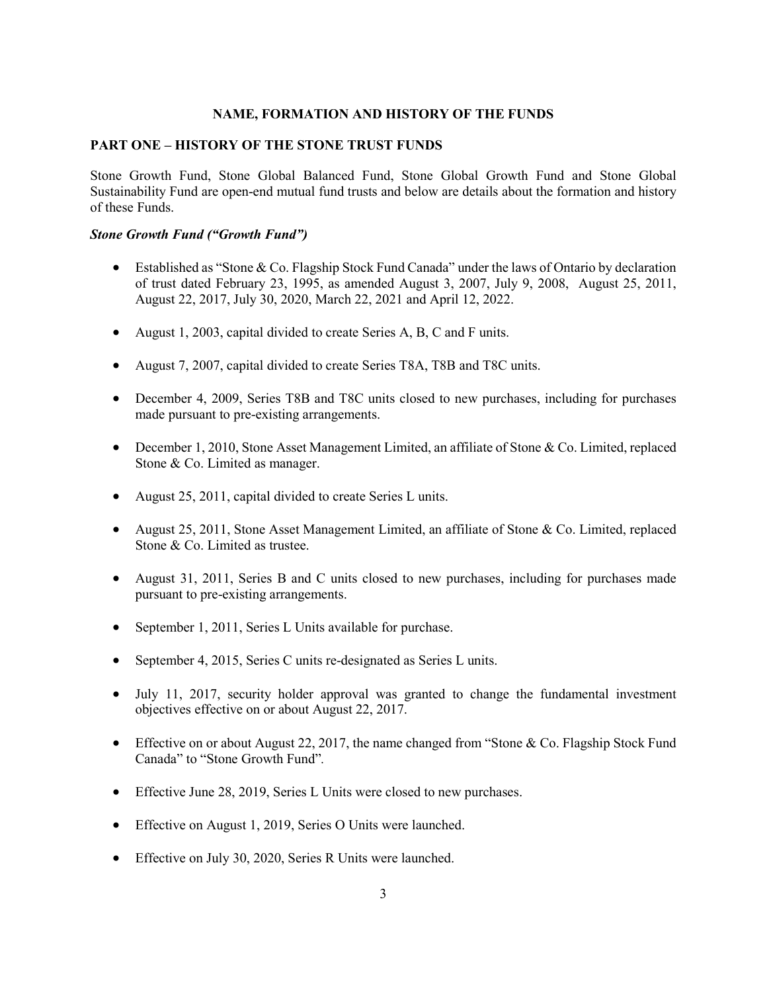#### **NAME, FORMATION AND HISTORY OF THE FUNDS**

## <span id="page-3-0"></span>**PART ONE – HISTORY OF THE STONE TRUST FUNDS**

Stone Growth Fund, Stone Global Balanced Fund, Stone Global Growth Fund and Stone Global Sustainability Fund are open-end mutual fund trusts and below are details about the formation and history of these Funds.

### *Stone Growth Fund ("Growth Fund")*

- Established as "Stone & Co. Flagship Stock Fund Canada" under the laws of Ontario by declaration of trust dated February 23, 1995, as amended August 3, 2007, July 9, 2008, August 25, 2011, August 22, 2017, July 30, 2020, March 22, 2021 and April 12, 2022.
- August 1, 2003, capital divided to create Series A, B, C and F units.
- August 7, 2007, capital divided to create Series T8A, T8B and T8C units.
- December 4, 2009, Series T8B and T8C units closed to new purchases, including for purchases made pursuant to pre-existing arrangements.
- December 1, 2010, Stone Asset Management Limited, an affiliate of Stone & Co. Limited, replaced Stone & Co. Limited as manager.
- August 25, 2011, capital divided to create Series L units.
- August 25, 2011, Stone Asset Management Limited, an affiliate of Stone & Co. Limited, replaced Stone & Co. Limited as trustee.
- August 31, 2011, Series B and C units closed to new purchases, including for purchases made pursuant to pre-existing arrangements.
- September 1, 2011, Series L Units available for purchase.
- September 4, 2015, Series C units re-designated as Series L units.
- July 11, 2017, security holder approval was granted to change the fundamental investment objectives effective on or about August 22, 2017.
- Effective on or about August 22, 2017, the name changed from "Stone & Co. Flagship Stock Fund Canada" to "Stone Growth Fund"*.*
- Effective June 28, 2019, Series L Units were closed to new purchases.
- Effective on August 1, 2019, Series O Units were launched.
- Effective on July 30, 2020, Series R Units were launched.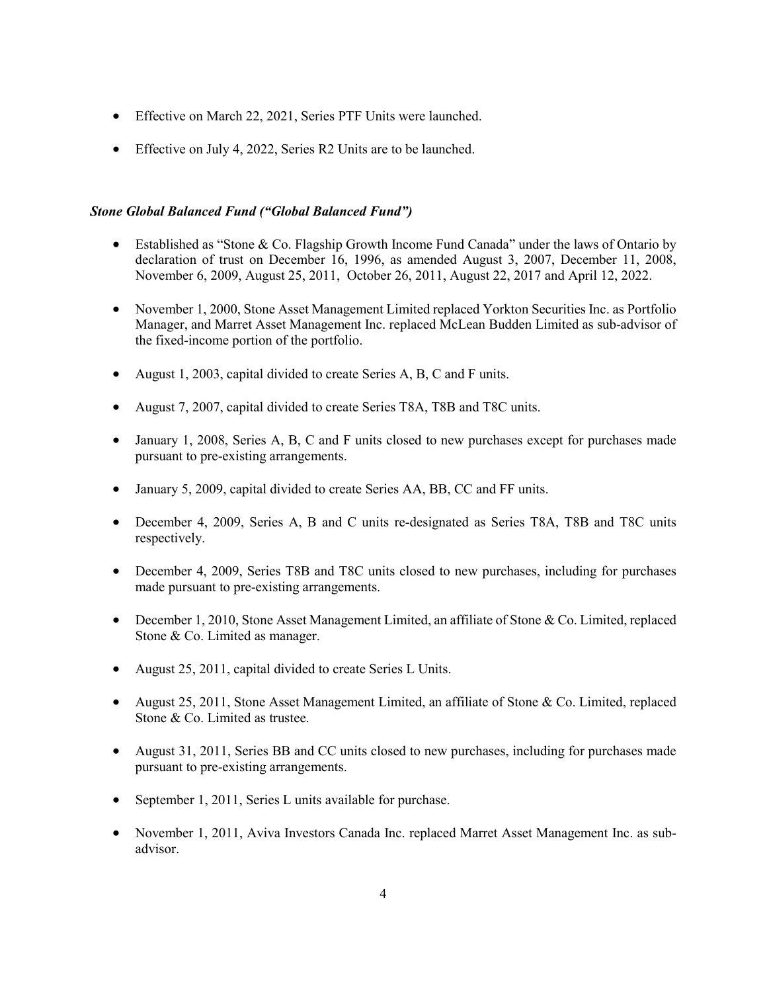- Effective on March 22, 2021, Series PTF Units were launched.
- Effective on July 4, 2022, Series R2 Units are to be launched.

### *Stone Global Balanced Fund ("Global Balanced Fund")*

- Established as "Stone & Co. Flagship Growth Income Fund Canada" under the laws of Ontario by declaration of trust on December 16, 1996, as amended August 3, 2007, December 11, 2008, November 6, 2009, August 25, 2011, October 26, 2011, August 22, 2017 and April 12, 2022.
- November 1, 2000, Stone Asset Management Limited replaced Yorkton Securities Inc. as Portfolio Manager, and Marret Asset Management Inc. replaced McLean Budden Limited as sub-advisor of the fixed-income portion of the portfolio.
- August 1, 2003, capital divided to create Series A, B, C and F units.
- August 7, 2007, capital divided to create Series T8A, T8B and T8C units.
- January 1, 2008, Series A, B, C and F units closed to new purchases except for purchases made pursuant to pre-existing arrangements.
- January 5, 2009, capital divided to create Series AA, BB, CC and FF units.
- December 4, 2009, Series A, B and C units re-designated as Series T8A, T8B and T8C units respectively.
- December 4, 2009, Series T8B and T8C units closed to new purchases, including for purchases made pursuant to pre-existing arrangements.
- December 1, 2010, Stone Asset Management Limited, an affiliate of Stone & Co. Limited, replaced Stone & Co. Limited as manager.
- August 25, 2011, capital divided to create Series L Units.
- August 25, 2011, Stone Asset Management Limited, an affiliate of Stone & Co. Limited, replaced Stone & Co. Limited as trustee.
- August 31, 2011, Series BB and CC units closed to new purchases, including for purchases made pursuant to pre-existing arrangements.
- September 1, 2011, Series L units available for purchase.
- November 1, 2011, Aviva Investors Canada Inc. replaced Marret Asset Management Inc. as subadvisor.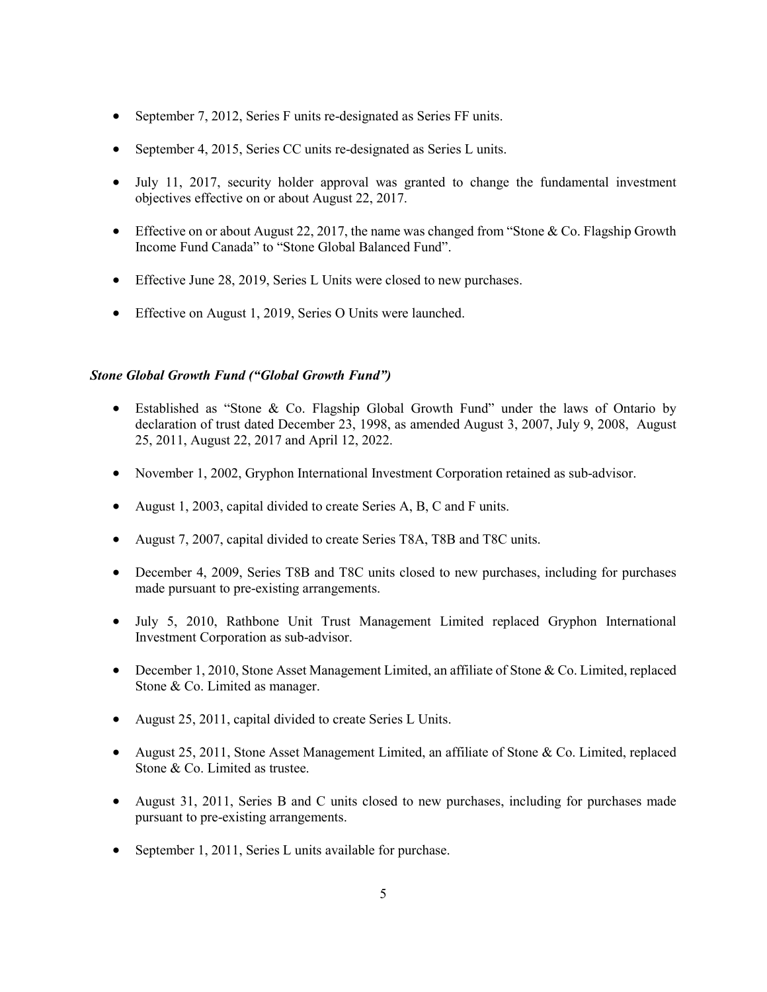- September 7, 2012, Series F units re-designated as Series FF units.
- September 4, 2015, Series CC units re-designated as Series L units.
- July 11, 2017, security holder approval was granted to change the fundamental investment objectives effective on or about August 22, 2017.
- Effective on or about August 22, 2017, the name was changed from "Stone & Co. Flagship Growth" Income Fund Canada" to "Stone Global Balanced Fund".
- Effective June 28, 2019, Series L Units were closed to new purchases.
- Effective on August 1, 2019, Series O Units were launched.

## *Stone Global Growth Fund ("Global Growth Fund")*

- Established as "Stone & Co. Flagship Global Growth Fund" under the laws of Ontario by declaration of trust dated December 23, 1998, as amended August 3, 2007, July 9, 2008, August 25, 2011, August 22, 2017 and April 12, 2022.
- November 1, 2002, Gryphon International Investment Corporation retained as sub-advisor.
- August 1, 2003, capital divided to create Series A, B, C and F units.
- August 7, 2007, capital divided to create Series T8A, T8B and T8C units.
- December 4, 2009, Series T8B and T8C units closed to new purchases, including for purchases made pursuant to pre-existing arrangements.
- July 5, 2010, Rathbone Unit Trust Management Limited replaced Gryphon International Investment Corporation as sub-advisor.
- December 1, 2010, Stone Asset Management Limited, an affiliate of Stone & Co. Limited, replaced Stone & Co. Limited as manager.
- August 25, 2011, capital divided to create Series L Units.
- August 25, 2011, Stone Asset Management Limited, an affiliate of Stone & Co. Limited, replaced Stone & Co. Limited as trustee.
- August 31, 2011, Series B and C units closed to new purchases, including for purchases made pursuant to pre-existing arrangements.
- September 1, 2011, Series L units available for purchase.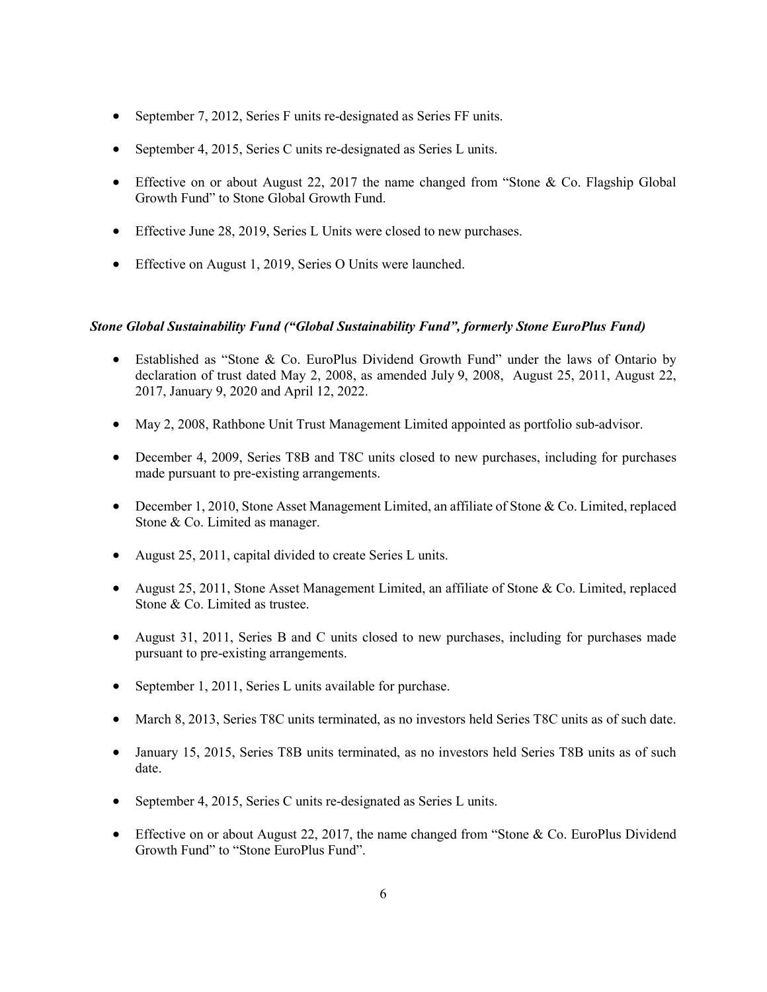- September 7, 2012, Series F units re-designated as Series FF units.
- September 4, 2015, Series C units re-designated as Series L units.
- Effective on or about August 22, 2017 the name changed from "Stone & Co. Flagship Global Growth Fund" to Stone Global Growth Fund.
- Effective June 28, 2019, Series L Units were closed to new purchases.
- Effective on August 1, 2019, Series O Units were launched.

#### *Stone Global Sustainability Fund ("Global Sustainability Fund", formerly Stone EuroPlus Fund)*

- Established as "Stone & Co. EuroPlus Dividend Growth Fund" under the laws of Ontario by declaration of trust dated May 2, 2008, as amended July 9, 2008, August 25, 2011, August 22, 2017, January 9, 2020 and April 12, 2022.
- May 2, 2008, Rathbone Unit Trust Management Limited appointed as portfolio sub-advisor.
- December 4, 2009, Series T8B and T8C units closed to new purchases, including for purchases made pursuant to pre-existing arrangements.
- December 1, 2010, Stone Asset Management Limited, an affiliate of Stone & Co. Limited, replaced Stone & Co. Limited as manager.
- August 25, 2011, capital divided to create Series L units.
- August 25, 2011, Stone Asset Management Limited, an affiliate of Stone & Co. Limited, replaced Stone & Co. Limited as trustee.
- August 31, 2011, Series B and C units closed to new purchases, including for purchases made pursuant to pre-existing arrangements.
- September 1, 2011, Series L units available for purchase.
- March 8, 2013, Series T8C units terminated, as no investors held Series T8C units as of such date.
- January 15, 2015, Series T8B units terminated, as no investors held Series T8B units as of such date.
- September 4, 2015, Series C units re-designated as Series L units.
- Effective on or about August 22, 2017, the name changed from "Stone & Co. EuroPlus Dividend Growth Fund" to "Stone EuroPlus Fund".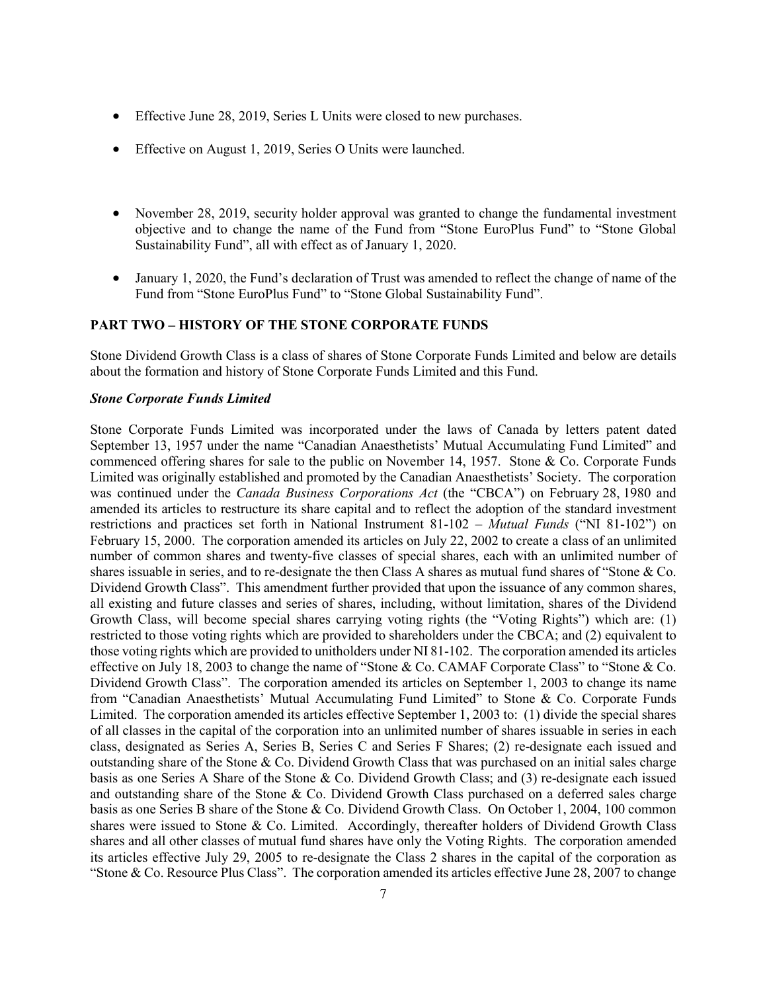- Effective June 28, 2019, Series L Units were closed to new purchases.
- Effective on August 1, 2019, Series O Units were launched.
- November 28, 2019, security holder approval was granted to change the fundamental investment objective and to change the name of the Fund from "Stone EuroPlus Fund" to "Stone Global Sustainability Fund", all with effect as of January 1, 2020.
- January 1, 2020, the Fund's declaration of Trust was amended to reflect the change of name of the Fund from "Stone EuroPlus Fund" to "Stone Global Sustainability Fund".

# **PART TWO – HISTORY OF THE STONE CORPORATE FUNDS**

Stone Dividend Growth Class is a class of shares of Stone Corporate Funds Limited and below are details about the formation and history of Stone Corporate Funds Limited and this Fund.

#### *Stone Corporate Funds Limited*

Stone Corporate Funds Limited was incorporated under the laws of Canada by letters patent dated September 13, 1957 under the name "Canadian Anaesthetists' Mutual Accumulating Fund Limited" and commenced offering shares for sale to the public on November 14, 1957. Stone & Co. Corporate Funds Limited was originally established and promoted by the Canadian Anaesthetists' Society. The corporation was continued under the *Canada Business Corporations Act* (the "CBCA") on February 28, 1980 and amended its articles to restructure its share capital and to reflect the adoption of the standard investment restrictions and practices set forth in National Instrument 81-102 – *Mutual Funds* ("NI 81-102") on February 15, 2000. The corporation amended its articles on July 22, 2002 to create a class of an unlimited number of common shares and twenty-five classes of special shares, each with an unlimited number of shares issuable in series, and to re-designate the then Class A shares as mutual fund shares of "Stone & Co. Dividend Growth Class". This amendment further provided that upon the issuance of any common shares, all existing and future classes and series of shares, including, without limitation, shares of the Dividend Growth Class, will become special shares carrying voting rights (the "Voting Rights") which are: (1) restricted to those voting rights which are provided to shareholders under the CBCA; and (2) equivalent to those voting rights which are provided to unitholders under NI 81-102. The corporation amended its articles effective on July 18, 2003 to change the name of "Stone & Co. CAMAF Corporate Class" to "Stone & Co. Dividend Growth Class". The corporation amended its articles on September 1, 2003 to change its name from "Canadian Anaesthetists' Mutual Accumulating Fund Limited" to Stone & Co. Corporate Funds Limited. The corporation amended its articles effective September 1, 2003 to: (1) divide the special shares of all classes in the capital of the corporation into an unlimited number of shares issuable in series in each class, designated as Series A, Series B, Series C and Series F Shares; (2) re-designate each issued and outstanding share of the Stone & Co. Dividend Growth Class that was purchased on an initial sales charge basis as one Series A Share of the Stone & Co. Dividend Growth Class; and (3) re-designate each issued and outstanding share of the Stone & Co. Dividend Growth Class purchased on a deferred sales charge basis as one Series B share of the Stone & Co. Dividend Growth Class. On October 1, 2004, 100 common shares were issued to Stone & Co. Limited. Accordingly, thereafter holders of Dividend Growth Class shares and all other classes of mutual fund shares have only the Voting Rights. The corporation amended its articles effective July 29, 2005 to re-designate the Class 2 shares in the capital of the corporation as "Stone & Co. Resource Plus Class". The corporation amended its articles effective June 28, 2007 to change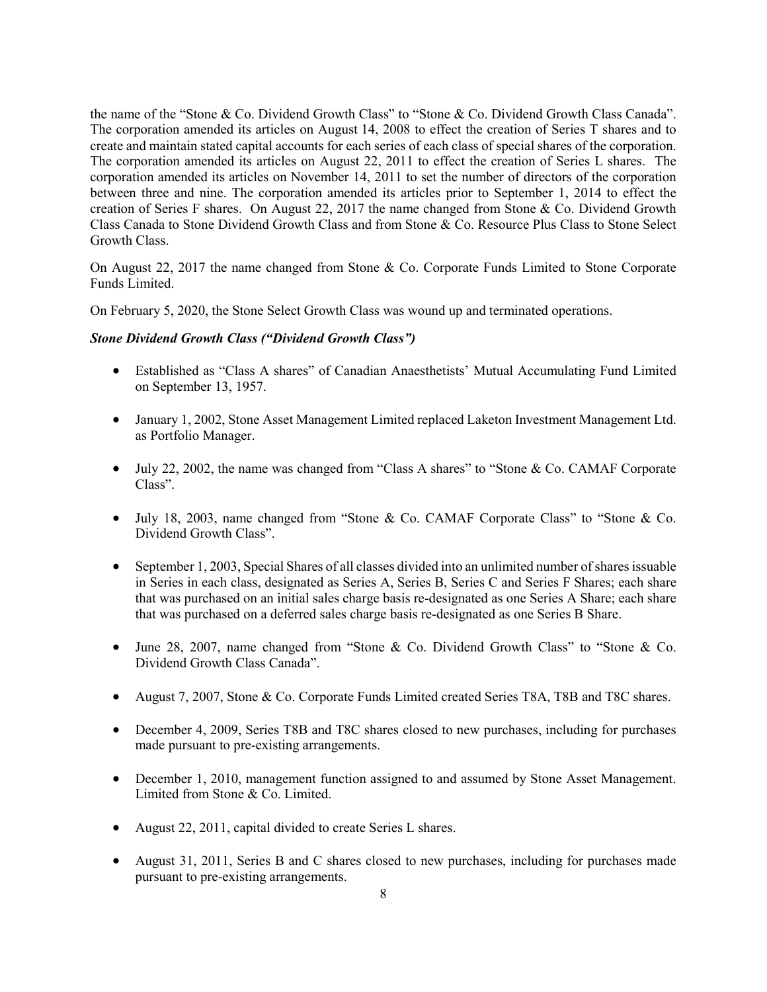the name of the "Stone & Co. Dividend Growth Class" to "Stone & Co. Dividend Growth Class Canada". The corporation amended its articles on August 14, 2008 to effect the creation of Series T shares and to create and maintain stated capital accounts for each series of each class of special shares of the corporation. The corporation amended its articles on August 22, 2011 to effect the creation of Series L shares. The corporation amended its articles on November 14, 2011 to set the number of directors of the corporation between three and nine. The corporation amended its articles prior to September 1, 2014 to effect the creation of Series F shares. On August 22, 2017 the name changed from Stone & Co. Dividend Growth Class Canada to Stone Dividend Growth Class and from Stone & Co. Resource Plus Class to Stone Select Growth Class.

On August 22, 2017 the name changed from Stone & Co. Corporate Funds Limited to Stone Corporate Funds Limited.

On February 5, 2020, the Stone Select Growth Class was wound up and terminated operations.

## *Stone Dividend Growth Class ("Dividend Growth Class")*

- Established as "Class A shares" of Canadian Anaesthetists' Mutual Accumulating Fund Limited on September 13, 1957.
- January 1, 2002, Stone Asset Management Limited replaced Laketon Investment Management Ltd. as Portfolio Manager.
- July 22, 2002, the name was changed from "Class A shares" to "Stone & Co. CAMAF Corporate Class".
- July 18, 2003, name changed from "Stone & Co. CAMAF Corporate Class" to "Stone & Co. Dividend Growth Class".
- September 1, 2003, Special Shares of all classes divided into an unlimited number of shares issuable in Series in each class, designated as Series A, Series B, Series C and Series F Shares; each share that was purchased on an initial sales charge basis re-designated as one Series A Share; each share that was purchased on a deferred sales charge basis re-designated as one Series B Share.
- June 28, 2007, name changed from "Stone & Co. Dividend Growth Class" to "Stone & Co. Dividend Growth Class Canada".
- August 7, 2007, Stone & Co. Corporate Funds Limited created Series T8A, T8B and T8C shares.
- December 4, 2009, Series T8B and T8C shares closed to new purchases, including for purchases made pursuant to pre-existing arrangements.
- December 1, 2010, management function assigned to and assumed by Stone Asset Management. Limited from Stone & Co. Limited.
- August 22, 2011, capital divided to create Series L shares.
- August 31, 2011, Series B and C shares closed to new purchases, including for purchases made pursuant to pre-existing arrangements.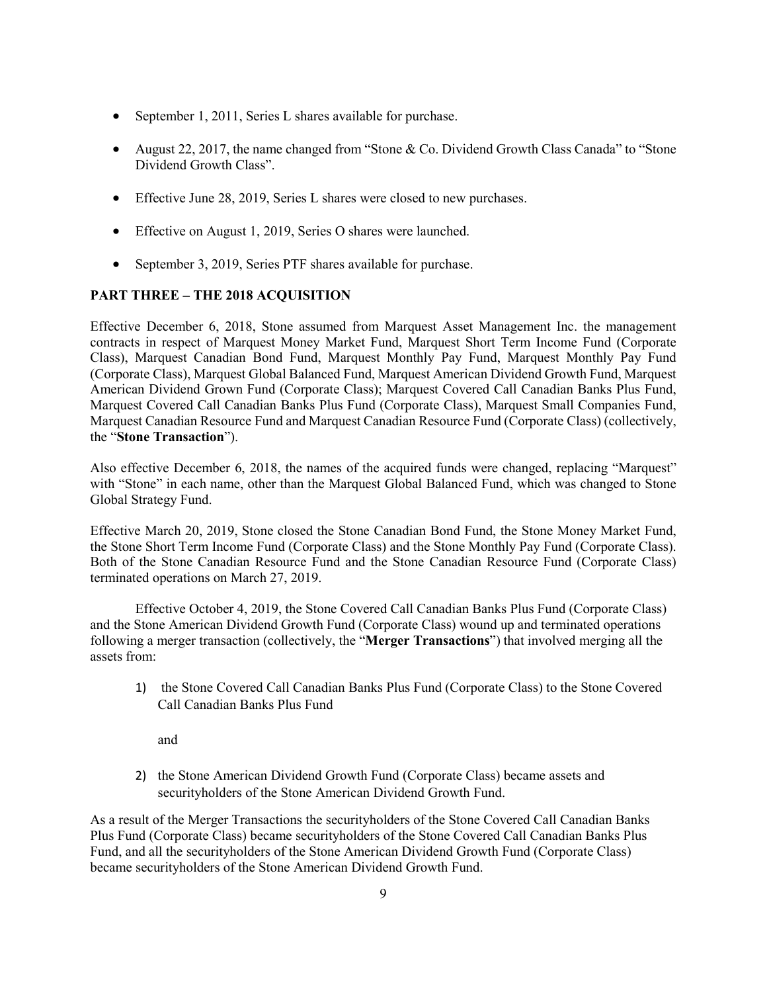- September 1, 2011, Series L shares available for purchase.
- August 22, 2017, the name changed from "Stone & Co. Dividend Growth Class Canada" to "Stone Dividend Growth Class".
- Effective June 28, 2019, Series L shares were closed to new purchases.
- Effective on August 1, 2019, Series O shares were launched.
- September 3, 2019, Series PTF shares available for purchase.

## **PART THREE – THE 2018 ACQUISITION**

Effective December 6, 2018, Stone assumed from Marquest Asset Management Inc. the management contracts in respect of Marquest Money Market Fund, Marquest Short Term Income Fund (Corporate Class), Marquest Canadian Bond Fund, Marquest Monthly Pay Fund, Marquest Monthly Pay Fund (Corporate Class), Marquest Global Balanced Fund, Marquest American Dividend Growth Fund, Marquest American Dividend Grown Fund (Corporate Class); Marquest Covered Call Canadian Banks Plus Fund, Marquest Covered Call Canadian Banks Plus Fund (Corporate Class), Marquest Small Companies Fund, Marquest Canadian Resource Fund and Marquest Canadian Resource Fund (Corporate Class) (collectively, the "**Stone Transaction**").

Also effective December 6, 2018, the names of the acquired funds were changed, replacing "Marquest" with "Stone" in each name, other than the Marquest Global Balanced Fund, which was changed to Stone Global Strategy Fund.

Effective March 20, 2019, Stone closed the Stone Canadian Bond Fund, the Stone Money Market Fund, the Stone Short Term Income Fund (Corporate Class) and the Stone Monthly Pay Fund (Corporate Class). Both of the Stone Canadian Resource Fund and the Stone Canadian Resource Fund (Corporate Class) terminated operations on March 27, 2019.

Effective October 4, 2019, the Stone Covered Call Canadian Banks Plus Fund (Corporate Class) and the Stone American Dividend Growth Fund (Corporate Class) wound up and terminated operations following a merger transaction (collectively, the "**Merger Transactions**") that involved merging all the assets from:

1) the Stone Covered Call Canadian Banks Plus Fund (Corporate Class) to the Stone Covered Call Canadian Banks Plus Fund

and

2) the Stone American Dividend Growth Fund (Corporate Class) became assets and securityholders of the Stone American Dividend Growth Fund.

As a result of the Merger Transactions the securityholders of the Stone Covered Call Canadian Banks Plus Fund (Corporate Class) became securityholders of the Stone Covered Call Canadian Banks Plus Fund, and all the securityholders of the Stone American Dividend Growth Fund (Corporate Class) became securityholders of the Stone American Dividend Growth Fund.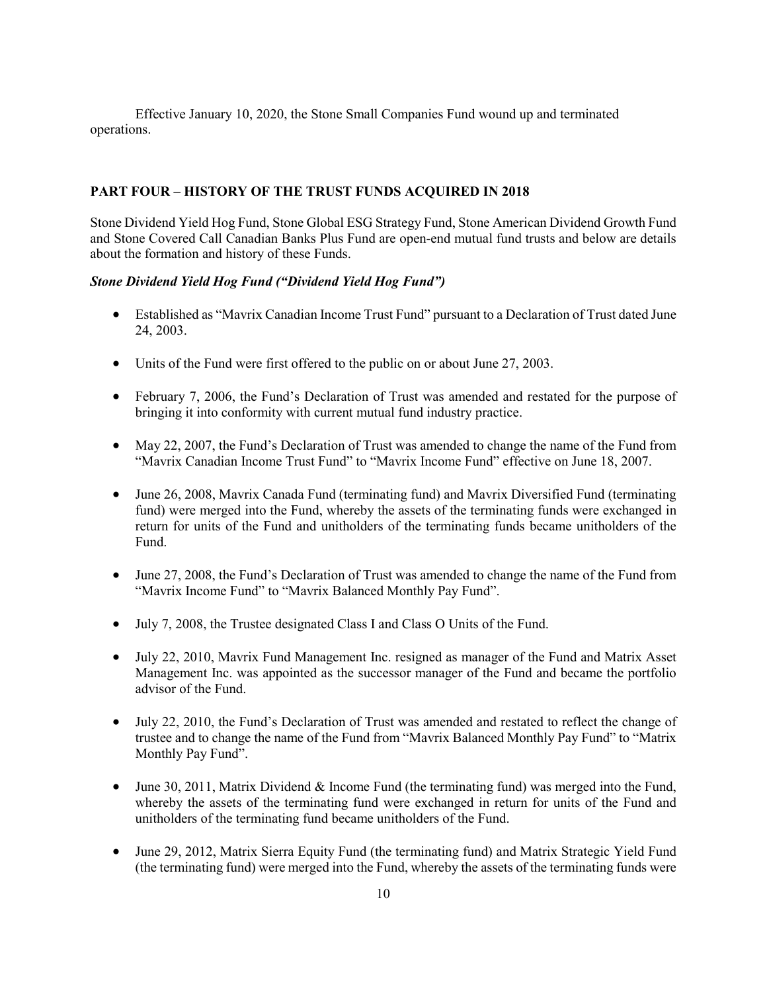Effective January 10, 2020, the Stone Small Companies Fund wound up and terminated operations.

#### **PART FOUR – HISTORY OF THE TRUST FUNDS ACQUIRED IN 2018**

Stone Dividend Yield Hog Fund, Stone Global ESG Strategy Fund, Stone American Dividend Growth Fund and Stone Covered Call Canadian Banks Plus Fund are open-end mutual fund trusts and below are details about the formation and history of these Funds.

#### *Stone Dividend Yield Hog Fund ("Dividend Yield Hog Fund")*

- Established as "Mavrix Canadian Income Trust Fund" pursuant to a Declaration of Trust dated June 24, 2003.
- Units of the Fund were first offered to the public on or about June 27, 2003.
- February 7, 2006, the Fund's Declaration of Trust was amended and restated for the purpose of bringing it into conformity with current mutual fund industry practice.
- May 22, 2007, the Fund's Declaration of Trust was amended to change the name of the Fund from "Mavrix Canadian Income Trust Fund" to "Mavrix Income Fund" effective on June 18, 2007.
- June 26, 2008, Mavrix Canada Fund (terminating fund) and Mavrix Diversified Fund (terminating fund) were merged into the Fund, whereby the assets of the terminating funds were exchanged in return for units of the Fund and unitholders of the terminating funds became unitholders of the Fund.
- June 27, 2008, the Fund's Declaration of Trust was amended to change the name of the Fund from "Mavrix Income Fund" to "Mavrix Balanced Monthly Pay Fund".
- July 7, 2008, the Trustee designated Class I and Class O Units of the Fund.
- July 22, 2010, Mavrix Fund Management Inc. resigned as manager of the Fund and Matrix Asset Management Inc. was appointed as the successor manager of the Fund and became the portfolio advisor of the Fund.
- July 22, 2010, the Fund's Declaration of Trust was amended and restated to reflect the change of trustee and to change the name of the Fund from "Mavrix Balanced Monthly Pay Fund" to "Matrix Monthly Pay Fund".
- June 30, 2011, Matrix Dividend & Income Fund (the terminating fund) was merged into the Fund, whereby the assets of the terminating fund were exchanged in return for units of the Fund and unitholders of the terminating fund became unitholders of the Fund.
- June 29, 2012, Matrix Sierra Equity Fund (the terminating fund) and Matrix Strategic Yield Fund (the terminating fund) were merged into the Fund, whereby the assets of the terminating funds were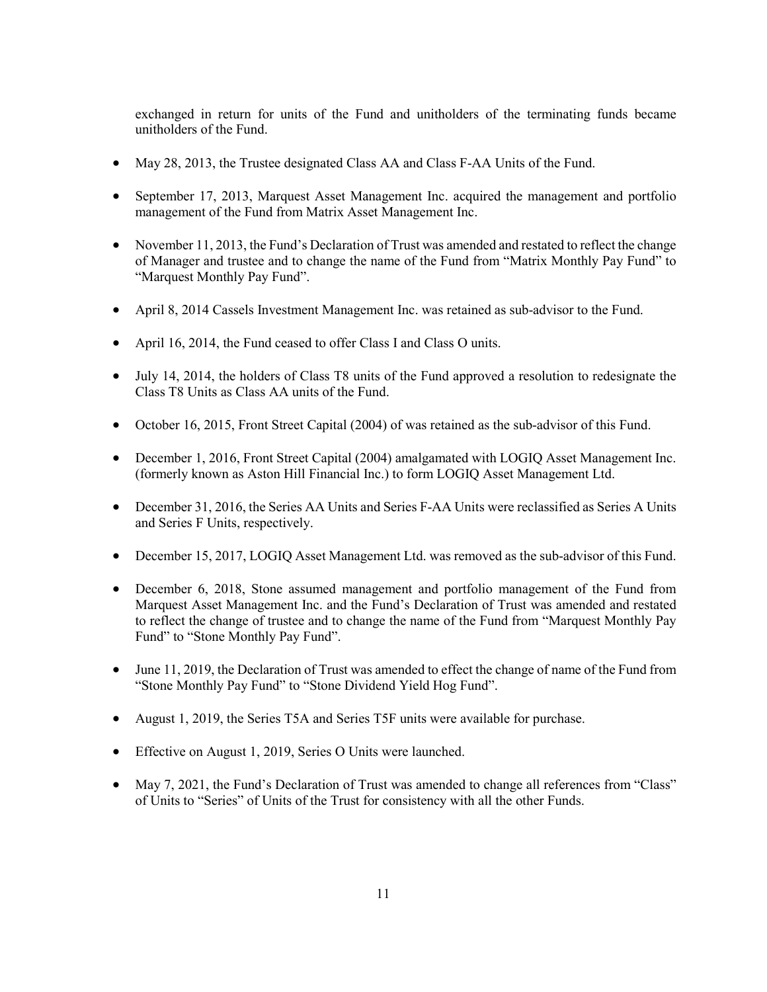exchanged in return for units of the Fund and unitholders of the terminating funds became unitholders of the Fund.

- May 28, 2013, the Trustee designated Class AA and Class F-AA Units of the Fund.
- September 17, 2013, Marquest Asset Management Inc. acquired the management and portfolio management of the Fund from Matrix Asset Management Inc.
- November 11, 2013, the Fund's Declaration of Trust was amended and restated to reflect the change of Manager and trustee and to change the name of the Fund from "Matrix Monthly Pay Fund" to "Marquest Monthly Pay Fund".
- April 8, 2014 Cassels Investment Management Inc. was retained as sub-advisor to the Fund.
- April 16, 2014, the Fund ceased to offer Class I and Class O units.
- July 14, 2014, the holders of Class T8 units of the Fund approved a resolution to redesignate the Class T8 Units as Class AA units of the Fund.
- October 16, 2015, Front Street Capital (2004) of was retained as the sub-advisor of this Fund.
- December 1, 2016, Front Street Capital (2004) amalgamated with LOGIQ Asset Management Inc. (formerly known as Aston Hill Financial Inc.) to form LOGIQ Asset Management Ltd.
- December 31, 2016, the Series AA Units and Series F-AA Units were reclassified as Series A Units and Series F Units, respectively.
- December 15, 2017, LOGIQ Asset Management Ltd. was removed as the sub-advisor of this Fund.
- December 6, 2018, Stone assumed management and portfolio management of the Fund from Marquest Asset Management Inc. and the Fund's Declaration of Trust was amended and restated to reflect the change of trustee and to change the name of the Fund from "Marquest Monthly Pay Fund" to "Stone Monthly Pay Fund".
- June 11, 2019, the Declaration of Trust was amended to effect the change of name of the Fund from "Stone Monthly Pay Fund" to "Stone Dividend Yield Hog Fund".
- August 1, 2019, the Series T5A and Series T5F units were available for purchase.
- Effective on August 1, 2019, Series O Units were launched.
- May 7, 2021, the Fund's Declaration of Trust was amended to change all references from "Class" of Units to "Series" of Units of the Trust for consistency with all the other Funds.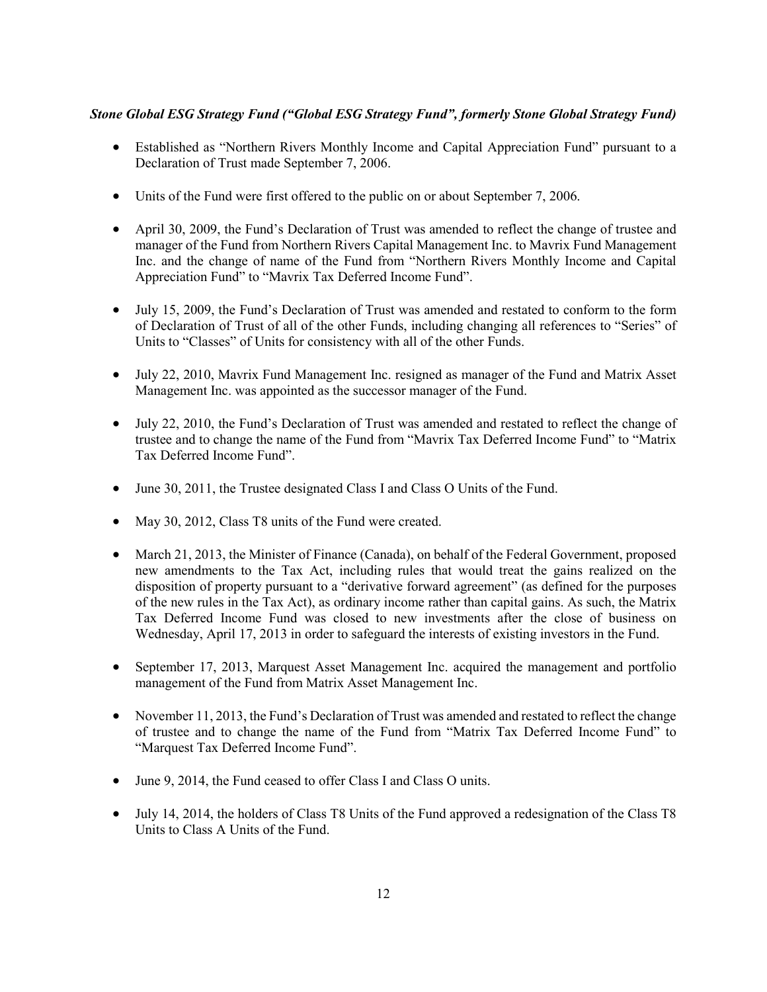## *Stone Global ESG Strategy Fund ("Global ESG Strategy Fund", formerly Stone Global Strategy Fund)*

- Established as "Northern Rivers Monthly Income and Capital Appreciation Fund" pursuant to a Declaration of Trust made September 7, 2006.
- Units of the Fund were first offered to the public on or about September 7, 2006.
- April 30, 2009, the Fund's Declaration of Trust was amended to reflect the change of trustee and manager of the Fund from Northern Rivers Capital Management Inc. to Mavrix Fund Management Inc. and the change of name of the Fund from "Northern Rivers Monthly Income and Capital Appreciation Fund" to "Mavrix Tax Deferred Income Fund".
- July 15, 2009, the Fund's Declaration of Trust was amended and restated to conform to the form of Declaration of Trust of all of the other Funds, including changing all references to "Series" of Units to "Classes" of Units for consistency with all of the other Funds.
- July 22, 2010, Mavrix Fund Management Inc. resigned as manager of the Fund and Matrix Asset Management Inc. was appointed as the successor manager of the Fund.
- July 22, 2010, the Fund's Declaration of Trust was amended and restated to reflect the change of trustee and to change the name of the Fund from "Mavrix Tax Deferred Income Fund" to "Matrix Tax Deferred Income Fund".
- June 30, 2011, the Trustee designated Class I and Class O Units of the Fund.
- May 30, 2012, Class T8 units of the Fund were created.
- March 21, 2013, the Minister of Finance (Canada), on behalf of the Federal Government, proposed new amendments to the Tax Act, including rules that would treat the gains realized on the disposition of property pursuant to a "derivative forward agreement" (as defined for the purposes of the new rules in the Tax Act), as ordinary income rather than capital gains. As such, the Matrix Tax Deferred Income Fund was closed to new investments after the close of business on Wednesday, April 17, 2013 in order to safeguard the interests of existing investors in the Fund.
- September 17, 2013, Marquest Asset Management Inc. acquired the management and portfolio management of the Fund from Matrix Asset Management Inc.
- November 11, 2013, the Fund's Declaration of Trust was amended and restated to reflect the change of trustee and to change the name of the Fund from "Matrix Tax Deferred Income Fund" to "Marquest Tax Deferred Income Fund".
- June 9, 2014, the Fund ceased to offer Class I and Class O units.
- July 14, 2014, the holders of Class T8 Units of the Fund approved a redesignation of the Class T8 Units to Class A Units of the Fund.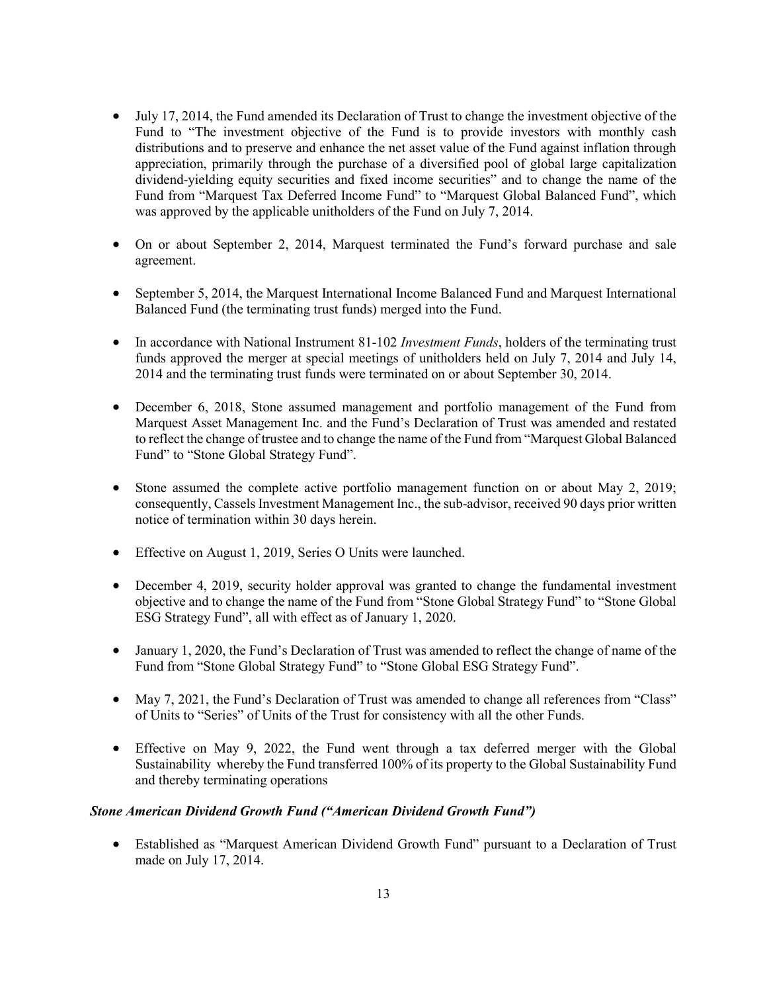- July 17, 2014, the Fund amended its Declaration of Trust to change the investment objective of the Fund to "The investment objective of the Fund is to provide investors with monthly cash distributions and to preserve and enhance the net asset value of the Fund against inflation through appreciation, primarily through the purchase of a diversified pool of global large capitalization dividend-yielding equity securities and fixed income securities" and to change the name of the Fund from "Marquest Tax Deferred Income Fund" to "Marquest Global Balanced Fund", which was approved by the applicable unitholders of the Fund on July 7, 2014.
- On or about September 2, 2014, Marquest terminated the Fund's forward purchase and sale agreement.
- September 5, 2014, the Marquest International Income Balanced Fund and Marquest International Balanced Fund (the terminating trust funds) merged into the Fund.
- In accordance with National Instrument 81-102 *Investment Funds*, holders of the terminating trust funds approved the merger at special meetings of unitholders held on July 7, 2014 and July 14, 2014 and the terminating trust funds were terminated on or about September 30, 2014.
- December 6, 2018, Stone assumed management and portfolio management of the Fund from Marquest Asset Management Inc. and the Fund's Declaration of Trust was amended and restated to reflect the change of trustee and to change the name of the Fund from "Marquest Global Balanced Fund" to "Stone Global Strategy Fund".
- Stone assumed the complete active portfolio management function on or about May 2, 2019; consequently, Cassels Investment Management Inc., the sub-advisor, received 90 days prior written notice of termination within 30 days herein.
- Effective on August 1, 2019, Series O Units were launched.
- December 4, 2019, security holder approval was granted to change the fundamental investment objective and to change the name of the Fund from "Stone Global Strategy Fund" to "Stone Global ESG Strategy Fund", all with effect as of January 1, 2020.
- January 1, 2020, the Fund's Declaration of Trust was amended to reflect the change of name of the Fund from "Stone Global Strategy Fund" to "Stone Global ESG Strategy Fund".
- May 7, 2021, the Fund's Declaration of Trust was amended to change all references from "Class" of Units to "Series" of Units of the Trust for consistency with all the other Funds.
- Effective on May 9, 2022, the Fund went through a tax deferred merger with the Global Sustainability whereby the Fund transferred 100% of its property to the Global Sustainability Fund and thereby terminating operations

## *Stone American Dividend Growth Fund ("American Dividend Growth Fund")*

• Established as "Marquest American Dividend Growth Fund" pursuant to a Declaration of Trust made on July 17, 2014.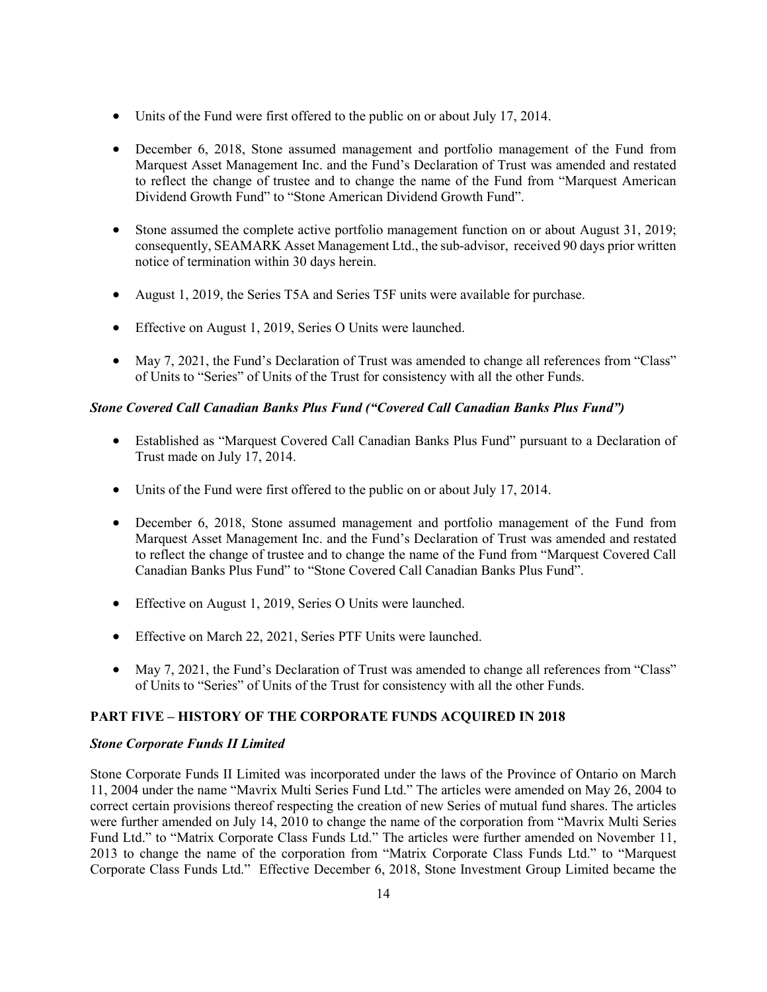- Units of the Fund were first offered to the public on or about July 17, 2014.
- December 6, 2018, Stone assumed management and portfolio management of the Fund from Marquest Asset Management Inc. and the Fund's Declaration of Trust was amended and restated to reflect the change of trustee and to change the name of the Fund from "Marquest American Dividend Growth Fund" to "Stone American Dividend Growth Fund".
- Stone assumed the complete active portfolio management function on or about August 31, 2019; consequently, SEAMARK Asset Management Ltd., the sub-advisor, received 90 days prior written notice of termination within 30 days herein.
- August 1, 2019, the Series T5A and Series T5F units were available for purchase.
- Effective on August 1, 2019, Series O Units were launched.
- May 7, 2021, the Fund's Declaration of Trust was amended to change all references from "Class" of Units to "Series" of Units of the Trust for consistency with all the other Funds.

#### *Stone Covered Call Canadian Banks Plus Fund ("Covered Call Canadian Banks Plus Fund")*

- Established as "Marquest Covered Call Canadian Banks Plus Fund" pursuant to a Declaration of Trust made on July 17, 2014.
- Units of the Fund were first offered to the public on or about July 17, 2014.
- December 6, 2018, Stone assumed management and portfolio management of the Fund from Marquest Asset Management Inc. and the Fund's Declaration of Trust was amended and restated to reflect the change of trustee and to change the name of the Fund from "Marquest Covered Call Canadian Banks Plus Fund" to "Stone Covered Call Canadian Banks Plus Fund".
- Effective on August 1, 2019, Series O Units were launched.
- Effective on March 22, 2021, Series PTF Units were launched.
- May 7, 2021, the Fund's Declaration of Trust was amended to change all references from "Class" of Units to "Series" of Units of the Trust for consistency with all the other Funds.

## **PART FIVE – HISTORY OF THE CORPORATE FUNDS ACQUIRED IN 2018**

#### *Stone Corporate Funds II Limited*

Stone Corporate Funds II Limited was incorporated under the laws of the Province of Ontario on March 11, 2004 under the name "Mavrix Multi Series Fund Ltd." The articles were amended on May 26, 2004 to correct certain provisions thereof respecting the creation of new Series of mutual fund shares. The articles were further amended on July 14, 2010 to change the name of the corporation from "Mavrix Multi Series Fund Ltd." to "Matrix Corporate Class Funds Ltd." The articles were further amended on November 11, 2013 to change the name of the corporation from "Matrix Corporate Class Funds Ltd." to "Marquest Corporate Class Funds Ltd." Effective December 6, 2018, Stone Investment Group Limited became the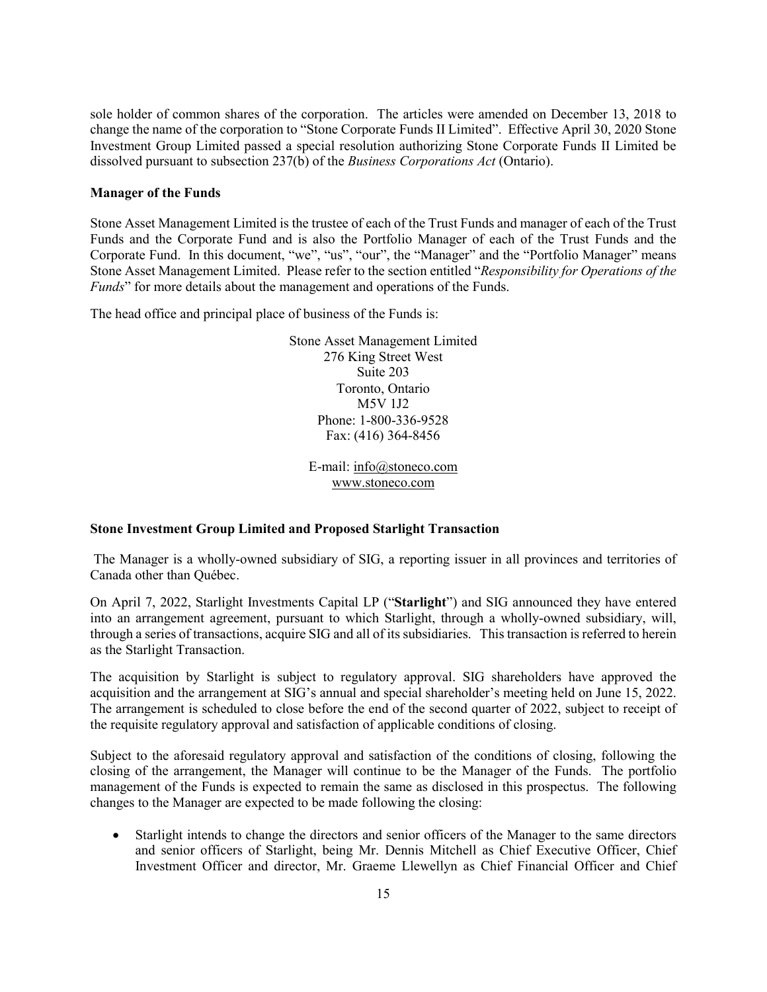sole holder of common shares of the corporation. The articles were amended on December 13, 2018 to change the name of the corporation to "Stone Corporate Funds II Limited". Effective April 30, 2020 Stone Investment Group Limited passed a special resolution authorizing Stone Corporate Funds II Limited be dissolved pursuant to subsection 237(b) of the *Business Corporations Act* (Ontario).

#### **Manager of the Funds**

Stone Asset Management Limited is the trustee of each of the Trust Funds and manager of each of the Trust Funds and the Corporate Fund and is also the Portfolio Manager of each of the Trust Funds and the Corporate Fund. In this document, "we", "us", "our", the "Manager" and the "Portfolio Manager" means Stone Asset Management Limited. Please refer to the section entitled "*Responsibility for Operations of the Funds*" for more details about the management and operations of the Funds.

The head office and principal place of business of the Funds is:

Stone Asset Management Limited 276 King Street West Suite 203 Toronto, Ontario M5V 1J2 Phone: 1-800-336-9528 Fax: (416) 364-8456

E-mail: [info@stoneco.com](mailto:info@stoneco.com) www.stoneco.com

#### **Stone Investment Group Limited and Proposed Starlight Transaction**

The Manager is a wholly-owned subsidiary of SIG, a reporting issuer in all provinces and territories of Canada other than Québec.

On April 7, 2022, Starlight Investments Capital LP ("**Starlight**") and SIG announced they have entered into an arrangement agreement, pursuant to which Starlight, through a wholly-owned subsidiary, will, through a series of transactions, acquire SIG and all of its subsidiaries. This transaction is referred to herein as the Starlight Transaction.

The acquisition by Starlight is subject to regulatory approval. SIG shareholders have approved the acquisition and the arrangement at SIG's annual and special shareholder's meeting held on June 15, 2022. The arrangement is scheduled to close before the end of the second quarter of 2022, subject to receipt of the requisite regulatory approval and satisfaction of applicable conditions of closing.

Subject to the aforesaid regulatory approval and satisfaction of the conditions of closing, following the closing of the arrangement, the Manager will continue to be the Manager of the Funds. The portfolio management of the Funds is expected to remain the same as disclosed in this prospectus. The following changes to the Manager are expected to be made following the closing:

• Starlight intends to change the directors and senior officers of the Manager to the same directors and senior officers of Starlight, being Mr. Dennis Mitchell as Chief Executive Officer, Chief Investment Officer and director, Mr. Graeme Llewellyn as Chief Financial Officer and Chief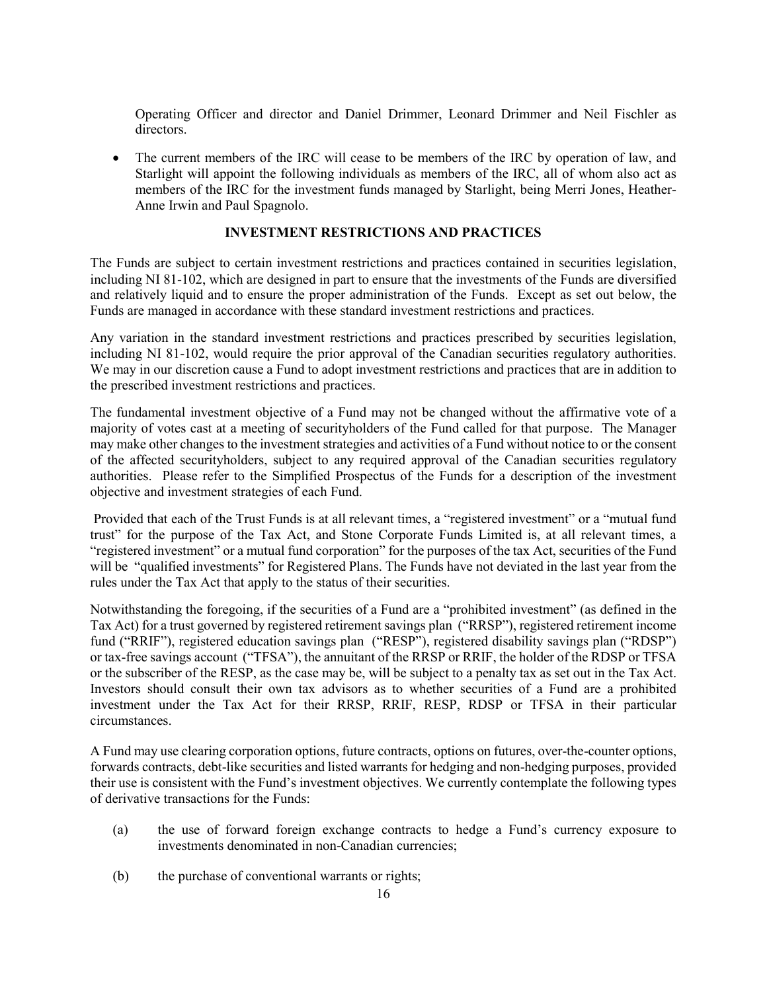Operating Officer and director and Daniel Drimmer, Leonard Drimmer and Neil Fischler as directors.

• The current members of the IRC will cease to be members of the IRC by operation of law, and Starlight will appoint the following individuals as members of the IRC, all of whom also act as members of the IRC for the investment funds managed by Starlight, being Merri Jones, Heather-Anne Irwin and Paul Spagnolo.

#### **INVESTMENT RESTRICTIONS AND PRACTICES**

<span id="page-16-0"></span>The Funds are subject to certain investment restrictions and practices contained in securities legislation, including NI 81-102, which are designed in part to ensure that the investments of the Funds are diversified and relatively liquid and to ensure the proper administration of the Funds. Except as set out below, the Funds are managed in accordance with these standard investment restrictions and practices.

Any variation in the standard investment restrictions and practices prescribed by securities legislation, including NI 81-102, would require the prior approval of the Canadian securities regulatory authorities. We may in our discretion cause a Fund to adopt investment restrictions and practices that are in addition to the prescribed investment restrictions and practices.

The fundamental investment objective of a Fund may not be changed without the affirmative vote of a majority of votes cast at a meeting of securityholders of the Fund called for that purpose. The Manager may make other changes to the investment strategies and activities of a Fund without notice to or the consent of the affected securityholders, subject to any required approval of the Canadian securities regulatory authorities. Please refer to the Simplified Prospectus of the Funds for a description of the investment objective and investment strategies of each Fund.

Provided that each of the Trust Funds is at all relevant times, a "registered investment" or a "mutual fund trust" for the purpose of the Tax Act, and Stone Corporate Funds Limited is, at all relevant times, a "registered investment" or a mutual fund corporation" for the purposes of the tax Act, securities of the Fund will be "qualified investments" for Registered Plans. The Funds have not deviated in the last year from the rules under the Tax Act that apply to the status of their securities.

Notwithstanding the foregoing, if the securities of a Fund are a "prohibited investment" (as defined in the Tax Act) for a trust governed by registered retirement savings plan ("RRSP"), registered retirement income fund ("RRIF"), registered education savings plan ("RESP"), registered disability savings plan ("RDSP") or tax-free savings account ("TFSA"), the annuitant of the RRSP or RRIF, the holder of the RDSP or TFSA or the subscriber of the RESP, as the case may be, will be subject to a penalty tax as set out in the Tax Act. Investors should consult their own tax advisors as to whether securities of a Fund are a prohibited investment under the Tax Act for their RRSP, RRIF, RESP, RDSP or TFSA in their particular circumstances.

A Fund may use clearing corporation options, future contracts, options on futures, over-the-counter options, forwards contracts, debt-like securities and listed warrants for hedging and non-hedging purposes, provided their use is consistent with the Fund's investment objectives. We currently contemplate the following types of derivative transactions for the Funds:

- (a) the use of forward foreign exchange contracts to hedge a Fund's currency exposure to investments denominated in non-Canadian currencies;
- (b) the purchase of conventional warrants or rights;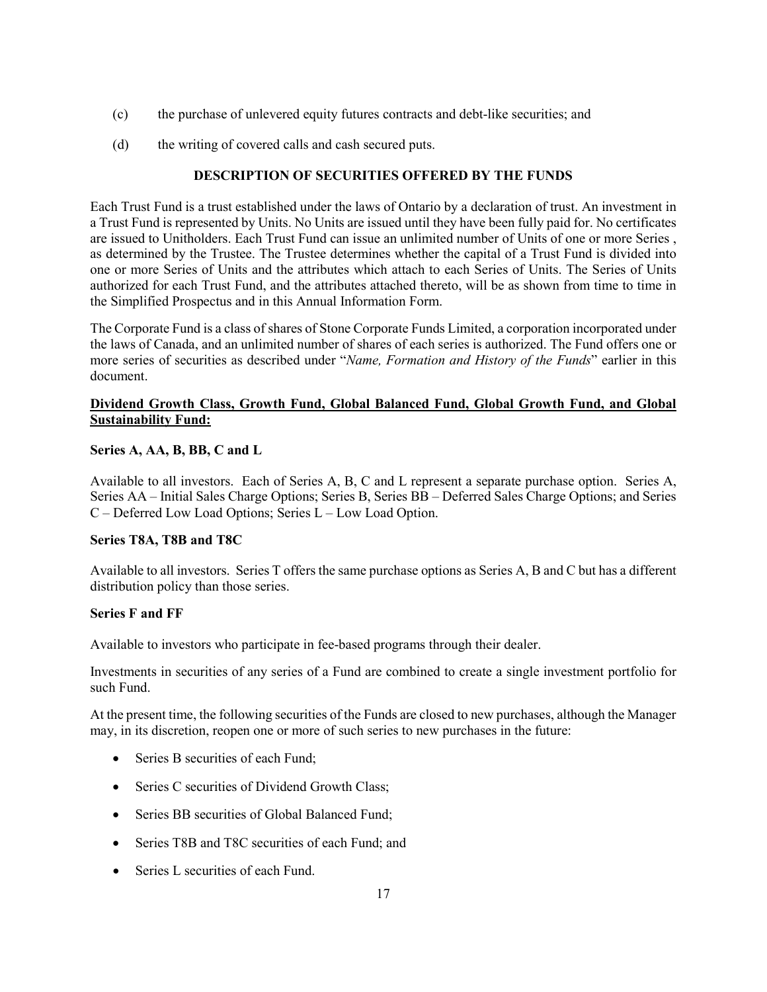- (c) the purchase of unlevered equity futures contracts and debt-like securities; and
- (d) the writing of covered calls and cash secured puts.

# **DESCRIPTION OF SECURITIES OFFERED BY THE FUNDS**

<span id="page-17-0"></span>Each Trust Fund is a trust established under the laws of Ontario by a declaration of trust. An investment in a Trust Fund is represented by Units. No Units are issued until they have been fully paid for. No certificates are issued to Unitholders. Each Trust Fund can issue an unlimited number of Units of one or more Series , as determined by the Trustee. The Trustee determines whether the capital of a Trust Fund is divided into one or more Series of Units and the attributes which attach to each Series of Units. The Series of Units authorized for each Trust Fund, and the attributes attached thereto, will be as shown from time to time in the Simplified Prospectus and in this Annual Information Form.

The Corporate Fund is a class of shares of Stone Corporate Funds Limited, a corporation incorporated under the laws of Canada, and an unlimited number of shares of each series is authorized. The Fund offers one or more series of securities as described under "*Name, Formation and History of the Funds*" earlier in this document.

## **Dividend Growth Class, Growth Fund, Global Balanced Fund, Global Growth Fund, and Global Sustainability Fund:**

## **Series A, AA, B, BB, C and L**

Available to all investors. Each of Series A, B, C and L represent a separate purchase option. Series A, Series AA – Initial Sales Charge Options; Series B, Series BB – Deferred Sales Charge Options; and Series C – Deferred Low Load Options; Series L – Low Load Option.

## **Series T8A, T8B and T8C**

Available to all investors. Series T offers the same purchase options as Series A, B and C but has a different distribution policy than those series.

## **Series F and FF**

Available to investors who participate in fee-based programs through their dealer.

Investments in securities of any series of a Fund are combined to create a single investment portfolio for such Fund.

At the present time, the following securities of the Funds are closed to new purchases, although the Manager may, in its discretion, reopen one or more of such series to new purchases in the future:

- Series B securities of each Fund:
- Series C securities of Dividend Growth Class;
- Series BB securities of Global Balanced Fund;
- Series T8B and T8C securities of each Fund; and
- Series L securities of each Fund.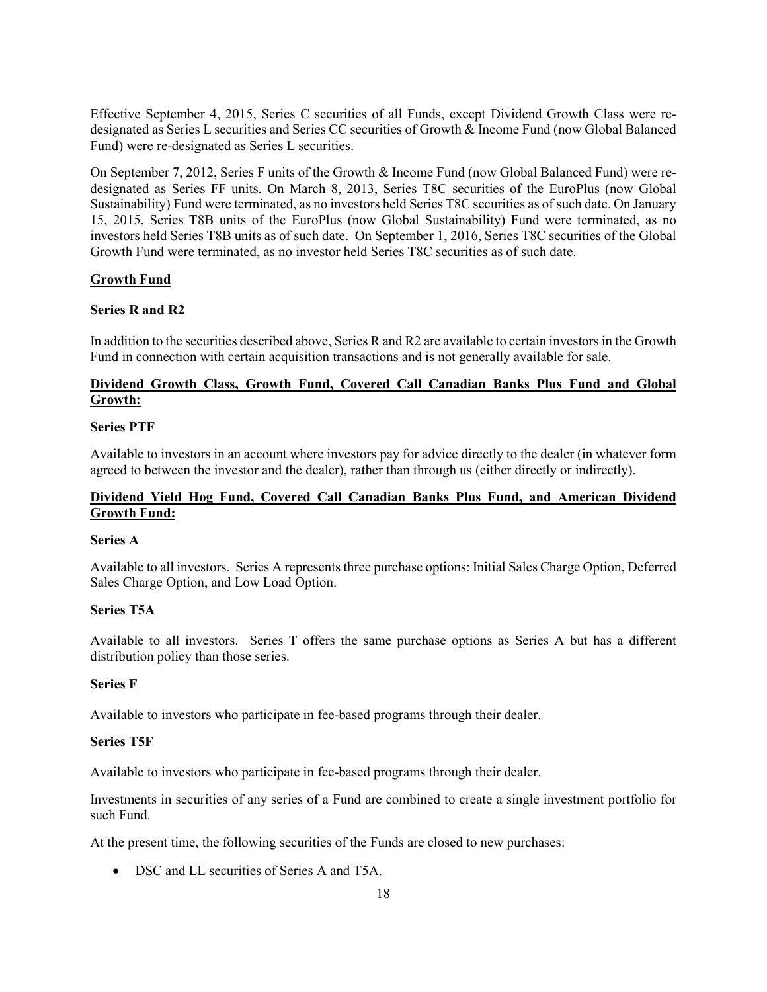Effective September 4, 2015, Series C securities of all Funds, except Dividend Growth Class were redesignated as Series L securities and Series CC securities of Growth & Income Fund (now Global Balanced Fund) were re-designated as Series L securities.

On September 7, 2012, Series F units of the Growth & Income Fund (now Global Balanced Fund) were redesignated as Series FF units. On March 8, 2013, Series T8C securities of the EuroPlus (now Global Sustainability) Fund were terminated, as no investors held Series T8C securities as of such date. On January 15, 2015, Series T8B units of the EuroPlus (now Global Sustainability) Fund were terminated, as no investors held Series T8B units as of such date. On September 1, 2016, Series T8C securities of the Global Growth Fund were terminated, as no investor held Series T8C securities as of such date.

## **Growth Fund**

#### **Series R and R2**

In addition to the securities described above, Series R and R2 are available to certain investors in the Growth Fund in connection with certain acquisition transactions and is not generally available for sale.

## **Dividend Growth Class, Growth Fund, Covered Call Canadian Banks Plus Fund and Global Growth:**

#### **Series PTF**

Available to investors in an account where investors pay for advice directly to the dealer (in whatever form agreed to between the investor and the dealer), rather than through us (either directly or indirectly).

## **Dividend Yield Hog Fund, Covered Call Canadian Banks Plus Fund, and American Dividend Growth Fund:**

#### **Series A**

Available to all investors. Series A represents three purchase options: Initial Sales Charge Option, Deferred Sales Charge Option, and Low Load Option.

#### **Series T5A**

Available to all investors. Series T offers the same purchase options as Series A but has a different distribution policy than those series.

#### **Series F**

Available to investors who participate in fee-based programs through their dealer.

#### **Series T5F**

Available to investors who participate in fee-based programs through their dealer.

Investments in securities of any series of a Fund are combined to create a single investment portfolio for such Fund.

At the present time, the following securities of the Funds are closed to new purchases:

• DSC and LL securities of Series A and T5A.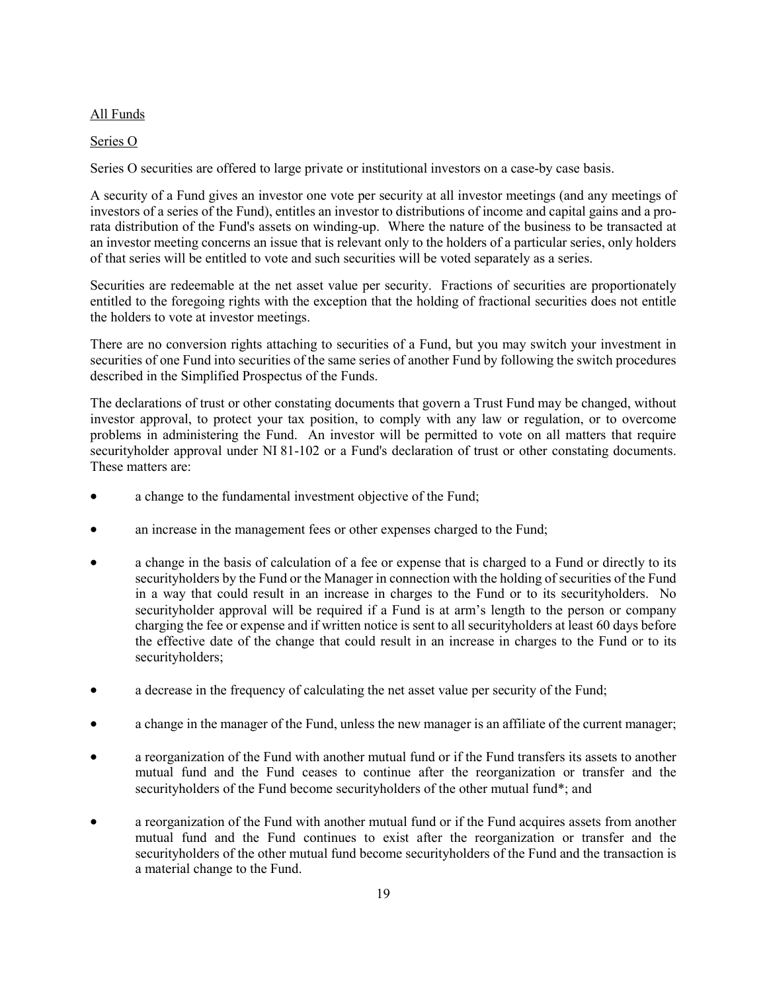### All Funds

#### Series O

Series O securities are offered to large private or institutional investors on a case-by case basis.

A security of a Fund gives an investor one vote per security at all investor meetings (and any meetings of investors of a series of the Fund), entitles an investor to distributions of income and capital gains and a prorata distribution of the Fund's assets on winding-up. Where the nature of the business to be transacted at an investor meeting concerns an issue that is relevant only to the holders of a particular series, only holders of that series will be entitled to vote and such securities will be voted separately as a series.

Securities are redeemable at the net asset value per security. Fractions of securities are proportionately entitled to the foregoing rights with the exception that the holding of fractional securities does not entitle the holders to vote at investor meetings.

There are no conversion rights attaching to securities of a Fund, but you may switch your investment in securities of one Fund into securities of the same series of another Fund by following the switch procedures described in the Simplified Prospectus of the Funds.

The declarations of trust or other constating documents that govern a Trust Fund may be changed, without investor approval, to protect your tax position, to comply with any law or regulation, or to overcome problems in administering the Fund. An investor will be permitted to vote on all matters that require securityholder approval under NI 81-102 or a Fund's declaration of trust or other constating documents. These matters are:

- a change to the fundamental investment objective of the Fund;
- an increase in the management fees or other expenses charged to the Fund;
- a change in the basis of calculation of a fee or expense that is charged to a Fund or directly to its securityholders by the Fund or the Manager in connection with the holding of securities of the Fund in a way that could result in an increase in charges to the Fund or to its securityholders. No securityholder approval will be required if a Fund is at arm's length to the person or company charging the fee or expense and if written notice is sent to all securityholders at least 60 days before the effective date of the change that could result in an increase in charges to the Fund or to its securityholders;
- a decrease in the frequency of calculating the net asset value per security of the Fund;
- a change in the manager of the Fund, unless the new manager is an affiliate of the current manager;
- a reorganization of the Fund with another mutual fund or if the Fund transfers its assets to another mutual fund and the Fund ceases to continue after the reorganization or transfer and the securityholders of the Fund become securityholders of the other mutual fund\*; and
- a reorganization of the Fund with another mutual fund or if the Fund acquires assets from another mutual fund and the Fund continues to exist after the reorganization or transfer and the securityholders of the other mutual fund become securityholders of the Fund and the transaction is a material change to the Fund.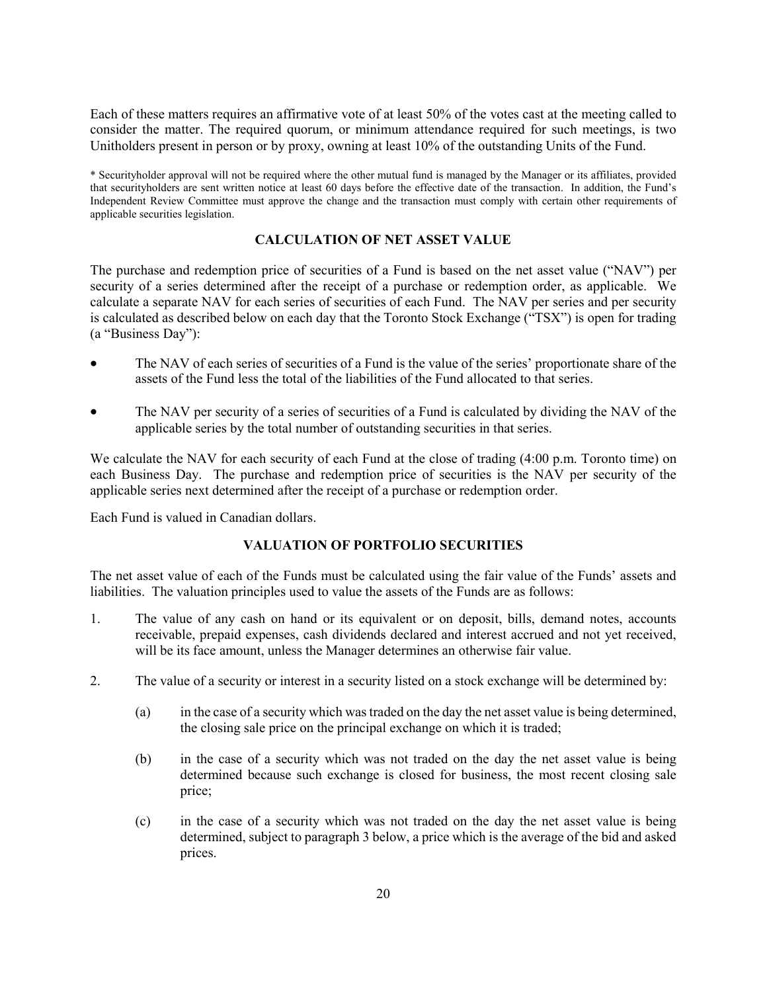Each of these matters requires an affirmative vote of at least 50% of the votes cast at the meeting called to consider the matter. The required quorum, or minimum attendance required for such meetings, is two Unitholders present in person or by proxy, owning at least 10% of the outstanding Units of the Fund.

\* Securityholder approval will not be required where the other mutual fund is managed by the Manager or its affiliates, provided that securityholders are sent written notice at least 60 days before the effective date of the transaction. In addition, the Fund's Independent Review Committee must approve the change and the transaction must comply with certain other requirements of applicable securities legislation.

### **CALCULATION OF NET ASSET VALUE**

<span id="page-20-0"></span>The purchase and redemption price of securities of a Fund is based on the net asset value ("NAV") per security of a series determined after the receipt of a purchase or redemption order, as applicable. We calculate a separate NAV for each series of securities of each Fund. The NAV per series and per security is calculated as described below on each day that the Toronto Stock Exchange ("TSX") is open for trading (a "Business Day"):

- The NAV of each series of securities of a Fund is the value of the series' proportionate share of the assets of the Fund less the total of the liabilities of the Fund allocated to that series.
- The NAV per security of a series of securities of a Fund is calculated by dividing the NAV of the applicable series by the total number of outstanding securities in that series.

We calculate the NAV for each security of each Fund at the close of trading  $(4:00 \text{ p.m.}$  Toronto time) on each Business Day. The purchase and redemption price of securities is the NAV per security of the applicable series next determined after the receipt of a purchase or redemption order.

<span id="page-20-1"></span>Each Fund is valued in Canadian dollars.

## **VALUATION OF PORTFOLIO SECURITIES**

The net asset value of each of the Funds must be calculated using the fair value of the Funds' assets and liabilities. The valuation principles used to value the assets of the Funds are as follows:

- 1. The value of any cash on hand or its equivalent or on deposit, bills, demand notes, accounts receivable, prepaid expenses, cash dividends declared and interest accrued and not yet received, will be its face amount, unless the Manager determines an otherwise fair value.
- 2. The value of a security or interest in a security listed on a stock exchange will be determined by:
	- (a) in the case of a security which was traded on the day the net asset value is being determined, the closing sale price on the principal exchange on which it is traded;
	- (b) in the case of a security which was not traded on the day the net asset value is being determined because such exchange is closed for business, the most recent closing sale price;
	- (c) in the case of a security which was not traded on the day the net asset value is being determined, subject to paragraph 3 below, a price which is the average of the bid and asked prices.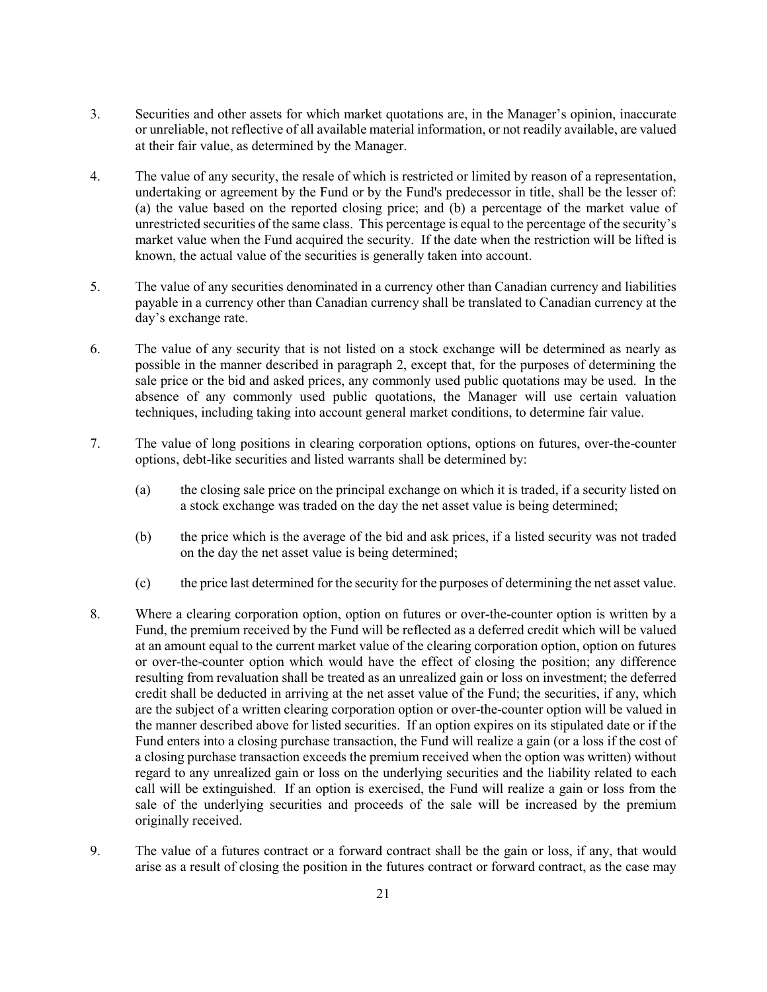- 3. Securities and other assets for which market quotations are, in the Manager's opinion, inaccurate or unreliable, not reflective of all available material information, or not readily available, are valued at their fair value, as determined by the Manager.
- 4. The value of any security, the resale of which is restricted or limited by reason of a representation, undertaking or agreement by the Fund or by the Fund's predecessor in title, shall be the lesser of: (a) the value based on the reported closing price; and (b) a percentage of the market value of unrestricted securities of the same class. This percentage is equal to the percentage of the security's market value when the Fund acquired the security. If the date when the restriction will be lifted is known, the actual value of the securities is generally taken into account.
- 5. The value of any securities denominated in a currency other than Canadian currency and liabilities payable in a currency other than Canadian currency shall be translated to Canadian currency at the day's exchange rate.
- 6. The value of any security that is not listed on a stock exchange will be determined as nearly as possible in the manner described in paragraph 2, except that, for the purposes of determining the sale price or the bid and asked prices, any commonly used public quotations may be used. In the absence of any commonly used public quotations, the Manager will use certain valuation techniques, including taking into account general market conditions, to determine fair value.
- 7. The value of long positions in clearing corporation options, options on futures, over-the-counter options, debt-like securities and listed warrants shall be determined by:
	- (a) the closing sale price on the principal exchange on which it is traded, if a security listed on a stock exchange was traded on the day the net asset value is being determined;
	- (b) the price which is the average of the bid and ask prices, if a listed security was not traded on the day the net asset value is being determined;
	- (c) the price last determined for the security for the purposes of determining the net asset value.
- 8. Where a clearing corporation option, option on futures or over-the-counter option is written by a Fund, the premium received by the Fund will be reflected as a deferred credit which will be valued at an amount equal to the current market value of the clearing corporation option, option on futures or over-the-counter option which would have the effect of closing the position; any difference resulting from revaluation shall be treated as an unrealized gain or loss on investment; the deferred credit shall be deducted in arriving at the net asset value of the Fund; the securities, if any, which are the subject of a written clearing corporation option or over-the-counter option will be valued in the manner described above for listed securities. If an option expires on its stipulated date or if the Fund enters into a closing purchase transaction, the Fund will realize a gain (or a loss if the cost of a closing purchase transaction exceeds the premium received when the option was written) without regard to any unrealized gain or loss on the underlying securities and the liability related to each call will be extinguished. If an option is exercised, the Fund will realize a gain or loss from the sale of the underlying securities and proceeds of the sale will be increased by the premium originally received.
- 9. The value of a futures contract or a forward contract shall be the gain or loss, if any, that would arise as a result of closing the position in the futures contract or forward contract, as the case may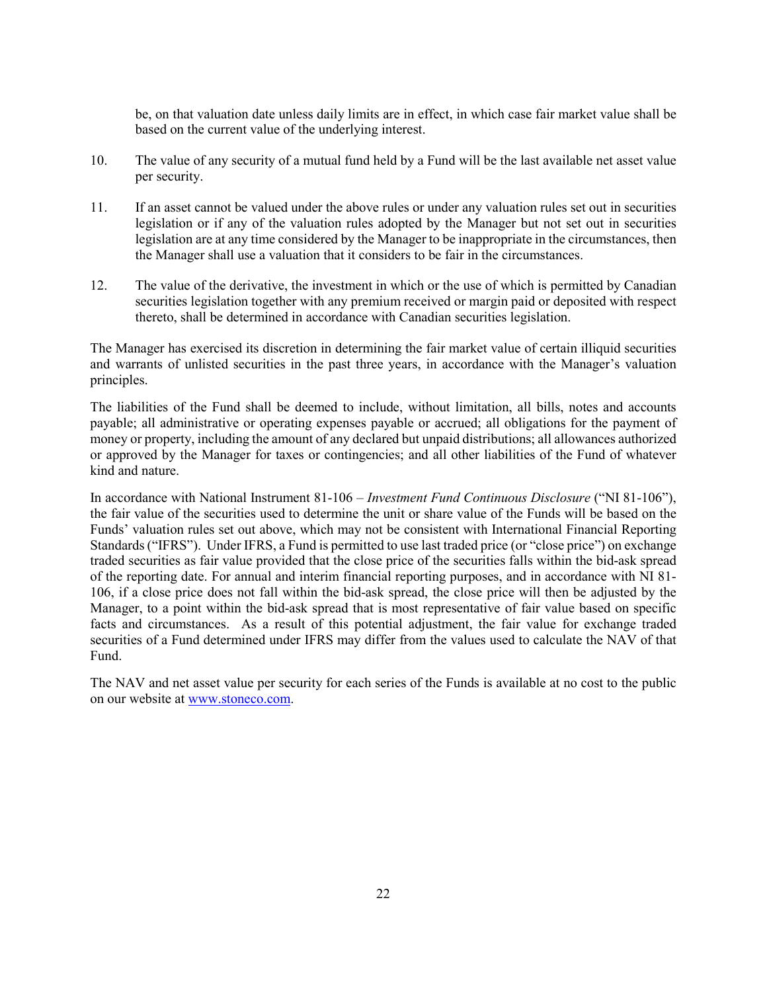be, on that valuation date unless daily limits are in effect, in which case fair market value shall be based on the current value of the underlying interest.

- 10. The value of any security of a mutual fund held by a Fund will be the last available net asset value per security.
- 11. If an asset cannot be valued under the above rules or under any valuation rules set out in securities legislation or if any of the valuation rules adopted by the Manager but not set out in securities legislation are at any time considered by the Manager to be inappropriate in the circumstances, then the Manager shall use a valuation that it considers to be fair in the circumstances.
- 12. The value of the derivative, the investment in which or the use of which is permitted by Canadian securities legislation together with any premium received or margin paid or deposited with respect thereto, shall be determined in accordance with Canadian securities legislation.

The Manager has exercised its discretion in determining the fair market value of certain illiquid securities and warrants of unlisted securities in the past three years, in accordance with the Manager's valuation principles.

The liabilities of the Fund shall be deemed to include, without limitation, all bills, notes and accounts payable; all administrative or operating expenses payable or accrued; all obligations for the payment of money or property, including the amount of any declared but unpaid distributions; all allowances authorized or approved by the Manager for taxes or contingencies; and all other liabilities of the Fund of whatever kind and nature.

In accordance with National Instrument 81-106 – *Investment Fund Continuous Disclosure* ("NI 81-106"), the fair value of the securities used to determine the unit or share value of the Funds will be based on the Funds' valuation rules set out above, which may not be consistent with International Financial Reporting Standards ("IFRS"). Under IFRS, a Fund is permitted to use last traded price (or "close price") on exchange traded securities as fair value provided that the close price of the securities falls within the bid-ask spread of the reporting date. For annual and interim financial reporting purposes, and in accordance with NI 81- 106, if a close price does not fall within the bid-ask spread, the close price will then be adjusted by the Manager, to a point within the bid-ask spread that is most representative of fair value based on specific facts and circumstances. As a result of this potential adjustment, the fair value for exchange traded securities of a Fund determined under IFRS may differ from the values used to calculate the NAV of that Fund.

The NAV and net asset value per security for each series of the Funds is available at no cost to the public on our website at [www.stoneco.com.](http://www.stoneco.com/)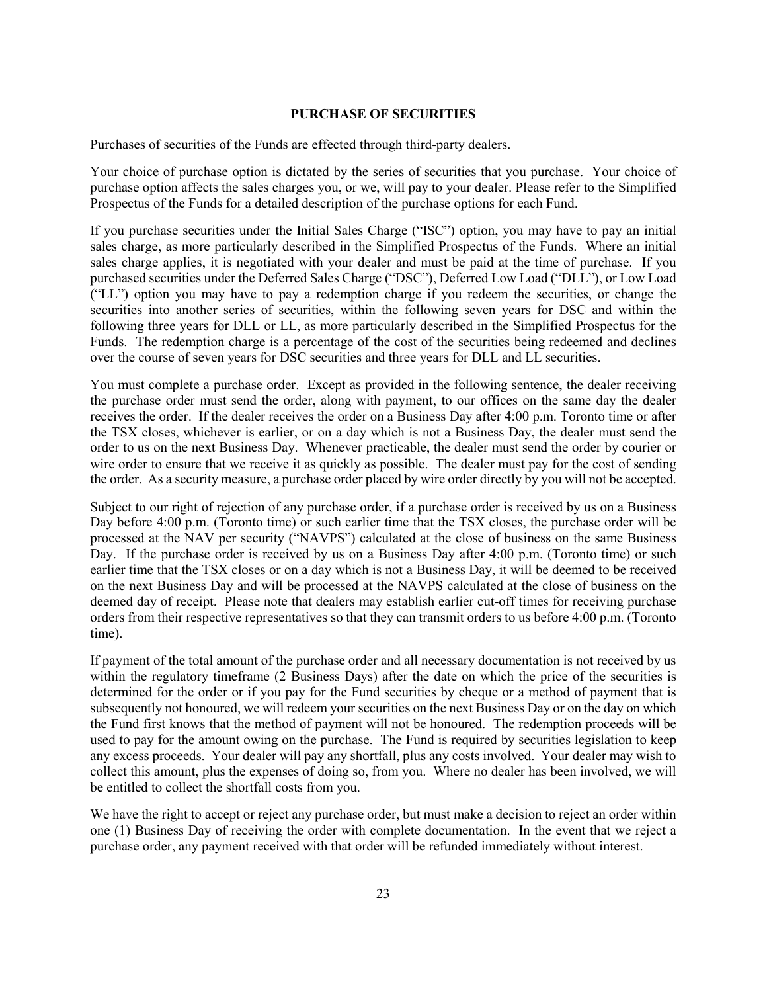#### **PURCHASE OF SECURITIES**

<span id="page-23-0"></span>Purchases of securities of the Funds are effected through third-party dealers.

Your choice of purchase option is dictated by the series of securities that you purchase. Your choice of purchase option affects the sales charges you, or we, will pay to your dealer. Please refer to the Simplified Prospectus of the Funds for a detailed description of the purchase options for each Fund.

If you purchase securities under the Initial Sales Charge ("ISC") option, you may have to pay an initial sales charge, as more particularly described in the Simplified Prospectus of the Funds. Where an initial sales charge applies, it is negotiated with your dealer and must be paid at the time of purchase. If you purchased securities under the Deferred Sales Charge ("DSC"), Deferred Low Load ("DLL"), or Low Load ("LL") option you may have to pay a redemption charge if you redeem the securities, or change the securities into another series of securities, within the following seven years for DSC and within the following three years for DLL or LL, as more particularly described in the Simplified Prospectus for the Funds. The redemption charge is a percentage of the cost of the securities being redeemed and declines over the course of seven years for DSC securities and three years for DLL and LL securities.

You must complete a purchase order. Except as provided in the following sentence, the dealer receiving the purchase order must send the order, along with payment, to our offices on the same day the dealer receives the order. If the dealer receives the order on a Business Day after 4:00 p.m. Toronto time or after the TSX closes, whichever is earlier, or on a day which is not a Business Day, the dealer must send the order to us on the next Business Day. Whenever practicable, the dealer must send the order by courier or wire order to ensure that we receive it as quickly as possible. The dealer must pay for the cost of sending the order. As a security measure, a purchase order placed by wire order directly by you will not be accepted.

Subject to our right of rejection of any purchase order, if a purchase order is received by us on a Business Day before 4:00 p.m. (Toronto time) or such earlier time that the TSX closes, the purchase order will be processed at the NAV per security ("NAVPS") calculated at the close of business on the same Business Day. If the purchase order is received by us on a Business Day after 4:00 p.m. (Toronto time) or such earlier time that the TSX closes or on a day which is not a Business Day, it will be deemed to be received on the next Business Day and will be processed at the NAVPS calculated at the close of business on the deemed day of receipt. Please note that dealers may establish earlier cut-off times for receiving purchase orders from their respective representatives so that they can transmit orders to us before 4:00 p.m. (Toronto time).

If payment of the total amount of the purchase order and all necessary documentation is not received by us within the regulatory timeframe (2 Business Days) after the date on which the price of the securities is determined for the order or if you pay for the Fund securities by cheque or a method of payment that is subsequently not honoured, we will redeem your securities on the next Business Day or on the day on which the Fund first knows that the method of payment will not be honoured. The redemption proceeds will be used to pay for the amount owing on the purchase. The Fund is required by securities legislation to keep any excess proceeds. Your dealer will pay any shortfall, plus any costs involved. Your dealer may wish to collect this amount, plus the expenses of doing so, from you. Where no dealer has been involved, we will be entitled to collect the shortfall costs from you.

We have the right to accept or reject any purchase order, but must make a decision to reject an order within one (1) Business Day of receiving the order with complete documentation. In the event that we reject a purchase order, any payment received with that order will be refunded immediately without interest.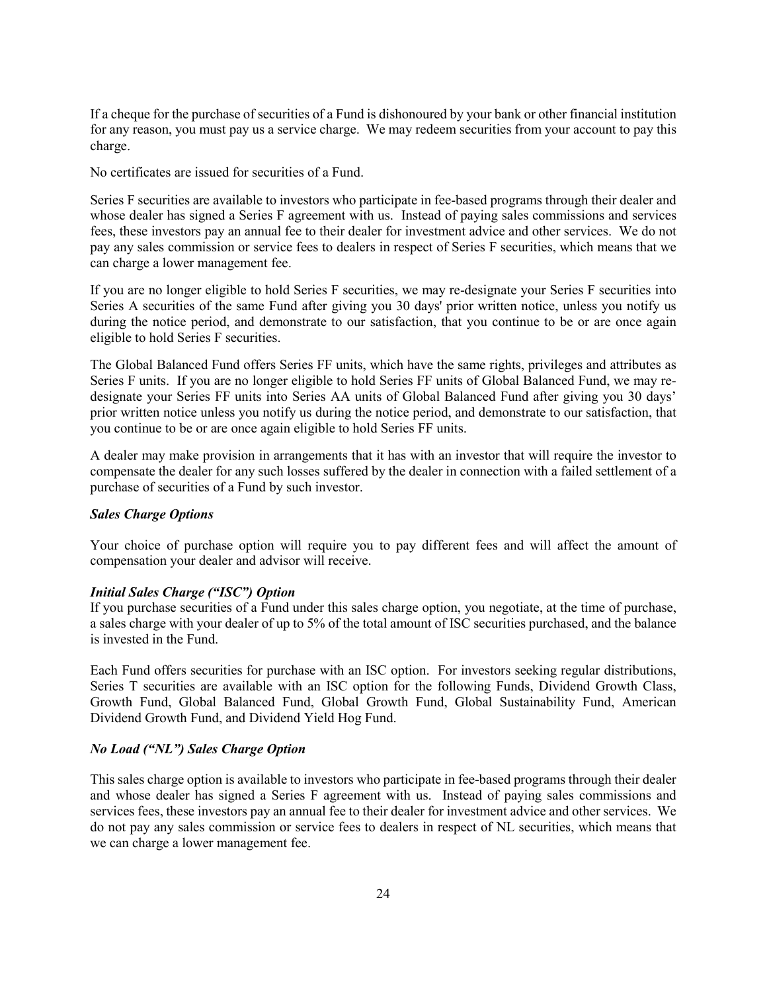If a cheque for the purchase of securities of a Fund is dishonoured by your bank or other financial institution for any reason, you must pay us a service charge. We may redeem securities from your account to pay this charge.

No certificates are issued for securities of a Fund.

Series F securities are available to investors who participate in fee-based programs through their dealer and whose dealer has signed a Series F agreement with us. Instead of paying sales commissions and services fees, these investors pay an annual fee to their dealer for investment advice and other services. We do not pay any sales commission or service fees to dealers in respect of Series F securities, which means that we can charge a lower management fee.

If you are no longer eligible to hold Series F securities, we may re-designate your Series F securities into Series A securities of the same Fund after giving you 30 days' prior written notice, unless you notify us during the notice period, and demonstrate to our satisfaction, that you continue to be or are once again eligible to hold Series F securities.

The Global Balanced Fund offers Series FF units, which have the same rights, privileges and attributes as Series F units. If you are no longer eligible to hold Series FF units of Global Balanced Fund, we may redesignate your Series FF units into Series AA units of Global Balanced Fund after giving you 30 days' prior written notice unless you notify us during the notice period, and demonstrate to our satisfaction, that you continue to be or are once again eligible to hold Series FF units.

A dealer may make provision in arrangements that it has with an investor that will require the investor to compensate the dealer for any such losses suffered by the dealer in connection with a failed settlement of a purchase of securities of a Fund by such investor.

#### *Sales Charge Options*

Your choice of purchase option will require you to pay different fees and will affect the amount of compensation your dealer and advisor will receive.

#### *Initial Sales Charge ("ISC") Option*

If you purchase securities of a Fund under this sales charge option, you negotiate, at the time of purchase, a sales charge with your dealer of up to 5% of the total amount of ISC securities purchased, and the balance is invested in the Fund.

Each Fund offers securities for purchase with an ISC option. For investors seeking regular distributions, Series T securities are available with an ISC option for the following Funds, Dividend Growth Class, Growth Fund, Global Balanced Fund, Global Growth Fund, Global Sustainability Fund, American Dividend Growth Fund, and Dividend Yield Hog Fund.

#### *No Load ("NL") Sales Charge Option*

This sales charge option is available to investors who participate in fee-based programs through their dealer and whose dealer has signed a Series F agreement with us. Instead of paying sales commissions and services fees, these investors pay an annual fee to their dealer for investment advice and other services. We do not pay any sales commission or service fees to dealers in respect of NL securities, which means that we can charge a lower management fee.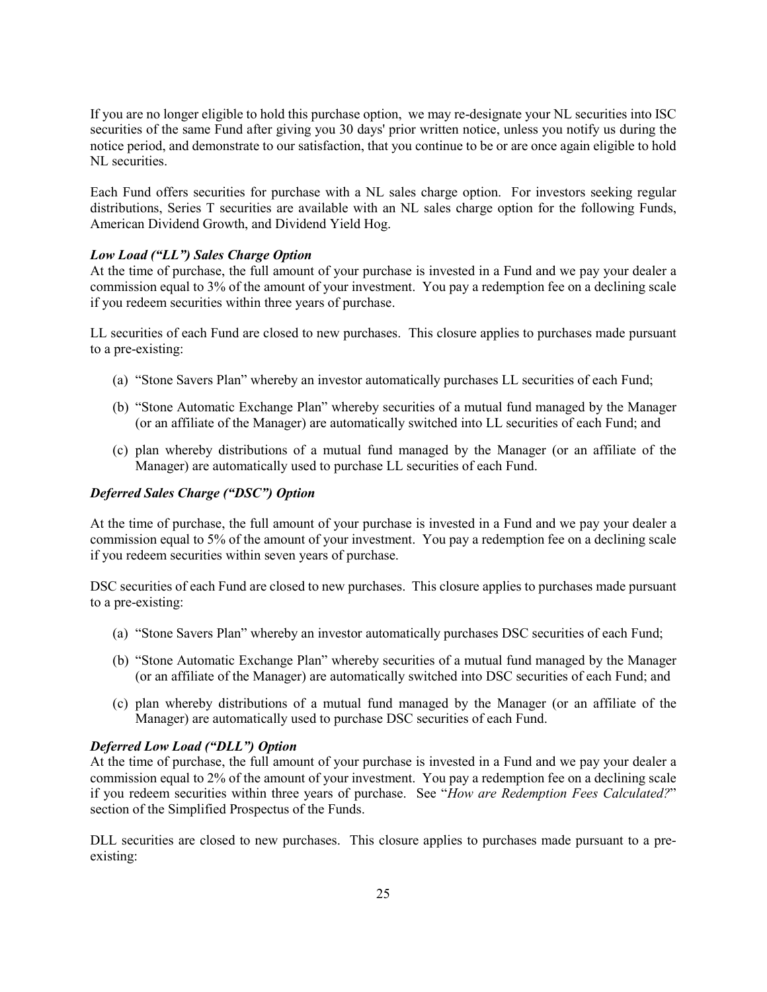If you are no longer eligible to hold this purchase option, we may re-designate your NL securities into ISC securities of the same Fund after giving you 30 days' prior written notice, unless you notify us during the notice period, and demonstrate to our satisfaction, that you continue to be or are once again eligible to hold NL securities.

Each Fund offers securities for purchase with a NL sales charge option. For investors seeking regular distributions, Series T securities are available with an NL sales charge option for the following Funds, American Dividend Growth, and Dividend Yield Hog.

#### *Low Load ("LL") Sales Charge Option*

At the time of purchase, the full amount of your purchase is invested in a Fund and we pay your dealer a commission equal to 3% of the amount of your investment. You pay a redemption fee on a declining scale if you redeem securities within three years of purchase.

LL securities of each Fund are closed to new purchases. This closure applies to purchases made pursuant to a pre-existing:

- (a) "Stone Savers Plan" whereby an investor automatically purchases LL securities of each Fund;
- (b) "Stone Automatic Exchange Plan" whereby securities of a mutual fund managed by the Manager (or an affiliate of the Manager) are automatically switched into LL securities of each Fund; and
- (c) plan whereby distributions of a mutual fund managed by the Manager (or an affiliate of the Manager) are automatically used to purchase LL securities of each Fund.

#### *Deferred Sales Charge ("DSC") Option*

At the time of purchase, the full amount of your purchase is invested in a Fund and we pay your dealer a commission equal to 5% of the amount of your investment. You pay a redemption fee on a declining scale if you redeem securities within seven years of purchase.

DSC securities of each Fund are closed to new purchases. This closure applies to purchases made pursuant to a pre-existing:

- (a) "Stone Savers Plan" whereby an investor automatically purchases DSC securities of each Fund;
- (b) "Stone Automatic Exchange Plan" whereby securities of a mutual fund managed by the Manager (or an affiliate of the Manager) are automatically switched into DSC securities of each Fund; and
- (c) plan whereby distributions of a mutual fund managed by the Manager (or an affiliate of the Manager) are automatically used to purchase DSC securities of each Fund.

#### *Deferred Low Load ("DLL") Option*

At the time of purchase, the full amount of your purchase is invested in a Fund and we pay your dealer a commission equal to 2% of the amount of your investment. You pay a redemption fee on a declining scale if you redeem securities within three years of purchase. See "*How are Redemption Fees Calculated?*" section of the Simplified Prospectus of the Funds.

DLL securities are closed to new purchases. This closure applies to purchases made pursuant to a preexisting: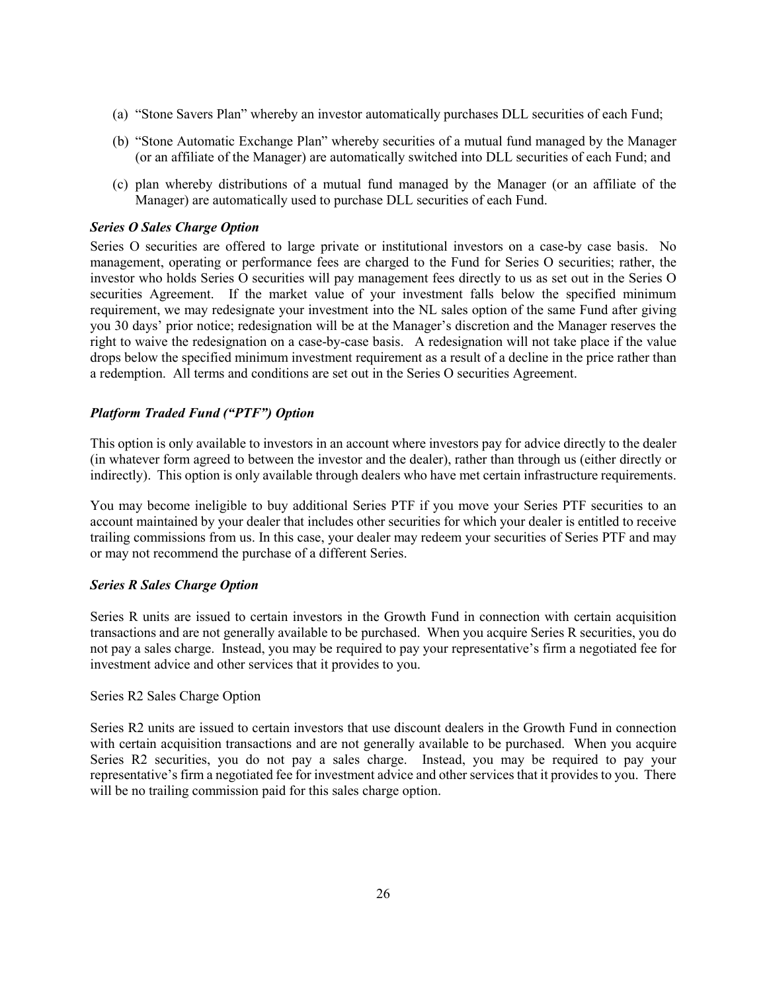- (a) "Stone Savers Plan" whereby an investor automatically purchases DLL securities of each Fund;
- (b) "Stone Automatic Exchange Plan" whereby securities of a mutual fund managed by the Manager (or an affiliate of the Manager) are automatically switched into DLL securities of each Fund; and
- (c) plan whereby distributions of a mutual fund managed by the Manager (or an affiliate of the Manager) are automatically used to purchase DLL securities of each Fund.

### *Series O Sales Charge Option*

Series O securities are offered to large private or institutional investors on a case-by case basis. No management, operating or performance fees are charged to the Fund for Series O securities; rather, the investor who holds Series O securities will pay management fees directly to us as set out in the Series O securities Agreement. If the market value of your investment falls below the specified minimum requirement, we may redesignate your investment into the NL sales option of the same Fund after giving you 30 days' prior notice; redesignation will be at the Manager's discretion and the Manager reserves the right to waive the redesignation on a case-by-case basis. A redesignation will not take place if the value drops below the specified minimum investment requirement as a result of a decline in the price rather than a redemption. All terms and conditions are set out in the Series O securities Agreement.

#### *Platform Traded Fund ("PTF") Option*

This option is only available to investors in an account where investors pay for advice directly to the dealer (in whatever form agreed to between the investor and the dealer), rather than through us (either directly or indirectly). This option is only available through dealers who have met certain infrastructure requirements.

You may become ineligible to buy additional Series PTF if you move your Series PTF securities to an account maintained by your dealer that includes other securities for which your dealer is entitled to receive trailing commissions from us. In this case, your dealer may redeem your securities of Series PTF and may or may not recommend the purchase of a different Series.

#### *Series R Sales Charge Option*

Series R units are issued to certain investors in the Growth Fund in connection with certain acquisition transactions and are not generally available to be purchased. When you acquire Series R securities, you do not pay a sales charge. Instead, you may be required to pay your representative's firm a negotiated fee for investment advice and other services that it provides to you.

#### Series R2 Sales Charge Option

Series R2 units are issued to certain investors that use discount dealers in the Growth Fund in connection with certain acquisition transactions and are not generally available to be purchased. When you acquire Series R2 securities, you do not pay a sales charge. Instead, you may be required to pay your representative's firm a negotiated fee for investment advice and other services that it provides to you. There will be no trailing commission paid for this sales charge option.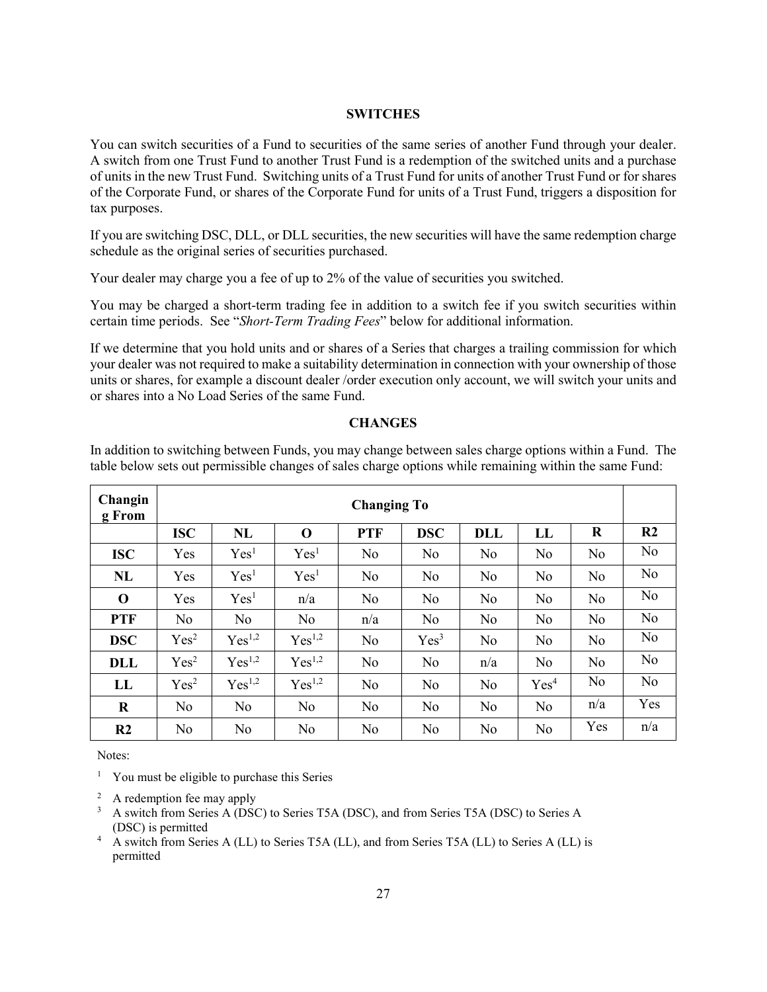#### **SWITCHES**

<span id="page-27-0"></span>You can switch securities of a Fund to securities of the same series of another Fund through your dealer. A switch from one Trust Fund to another Trust Fund is a redemption of the switched units and a purchase of units in the new Trust Fund. Switching units of a Trust Fund for units of another Trust Fund or for shares of the Corporate Fund, or shares of the Corporate Fund for units of a Trust Fund, triggers a disposition for tax purposes.

If you are switching DSC, DLL, or DLL securities, the new securities will have the same redemption charge schedule as the original series of securities purchased.

Your dealer may charge you a fee of up to 2% of the value of securities you switched.

You may be charged a short-term trading fee in addition to a switch fee if you switch securities within certain time periods. See "*Short-Term Trading Fees*" below for additional information.

If we determine that you hold units and or shares of a Series that charges a trailing commission for which your dealer was not required to make a suitability determination in connection with your ownership of those units or shares, for example a discount dealer /order execution only account, we will switch your units and or shares into a No Load Series of the same Fund.

#### **CHANGES**

<span id="page-27-1"></span>In addition to switching between Funds, you may change between sales charge options within a Fund. The table below sets out permissible changes of sales charge options while remaining within the same Fund:

| Changin<br>g From | <b>Changing To</b> |                    |                    |            |                  |                |                  |                |                |
|-------------------|--------------------|--------------------|--------------------|------------|------------------|----------------|------------------|----------------|----------------|
|                   | <b>ISC</b>         | NL                 | $\bf{0}$           | <b>PTF</b> | <b>DSC</b>       | <b>DLL</b>     | $\bf LL$         | R              | R <sub>2</sub> |
| <b>ISC</b>        | Yes                | Yes <sup>1</sup>   | Yes <sup>1</sup>   | No         | No               | N <sub>o</sub> | N <sub>o</sub>   | No             | No             |
| NL                | Yes                | Yes <sup>1</sup>   | Yes <sup>1</sup>   | No         | No               | N <sub>o</sub> | N <sub>o</sub>   | No             | N <sub>o</sub> |
| $\mathbf 0$       | Yes                | Yes <sup>1</sup>   | n/a                | No         | N <sub>o</sub>   | N <sub>o</sub> | N <sub>o</sub>   | N <sub>o</sub> | N <sub>o</sub> |
| <b>PTF</b>        | No.                | N <sub>o</sub>     | N <sub>o</sub>     | n/a        | N <sub>o</sub>   | N <sub>o</sub> | N <sub>o</sub>   | N <sub>o</sub> | No             |
| <b>DSC</b>        | Yes <sup>2</sup>   | Yes <sup>1,2</sup> | Yes <sup>1,2</sup> | No         | Yes <sup>3</sup> | N <sub>o</sub> | N <sub>o</sub>   | N <sub>o</sub> | No             |
| <b>DLL</b>        | Yes <sup>2</sup>   | Yes <sup>1,2</sup> | Yes <sup>1,2</sup> | No         | No               | n/a            | N <sub>o</sub>   | No             | No             |
| LL                | Yes <sup>2</sup>   | Yes <sup>1,2</sup> | Yes <sup>1,2</sup> | No         | No               | N <sub>o</sub> | Yes <sup>4</sup> | No             | N <sub>o</sub> |
| $\bf R$           | No.                | N <sub>o</sub>     | N <sub>o</sub>     | No         | N <sub>o</sub>   | N <sub>o</sub> | N <sub>o</sub>   | n/a            | Yes            |
| R <sub>2</sub>    | No                 | No                 | N <sub>o</sub>     | No         | No               | No             | N <sub>o</sub>   | Yes            | n/a            |

Notes:

<sup>1</sup> You must be eligible to purchase this Series

<sup>2</sup> A redemption fee may apply

<sup>3</sup> A switch from Series A (DSC) to Series T5A (DSC), and from Series T5A (DSC) to Series A (DSC) is permitted

<sup>4</sup> A switch from Series A (LL) to Series T5A (LL), and from Series T5A (LL) to Series A (LL) is permitted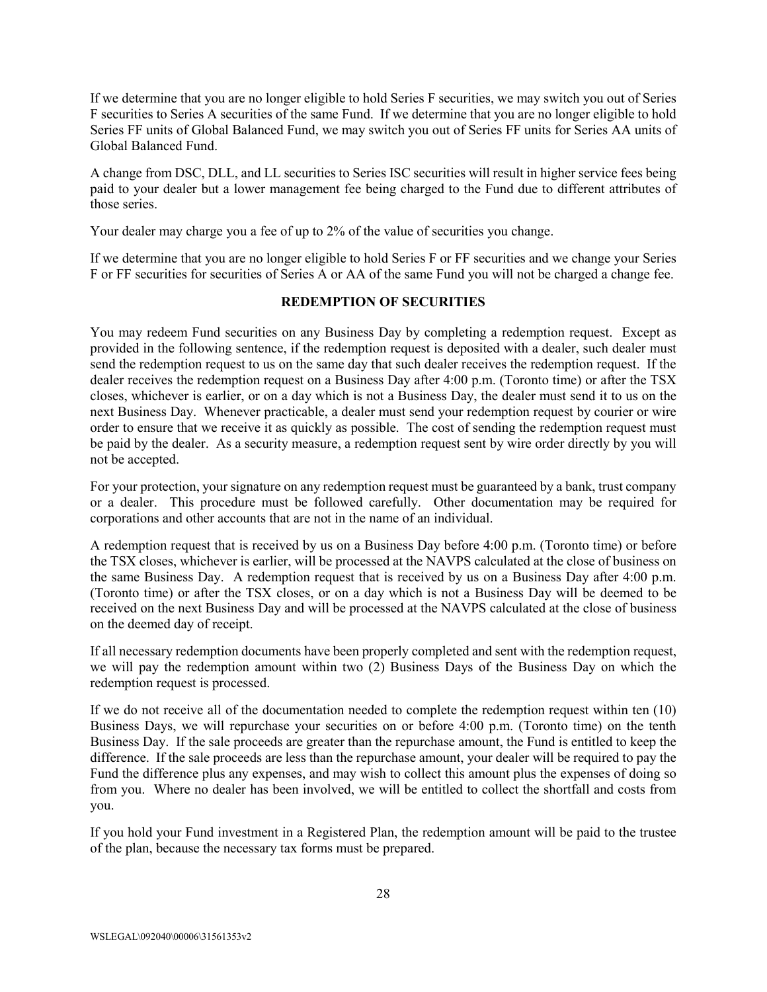If we determine that you are no longer eligible to hold Series F securities, we may switch you out of Series F securities to Series A securities of the same Fund. If we determine that you are no longer eligible to hold Series FF units of Global Balanced Fund, we may switch you out of Series FF units for Series AA units of Global Balanced Fund.

A change from DSC, DLL, and LL securities to Series ISC securities will result in higher service fees being paid to your dealer but a lower management fee being charged to the Fund due to different attributes of those series.

Your dealer may charge you a fee of up to 2% of the value of securities you change.

If we determine that you are no longer eligible to hold Series F or FF securities and we change your Series F or FF securities for securities of Series A or AA of the same Fund you will not be charged a change fee.

#### **REDEMPTION OF SECURITIES**

<span id="page-28-0"></span>You may redeem Fund securities on any Business Day by completing a redemption request. Except as provided in the following sentence, if the redemption request is deposited with a dealer, such dealer must send the redemption request to us on the same day that such dealer receives the redemption request. If the dealer receives the redemption request on a Business Day after 4:00 p.m. (Toronto time) or after the TSX closes, whichever is earlier, or on a day which is not a Business Day, the dealer must send it to us on the next Business Day. Whenever practicable, a dealer must send your redemption request by courier or wire order to ensure that we receive it as quickly as possible. The cost of sending the redemption request must be paid by the dealer. As a security measure, a redemption request sent by wire order directly by you will not be accepted.

For your protection, your signature on any redemption request must be guaranteed by a bank, trust company or a dealer. This procedure must be followed carefully. Other documentation may be required for corporations and other accounts that are not in the name of an individual.

A redemption request that is received by us on a Business Day before 4:00 p.m. (Toronto time) or before the TSX closes, whichever is earlier, will be processed at the NAVPS calculated at the close of business on the same Business Day. A redemption request that is received by us on a Business Day after 4:00 p.m. (Toronto time) or after the TSX closes, or on a day which is not a Business Day will be deemed to be received on the next Business Day and will be processed at the NAVPS calculated at the close of business on the deemed day of receipt.

If all necessary redemption documents have been properly completed and sent with the redemption request, we will pay the redemption amount within two (2) Business Days of the Business Day on which the redemption request is processed.

If we do not receive all of the documentation needed to complete the redemption request within ten (10) Business Days, we will repurchase your securities on or before 4:00 p.m. (Toronto time) on the tenth Business Day. If the sale proceeds are greater than the repurchase amount, the Fund is entitled to keep the difference. If the sale proceeds are less than the repurchase amount, your dealer will be required to pay the Fund the difference plus any expenses, and may wish to collect this amount plus the expenses of doing so from you. Where no dealer has been involved, we will be entitled to collect the shortfall and costs from you.

If you hold your Fund investment in a Registered Plan, the redemption amount will be paid to the trustee of the plan, because the necessary tax forms must be prepared.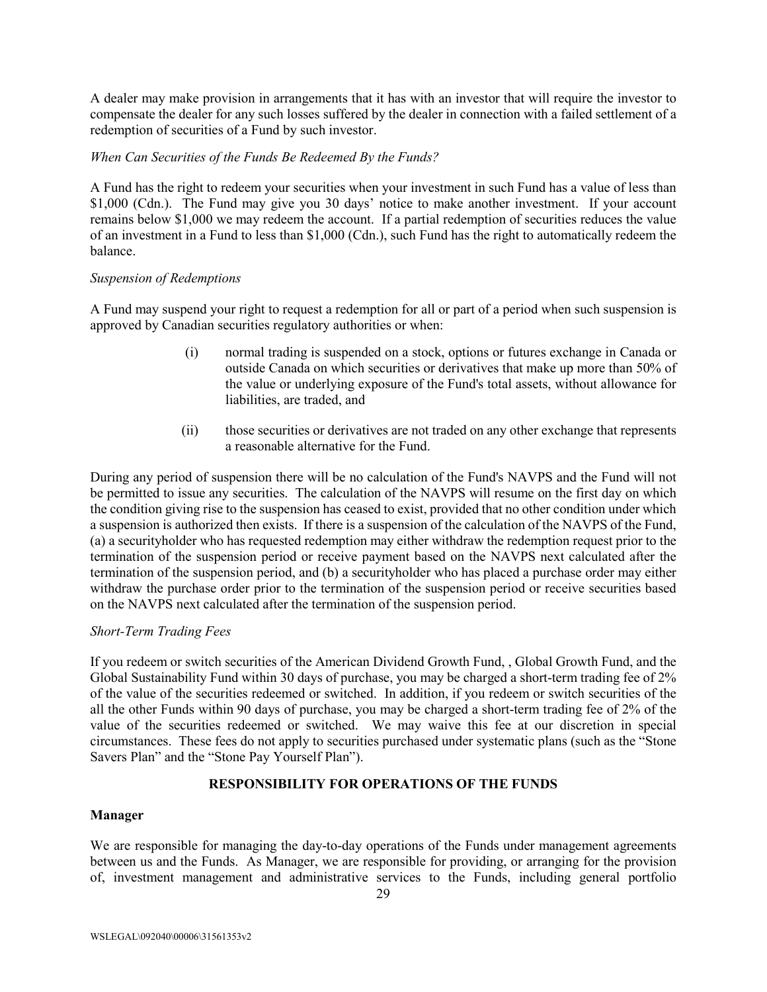A dealer may make provision in arrangements that it has with an investor that will require the investor to compensate the dealer for any such losses suffered by the dealer in connection with a failed settlement of a redemption of securities of a Fund by such investor.

## *When Can Securities of the Funds Be Redeemed By the Funds?*

A Fund has the right to redeem your securities when your investment in such Fund has a value of less than \$1,000 (Cdn.). The Fund may give you 30 days' notice to make another investment. If your account remains below \$1,000 we may redeem the account. If a partial redemption of securities reduces the value of an investment in a Fund to less than \$1,000 (Cdn.), such Fund has the right to automatically redeem the balance.

## *Suspension of Redemptions*

A Fund may suspend your right to request a redemption for all or part of a period when such suspension is approved by Canadian securities regulatory authorities or when:

- (i) normal trading is suspended on a stock, options or futures exchange in Canada or outside Canada on which securities or derivatives that make up more than 50% of the value or underlying exposure of the Fund's total assets, without allowance for liabilities, are traded, and
- (ii) those securities or derivatives are not traded on any other exchange that represents a reasonable alternative for the Fund.

During any period of suspension there will be no calculation of the Fund's NAVPS and the Fund will not be permitted to issue any securities. The calculation of the NAVPS will resume on the first day on which the condition giving rise to the suspension has ceased to exist, provided that no other condition under which a suspension is authorized then exists. If there is a suspension of the calculation of the NAVPS of the Fund, (a) a securityholder who has requested redemption may either withdraw the redemption request prior to the termination of the suspension period or receive payment based on the NAVPS next calculated after the termination of the suspension period, and (b) a securityholder who has placed a purchase order may either withdraw the purchase order prior to the termination of the suspension period or receive securities based on the NAVPS next calculated after the termination of the suspension period.

## *Short-Term Trading Fees*

If you redeem or switch securities of the American Dividend Growth Fund, , Global Growth Fund, and the Global Sustainability Fund within 30 days of purchase, you may be charged a short-term trading fee of 2% of the value of the securities redeemed or switched. In addition, if you redeem or switch securities of the all the other Funds within 90 days of purchase, you may be charged a short-term trading fee of 2% of the value of the securities redeemed or switched. We may waive this fee at our discretion in special circumstances. These fees do not apply to securities purchased under systematic plans (such as the "Stone Savers Plan" and the "Stone Pay Yourself Plan").

# **RESPONSIBILITY FOR OPERATIONS OF THE FUNDS**

# <span id="page-29-0"></span>**Manager**

We are responsible for managing the day-to-day operations of the Funds under management agreements between us and the Funds. As Manager, we are responsible for providing, or arranging for the provision of, investment management and administrative services to the Funds, including general portfolio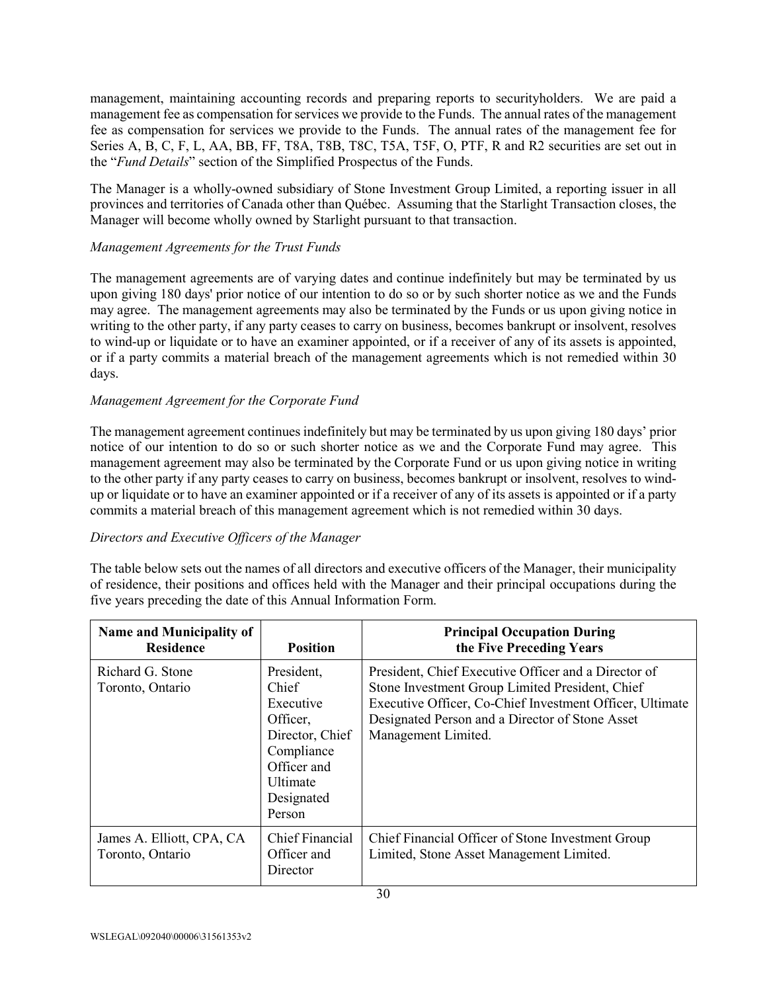management, maintaining accounting records and preparing reports to securityholders. We are paid a management fee as compensation for services we provide to the Funds. The annual rates of the management fee as compensation for services we provide to the Funds. The annual rates of the management fee for Series A, B, C, F, L, AA, BB, FF, T8A, T8B, T8C, T5A, T5F, O, PTF, R and R2 securities are set out in the "*Fund Details*" section of the Simplified Prospectus of the Funds.

The Manager is a wholly-owned subsidiary of Stone Investment Group Limited, a reporting issuer in all provinces and territories of Canada other than Québec. Assuming that the Starlight Transaction closes, the Manager will become wholly owned by Starlight pursuant to that transaction.

# *Management Agreements for the Trust Funds*

The management agreements are of varying dates and continue indefinitely but may be terminated by us upon giving 180 days' prior notice of our intention to do so or by such shorter notice as we and the Funds may agree. The management agreements may also be terminated by the Funds or us upon giving notice in writing to the other party, if any party ceases to carry on business, becomes bankrupt or insolvent, resolves to wind-up or liquidate or to have an examiner appointed, or if a receiver of any of its assets is appointed, or if a party commits a material breach of the management agreements which is not remedied within 30 days.

## *Management Agreement for the Corporate Fund*

The management agreement continues indefinitely but may be terminated by us upon giving 180 days' prior notice of our intention to do so or such shorter notice as we and the Corporate Fund may agree. This management agreement may also be terminated by the Corporate Fund or us upon giving notice in writing to the other party if any party ceases to carry on business, becomes bankrupt or insolvent, resolves to windup or liquidate or to have an examiner appointed or if a receiver of any of its assets is appointed or if a party commits a material breach of this management agreement which is not remedied within 30 days.

# *Directors and Executive Officers of the Manager*

The table below sets out the names of all directors and executive officers of the Manager, their municipality of residence, their positions and offices held with the Manager and their principal occupations during the five years preceding the date of this Annual Information Form.

| <b>Name and Municipality of</b><br><b>Residence</b><br><b>Position</b> |                                                                                                                                   | <b>Principal Occupation During</b><br>the Five Preceding Years                                                                                                                                                                                |
|------------------------------------------------------------------------|-----------------------------------------------------------------------------------------------------------------------------------|-----------------------------------------------------------------------------------------------------------------------------------------------------------------------------------------------------------------------------------------------|
| Richard G. Stone<br>Toronto, Ontario                                   | President,<br>Chief.<br>Executive<br>Officer,<br>Director, Chief<br>Compliance<br>Officer and<br>Ultimate<br>Designated<br>Person | President, Chief Executive Officer and a Director of<br>Stone Investment Group Limited President, Chief<br>Executive Officer, Co-Chief Investment Officer, Ultimate<br>Designated Person and a Director of Stone Asset<br>Management Limited. |
| James A. Elliott, CPA, CA<br>Toronto, Ontario                          | <b>Chief Financial</b><br>Officer and<br>Director                                                                                 | Chief Financial Officer of Stone Investment Group<br>Limited, Stone Asset Management Limited.                                                                                                                                                 |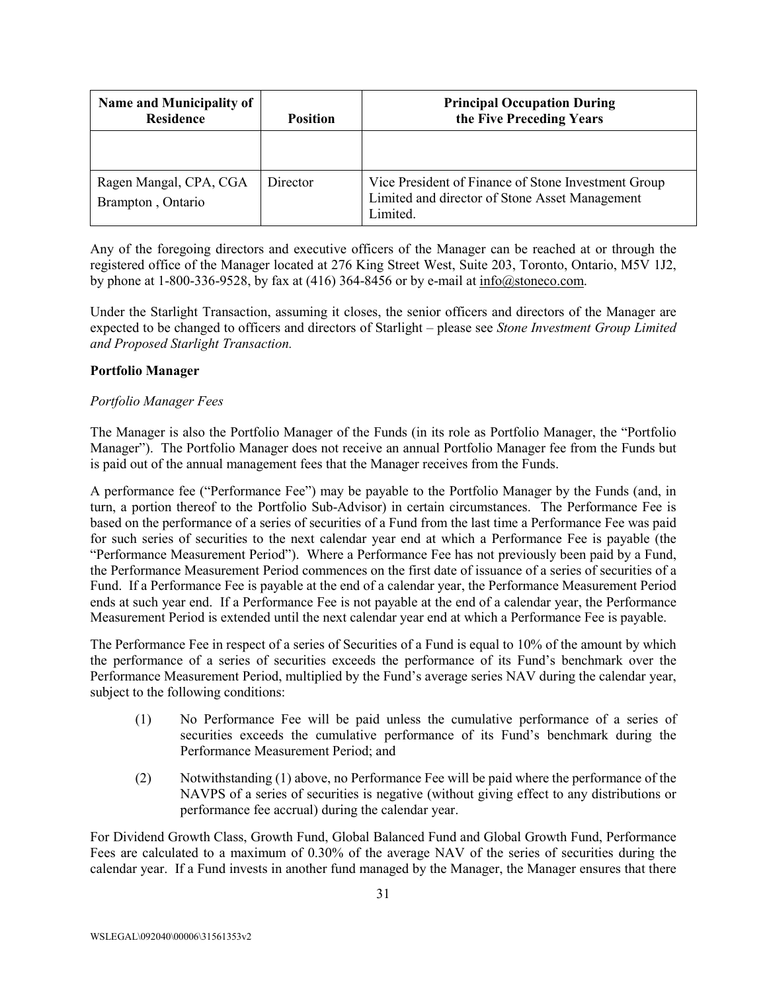| <b>Name and Municipality of</b><br><b>Residence</b> | <b>Position</b> | <b>Principal Occupation During</b><br>the Five Preceding Years                                                    |
|-----------------------------------------------------|-----------------|-------------------------------------------------------------------------------------------------------------------|
|                                                     |                 |                                                                                                                   |
| Ragen Mangal, CPA, CGA<br>Brampton, Ontario         | Director        | Vice President of Finance of Stone Investment Group<br>Limited and director of Stone Asset Management<br>Limited. |

Any of the foregoing directors and executive officers of the Manager can be reached at or through the registered office of the Manager located at 276 King Street West, Suite 203, Toronto, Ontario, M5V 1J2, by phone at 1-800-336-9528, by fax at (416) 364-8456 or by e-mail at [info@stoneco.com.](mailto:info@stoneco.com)

Under the Starlight Transaction, assuming it closes, the senior officers and directors of the Manager are expected to be changed to officers and directors of Starlight – please see *Stone Investment Group Limited and Proposed Starlight Transaction.*

## **Portfolio Manager**

## *Portfolio Manager Fees*

The Manager is also the Portfolio Manager of the Funds (in its role as Portfolio Manager, the "Portfolio Manager"). The Portfolio Manager does not receive an annual Portfolio Manager fee from the Funds but is paid out of the annual management fees that the Manager receives from the Funds.

A performance fee ("Performance Fee") may be payable to the Portfolio Manager by the Funds (and, in turn, a portion thereof to the Portfolio Sub-Advisor) in certain circumstances. The Performance Fee is based on the performance of a series of securities of a Fund from the last time a Performance Fee was paid for such series of securities to the next calendar year end at which a Performance Fee is payable (the "Performance Measurement Period"). Where a Performance Fee has not previously been paid by a Fund, the Performance Measurement Period commences on the first date of issuance of a series of securities of a Fund. If a Performance Fee is payable at the end of a calendar year, the Performance Measurement Period ends at such year end. If a Performance Fee is not payable at the end of a calendar year, the Performance Measurement Period is extended until the next calendar year end at which a Performance Fee is payable.

The Performance Fee in respect of a series of Securities of a Fund is equal to 10% of the amount by which the performance of a series of securities exceeds the performance of its Fund's benchmark over the Performance Measurement Period, multiplied by the Fund's average series NAV during the calendar year, subject to the following conditions:

- (1) No Performance Fee will be paid unless the cumulative performance of a series of securities exceeds the cumulative performance of its Fund's benchmark during the Performance Measurement Period; and
- (2) Notwithstanding (1) above, no Performance Fee will be paid where the performance of the NAVPS of a series of securities is negative (without giving effect to any distributions or performance fee accrual) during the calendar year.

For Dividend Growth Class, Growth Fund, Global Balanced Fund and Global Growth Fund, Performance Fees are calculated to a maximum of 0.30% of the average NAV of the series of securities during the calendar year. If a Fund invests in another fund managed by the Manager, the Manager ensures that there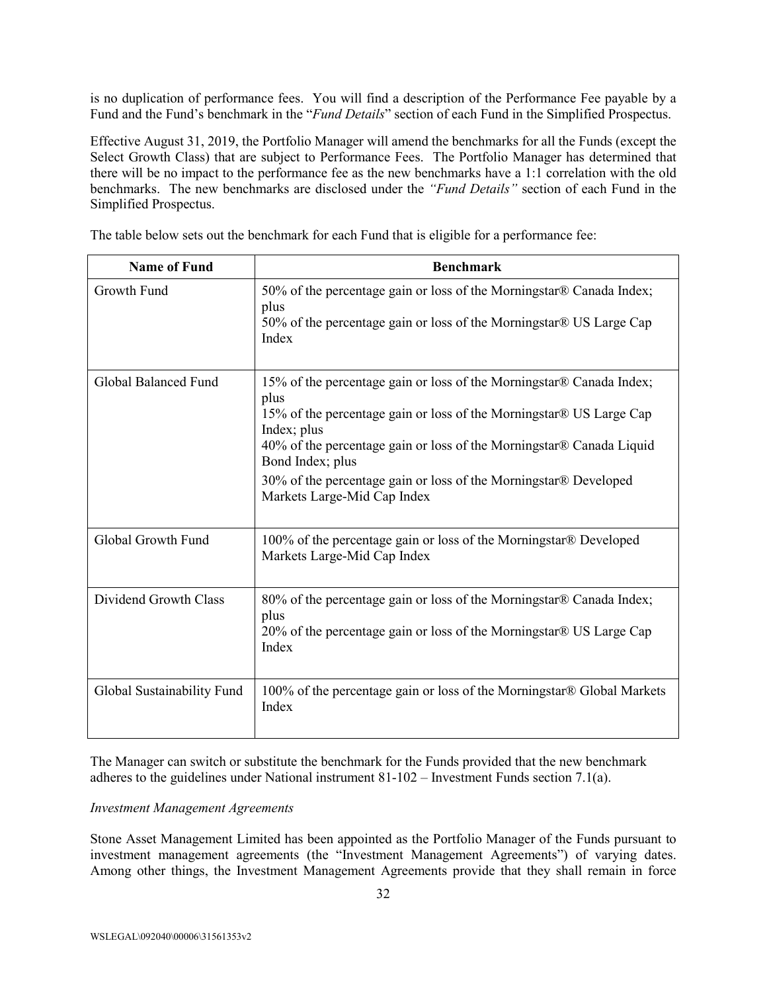is no duplication of performance fees. You will find a description of the Performance Fee payable by a Fund and the Fund's benchmark in the "*Fund Details*" section of each Fund in the Simplified Prospectus.

Effective August 31, 2019, the Portfolio Manager will amend the benchmarks for all the Funds (except the Select Growth Class) that are subject to Performance Fees. The Portfolio Manager has determined that there will be no impact to the performance fee as the new benchmarks have a 1:1 correlation with the old benchmarks. The new benchmarks are disclosed under the *"Fund Details"* section of each Fund in the Simplified Prospectus.

The table below sets out the benchmark for each Fund that is eligible for a performance fee:

| <b>Name of Fund</b>        | <b>Benchmark</b>                                                                                                                                                                                                                                                                                                                                                  |
|----------------------------|-------------------------------------------------------------------------------------------------------------------------------------------------------------------------------------------------------------------------------------------------------------------------------------------------------------------------------------------------------------------|
| Growth Fund                | 50% of the percentage gain or loss of the Morningstar® Canada Index;<br>plus<br>50% of the percentage gain or loss of the Morningstar® US Large Cap<br>Index                                                                                                                                                                                                      |
| Global Balanced Fund       | 15% of the percentage gain or loss of the Morningstar® Canada Index;<br>plus<br>15% of the percentage gain or loss of the Morningstar® US Large Cap<br>Index; plus<br>40% of the percentage gain or loss of the Morningstar® Canada Liquid<br>Bond Index; plus<br>30% of the percentage gain or loss of the Morningstar® Developed<br>Markets Large-Mid Cap Index |
| Global Growth Fund         | 100% of the percentage gain or loss of the Morningstar® Developed<br>Markets Large-Mid Cap Index                                                                                                                                                                                                                                                                  |
| Dividend Growth Class      | 80% of the percentage gain or loss of the Morningstar® Canada Index;<br>plus<br>20% of the percentage gain or loss of the Morningstar® US Large Cap<br>Index                                                                                                                                                                                                      |
| Global Sustainability Fund | 100% of the percentage gain or loss of the Morningstar® Global Markets<br>Index                                                                                                                                                                                                                                                                                   |

The Manager can switch or substitute the benchmark for the Funds provided that the new benchmark adheres to the guidelines under National instrument 81-102 – Investment Funds section 7.1(a).

## *Investment Management Agreements*

Stone Asset Management Limited has been appointed as the Portfolio Manager of the Funds pursuant to investment management agreements (the "Investment Management Agreements") of varying dates. Among other things, the Investment Management Agreements provide that they shall remain in force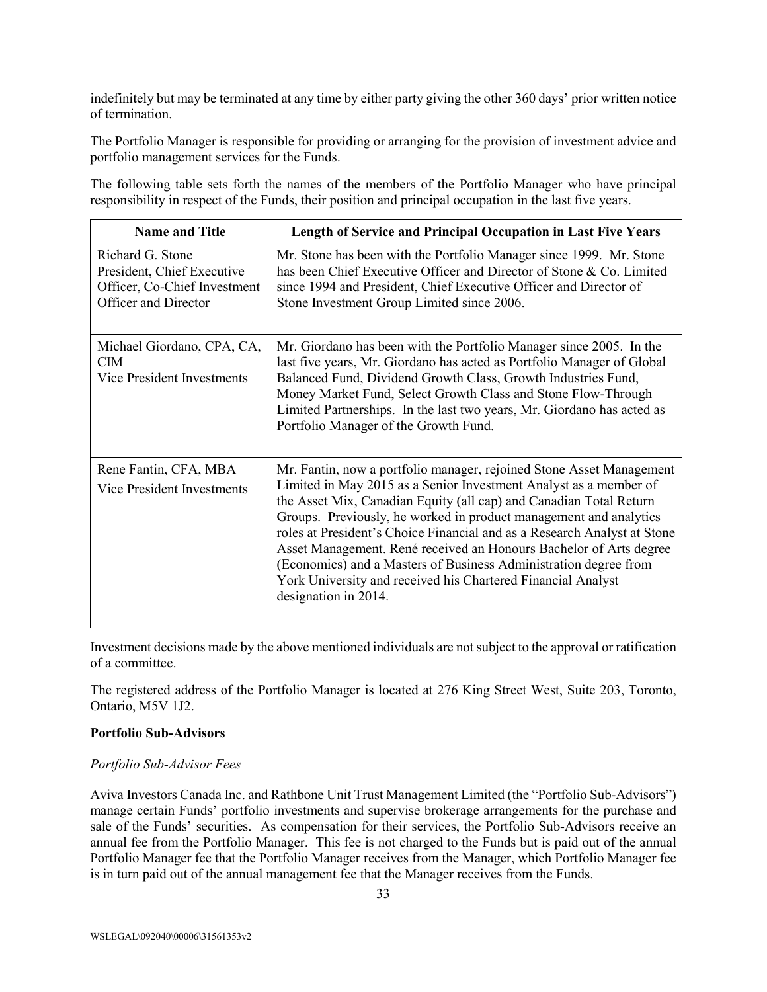indefinitely but may be terminated at any time by either party giving the other 360 days' prior written notice of termination.

The Portfolio Manager is responsible for providing or arranging for the provision of investment advice and portfolio management services for the Funds.

The following table sets forth the names of the members of the Portfolio Manager who have principal responsibility in respect of the Funds, their position and principal occupation in the last five years.

| <b>Name and Title</b>                                                                                  | Length of Service and Principal Occupation in Last Five Years                                                                                                                                                                                                                                                                                                                                                                                                                                                                                                                                      |
|--------------------------------------------------------------------------------------------------------|----------------------------------------------------------------------------------------------------------------------------------------------------------------------------------------------------------------------------------------------------------------------------------------------------------------------------------------------------------------------------------------------------------------------------------------------------------------------------------------------------------------------------------------------------------------------------------------------------|
| Richard G. Stone<br>President, Chief Executive<br>Officer, Co-Chief Investment<br>Officer and Director | Mr. Stone has been with the Portfolio Manager since 1999. Mr. Stone<br>has been Chief Executive Officer and Director of Stone & Co. Limited<br>since 1994 and President, Chief Executive Officer and Director of<br>Stone Investment Group Limited since 2006.                                                                                                                                                                                                                                                                                                                                     |
| Michael Giordano, CPA, CA,<br><b>CIM</b><br>Vice President Investments                                 | Mr. Giordano has been with the Portfolio Manager since 2005. In the<br>last five years, Mr. Giordano has acted as Portfolio Manager of Global<br>Balanced Fund, Dividend Growth Class, Growth Industries Fund,<br>Money Market Fund, Select Growth Class and Stone Flow-Through<br>Limited Partnerships. In the last two years, Mr. Giordano has acted as<br>Portfolio Manager of the Growth Fund.                                                                                                                                                                                                 |
| Rene Fantin, CFA, MBA<br>Vice President Investments                                                    | Mr. Fantin, now a portfolio manager, rejoined Stone Asset Management<br>Limited in May 2015 as a Senior Investment Analyst as a member of<br>the Asset Mix, Canadian Equity (all cap) and Canadian Total Return<br>Groups. Previously, he worked in product management and analytics<br>roles at President's Choice Financial and as a Research Analyst at Stone<br>Asset Management. René received an Honours Bachelor of Arts degree<br>(Economics) and a Masters of Business Administration degree from<br>York University and received his Chartered Financial Analyst<br>designation in 2014. |

Investment decisions made by the above mentioned individuals are not subject to the approval or ratification of a committee.

The registered address of the Portfolio Manager is located at 276 King Street West, Suite 203, Toronto, Ontario, M5V 1J2.

#### **Portfolio Sub-Advisors**

#### *Portfolio Sub-Advisor Fees*

Aviva Investors Canada Inc. and Rathbone Unit Trust Management Limited (the "Portfolio Sub-Advisors") manage certain Funds' portfolio investments and supervise brokerage arrangements for the purchase and sale of the Funds' securities. As compensation for their services, the Portfolio Sub-Advisors receive an annual fee from the Portfolio Manager. This fee is not charged to the Funds but is paid out of the annual Portfolio Manager fee that the Portfolio Manager receives from the Manager, which Portfolio Manager fee is in turn paid out of the annual management fee that the Manager receives from the Funds.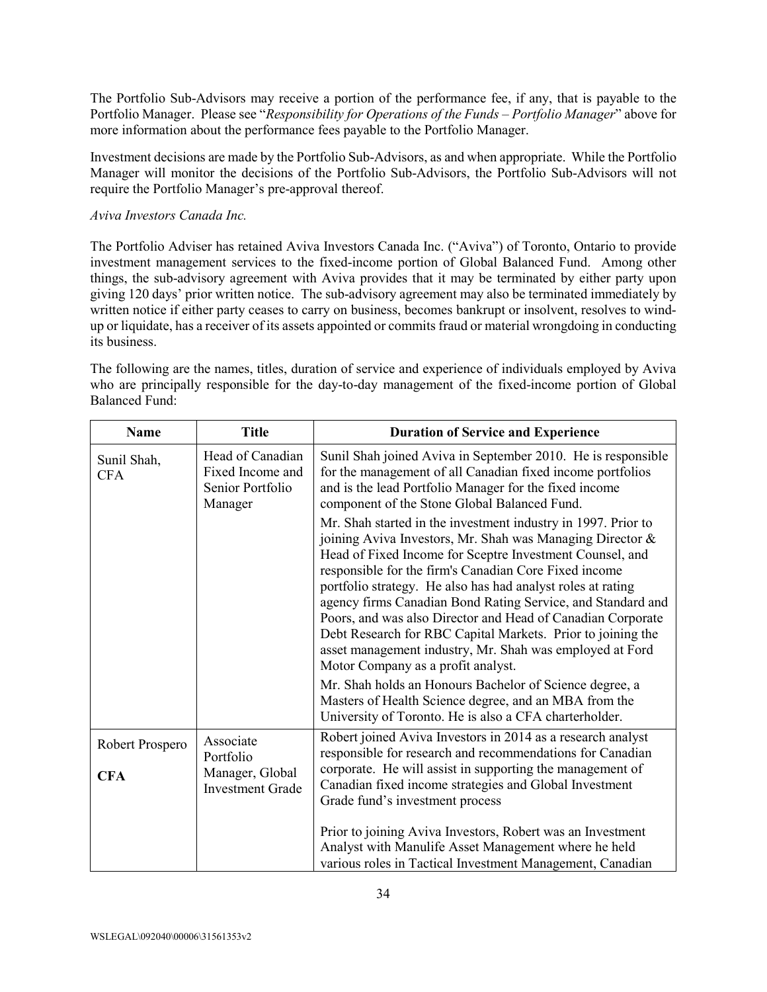The Portfolio Sub-Advisors may receive a portion of the performance fee, if any, that is payable to the Portfolio Manager. Please see "*Responsibility for Operations of the Funds – Portfolio Manager*" above for more information about the performance fees payable to the Portfolio Manager.

Investment decisions are made by the Portfolio Sub-Advisors, as and when appropriate. While the Portfolio Manager will monitor the decisions of the Portfolio Sub-Advisors, the Portfolio Sub-Advisors will not require the Portfolio Manager's pre-approval thereof.

## *Aviva Investors Canada Inc.*

The Portfolio Adviser has retained Aviva Investors Canada Inc. ("Aviva") of Toronto, Ontario to provide investment management services to the fixed-income portion of Global Balanced Fund. Among other things, the sub-advisory agreement with Aviva provides that it may be terminated by either party upon giving 120 days' prior written notice. The sub-advisory agreement may also be terminated immediately by written notice if either party ceases to carry on business, becomes bankrupt or insolvent, resolves to windup or liquidate, has a receiver of its assets appointed or commits fraud or material wrongdoing in conducting its business.

The following are the names, titles, duration of service and experience of individuals employed by Aviva who are principally responsible for the day-to-day management of the fixed-income portion of Global Balanced Fund:

| <b>Name</b>               | <b>Title</b>                                                        | <b>Duration of Service and Experience</b>                                                                                                                                                                                                                                                                                                                                                                                                                                                                                                                                                                     |
|---------------------------|---------------------------------------------------------------------|---------------------------------------------------------------------------------------------------------------------------------------------------------------------------------------------------------------------------------------------------------------------------------------------------------------------------------------------------------------------------------------------------------------------------------------------------------------------------------------------------------------------------------------------------------------------------------------------------------------|
| Sunil Shah,<br><b>CFA</b> | Head of Canadian<br>Fixed Income and<br>Senior Portfolio<br>Manager | Sunil Shah joined Aviva in September 2010. He is responsible<br>for the management of all Canadian fixed income portfolios<br>and is the lead Portfolio Manager for the fixed income<br>component of the Stone Global Balanced Fund.                                                                                                                                                                                                                                                                                                                                                                          |
|                           |                                                                     | Mr. Shah started in the investment industry in 1997. Prior to<br>joining Aviva Investors, Mr. Shah was Managing Director &<br>Head of Fixed Income for Sceptre Investment Counsel, and<br>responsible for the firm's Canadian Core Fixed income<br>portfolio strategy. He also has had analyst roles at rating<br>agency firms Canadian Bond Rating Service, and Standard and<br>Poors, and was also Director and Head of Canadian Corporate<br>Debt Research for RBC Capital Markets. Prior to joining the<br>asset management industry, Mr. Shah was employed at Ford<br>Motor Company as a profit analyst. |
|                           |                                                                     | Mr. Shah holds an Honours Bachelor of Science degree, a<br>Masters of Health Science degree, and an MBA from the<br>University of Toronto. He is also a CFA charterholder.                                                                                                                                                                                                                                                                                                                                                                                                                                    |
| Robert Prospero           | Associate<br>Portfolio                                              | Robert joined Aviva Investors in 2014 as a research analyst<br>responsible for research and recommendations for Canadian                                                                                                                                                                                                                                                                                                                                                                                                                                                                                      |
| <b>CFA</b>                | Manager, Global<br><b>Investment Grade</b>                          | corporate. He will assist in supporting the management of<br>Canadian fixed income strategies and Global Investment<br>Grade fund's investment process                                                                                                                                                                                                                                                                                                                                                                                                                                                        |
|                           |                                                                     | Prior to joining Aviva Investors, Robert was an Investment<br>Analyst with Manulife Asset Management where he held<br>various roles in Tactical Investment Management, Canadian                                                                                                                                                                                                                                                                                                                                                                                                                               |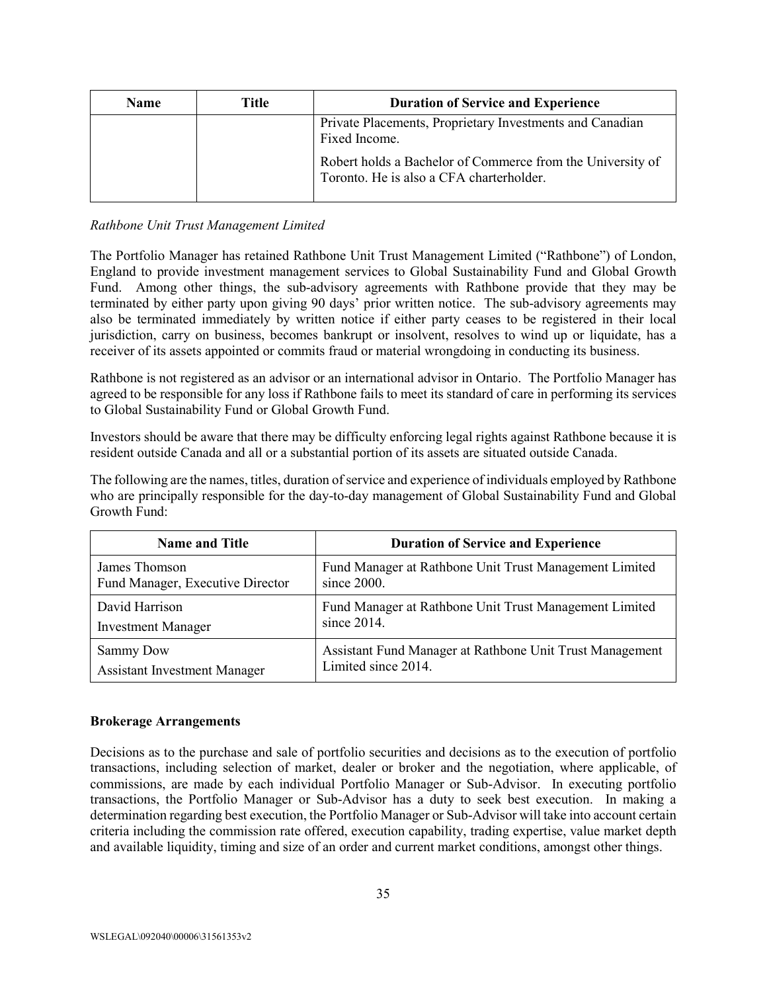| <b>Name</b> | Title | <b>Duration of Service and Experience</b>                                                              |
|-------------|-------|--------------------------------------------------------------------------------------------------------|
|             |       | Private Placements, Proprietary Investments and Canadian<br>Fixed Income.                              |
|             |       | Robert holds a Bachelor of Commerce from the University of<br>Toronto. He is also a CFA charterholder. |

## *Rathbone Unit Trust Management Limited*

The Portfolio Manager has retained Rathbone Unit Trust Management Limited ("Rathbone") of London, England to provide investment management services to Global Sustainability Fund and Global Growth Fund. Among other things, the sub-advisory agreements with Rathbone provide that they may be terminated by either party upon giving 90 days' prior written notice. The sub-advisory agreements may also be terminated immediately by written notice if either party ceases to be registered in their local jurisdiction, carry on business, becomes bankrupt or insolvent, resolves to wind up or liquidate, has a receiver of its assets appointed or commits fraud or material wrongdoing in conducting its business.

Rathbone is not registered as an advisor or an international advisor in Ontario. The Portfolio Manager has agreed to be responsible for any loss if Rathbone fails to meet its standard of care in performing its services to Global Sustainability Fund or Global Growth Fund.

Investors should be aware that there may be difficulty enforcing legal rights against Rathbone because it is resident outside Canada and all or a substantial portion of its assets are situated outside Canada.

The following are the names, titles, duration of service and experience of individuals employed by Rathbone who are principally responsible for the day-to-day management of Global Sustainability Fund and Global Growth Fund:

| <b>Name and Title</b>               | <b>Duration of Service and Experience</b>                |  |  |
|-------------------------------------|----------------------------------------------------------|--|--|
| James Thomson                       | Fund Manager at Rathbone Unit Trust Management Limited   |  |  |
| Fund Manager, Executive Director    | since $2000$ .                                           |  |  |
| David Harrison                      | Fund Manager at Rathbone Unit Trust Management Limited   |  |  |
| <b>Investment Manager</b>           | since $2014$ .                                           |  |  |
| Sammy Dow                           | Assistant Fund Manager at Rathbone Unit Trust Management |  |  |
| <b>Assistant Investment Manager</b> | Limited since 2014.                                      |  |  |

## **Brokerage Arrangements**

Decisions as to the purchase and sale of portfolio securities and decisions as to the execution of portfolio transactions, including selection of market, dealer or broker and the negotiation, where applicable, of commissions, are made by each individual Portfolio Manager or Sub-Advisor. In executing portfolio transactions, the Portfolio Manager or Sub-Advisor has a duty to seek best execution. In making a determination regarding best execution, the Portfolio Manager or Sub-Advisor will take into account certain criteria including the commission rate offered, execution capability, trading expertise, value market depth and available liquidity, timing and size of an order and current market conditions, amongst other things.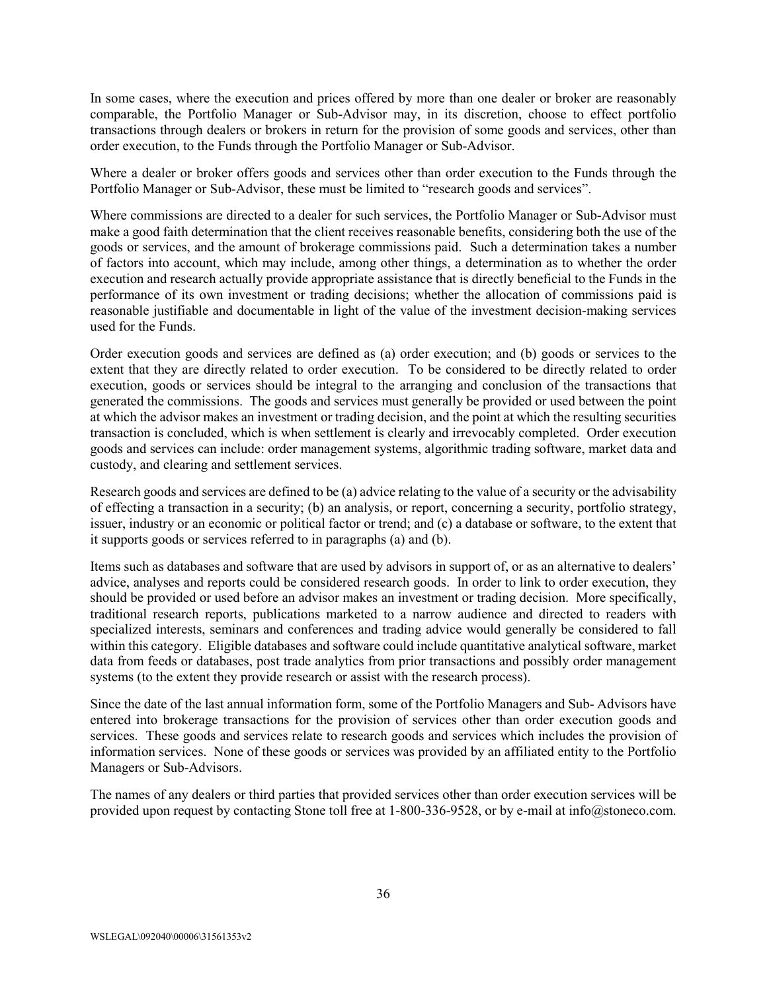In some cases, where the execution and prices offered by more than one dealer or broker are reasonably comparable, the Portfolio Manager or Sub-Advisor may, in its discretion, choose to effect portfolio transactions through dealers or brokers in return for the provision of some goods and services, other than order execution, to the Funds through the Portfolio Manager or Sub-Advisor.

Where a dealer or broker offers goods and services other than order execution to the Funds through the Portfolio Manager or Sub-Advisor, these must be limited to "research goods and services".

Where commissions are directed to a dealer for such services, the Portfolio Manager or Sub-Advisor must make a good faith determination that the client receives reasonable benefits, considering both the use of the goods or services, and the amount of brokerage commissions paid. Such a determination takes a number of factors into account, which may include, among other things, a determination as to whether the order execution and research actually provide appropriate assistance that is directly beneficial to the Funds in the performance of its own investment or trading decisions; whether the allocation of commissions paid is reasonable justifiable and documentable in light of the value of the investment decision-making services used for the Funds.

Order execution goods and services are defined as (a) order execution; and (b) goods or services to the extent that they are directly related to order execution. To be considered to be directly related to order execution, goods or services should be integral to the arranging and conclusion of the transactions that generated the commissions. The goods and services must generally be provided or used between the point at which the advisor makes an investment or trading decision, and the point at which the resulting securities transaction is concluded, which is when settlement is clearly and irrevocably completed. Order execution goods and services can include: order management systems, algorithmic trading software, market data and custody, and clearing and settlement services.

Research goods and services are defined to be (a) advice relating to the value of a security or the advisability of effecting a transaction in a security; (b) an analysis, or report, concerning a security, portfolio strategy, issuer, industry or an economic or political factor or trend; and (c) a database or software, to the extent that it supports goods or services referred to in paragraphs (a) and (b).

Items such as databases and software that are used by advisors in support of, or as an alternative to dealers' advice, analyses and reports could be considered research goods. In order to link to order execution, they should be provided or used before an advisor makes an investment or trading decision. More specifically, traditional research reports, publications marketed to a narrow audience and directed to readers with specialized interests, seminars and conferences and trading advice would generally be considered to fall within this category. Eligible databases and software could include quantitative analytical software, market data from feeds or databases, post trade analytics from prior transactions and possibly order management systems (to the extent they provide research or assist with the research process).

Since the date of the last annual information form, some of the Portfolio Managers and Sub- Advisors have entered into brokerage transactions for the provision of services other than order execution goods and services. These goods and services relate to research goods and services which includes the provision of information services. None of these goods or services was provided by an affiliated entity to the Portfolio Managers or Sub-Advisors.

The names of any dealers or third parties that provided services other than order execution services will be provided upon request by contacting Stone toll free at 1-800-336-9528, or by e-mail at info@stoneco.com.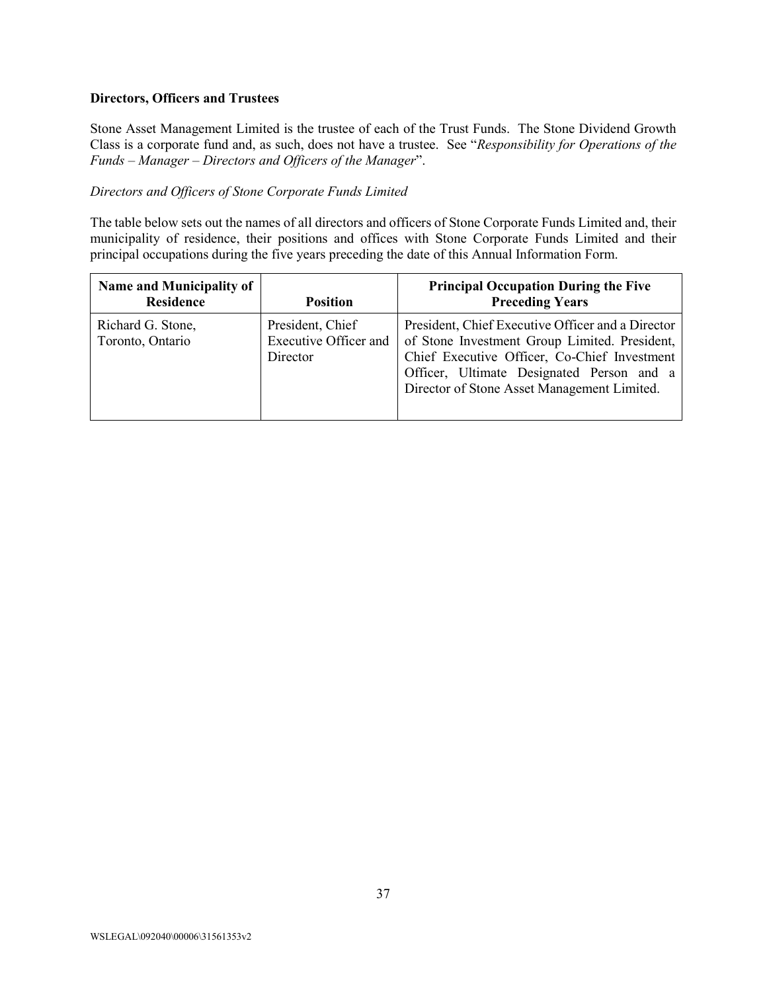#### **Directors, Officers and Trustees**

Stone Asset Management Limited is the trustee of each of the Trust Funds. The Stone Dividend Growth Class is a corporate fund and, as such, does not have a trustee. See "*Responsibility for Operations of the Funds – Manager – Directors and Officers of the Manager*".

#### *Directors and Officers of Stone Corporate Funds Limited*

The table below sets out the names of all directors and officers of Stone Corporate Funds Limited and, their municipality of residence, their positions and offices with Stone Corporate Funds Limited and their principal occupations during the five years preceding the date of this Annual Information Form.

| Name and Municipality of<br><b>Residence</b> | <b>Position</b>                                       | <b>Principal Occupation During the Five</b><br><b>Preceding Years</b>                                                                                                                                                                          |
|----------------------------------------------|-------------------------------------------------------|------------------------------------------------------------------------------------------------------------------------------------------------------------------------------------------------------------------------------------------------|
| Richard G. Stone,<br>Toronto, Ontario        | President, Chief<br>Executive Officer and<br>Director | President, Chief Executive Officer and a Director<br>of Stone Investment Group Limited. President,<br>Chief Executive Officer, Co-Chief Investment<br>Officer, Ultimate Designated Person and a<br>Director of Stone Asset Management Limited. |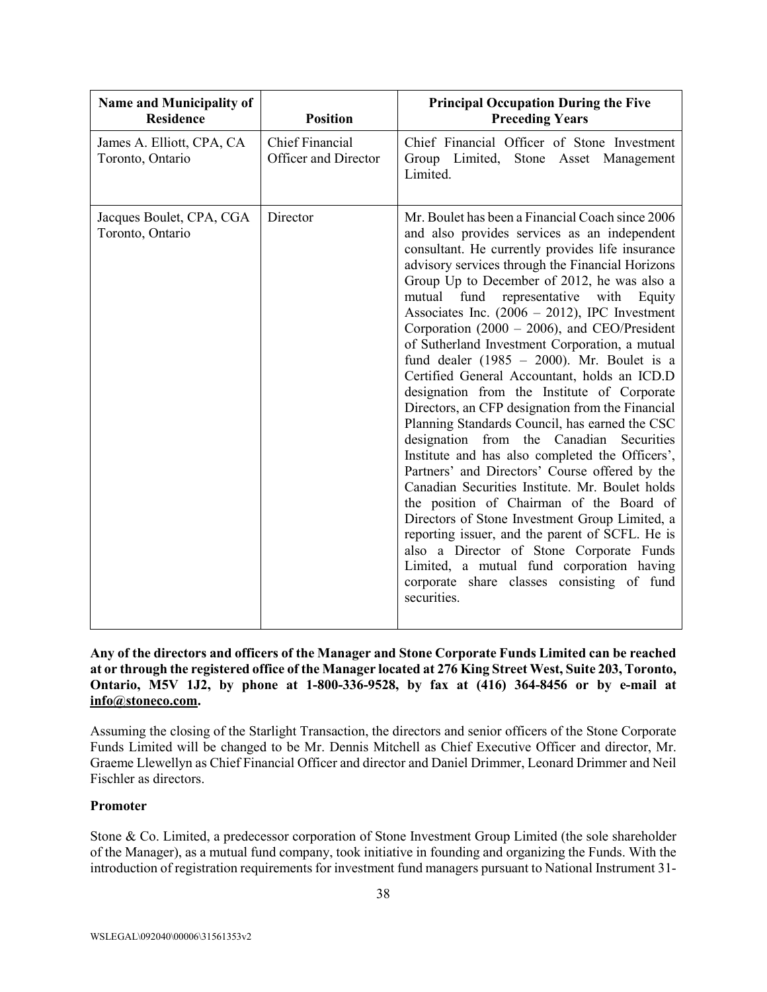| <b>Name and Municipality of</b><br><b>Residence</b> | <b>Position</b>                                | <b>Principal Occupation During the Five</b><br><b>Preceding Years</b>                                                                                                                                                                                                                                                                                                                                                                                                                                                                                                                                                                                                                                                                                                                                                                                                                                                                                                                                                                                                                                                                                                                                                       |
|-----------------------------------------------------|------------------------------------------------|-----------------------------------------------------------------------------------------------------------------------------------------------------------------------------------------------------------------------------------------------------------------------------------------------------------------------------------------------------------------------------------------------------------------------------------------------------------------------------------------------------------------------------------------------------------------------------------------------------------------------------------------------------------------------------------------------------------------------------------------------------------------------------------------------------------------------------------------------------------------------------------------------------------------------------------------------------------------------------------------------------------------------------------------------------------------------------------------------------------------------------------------------------------------------------------------------------------------------------|
| James A. Elliott, CPA, CA<br>Toronto, Ontario       | <b>Chief Financial</b><br>Officer and Director | Chief Financial Officer of Stone Investment<br>Group Limited, Stone Asset Management<br>Limited.                                                                                                                                                                                                                                                                                                                                                                                                                                                                                                                                                                                                                                                                                                                                                                                                                                                                                                                                                                                                                                                                                                                            |
| Jacques Boulet, CPA, CGA<br>Toronto, Ontario        | Director                                       | Mr. Boulet has been a Financial Coach since 2006<br>and also provides services as an independent<br>consultant. He currently provides life insurance<br>advisory services through the Financial Horizons<br>Group Up to December of 2012, he was also a<br>mutual fund representative with Equity<br>Associates Inc. $(2006 - 2012)$ , IPC Investment<br>Corporation (2000 – 2006), and CEO/President<br>of Sutherland Investment Corporation, a mutual<br>fund dealer (1985 - 2000). Mr. Boulet is a<br>Certified General Accountant, holds an ICD.D<br>designation from the Institute of Corporate<br>Directors, an CFP designation from the Financial<br>Planning Standards Council, has earned the CSC<br>designation<br>from the Canadian<br>Securities<br>Institute and has also completed the Officers',<br>Partners' and Directors' Course offered by the<br>Canadian Securities Institute. Mr. Boulet holds<br>the position of Chairman of the Board of<br>Directors of Stone Investment Group Limited, a<br>reporting issuer, and the parent of SCFL. He is<br>also a Director of Stone Corporate Funds<br>Limited, a mutual fund corporation having<br>corporate share classes consisting of fund<br>securities. |

## **Any of the directors and officers of the Manager and Stone Corporate Funds Limited can be reached at or through the registered office of the Manager located at 276 King Street West, Suite 203, Toronto, Ontario, M5V 1J2, by phone at 1-800-336-9528, by fax at (416) 364-8456 or by e-mail at [info@stoneco.com.](mailto:info@stoneco.com)**

Assuming the closing of the Starlight Transaction, the directors and senior officers of the Stone Corporate Funds Limited will be changed to be Mr. Dennis Mitchell as Chief Executive Officer and director, Mr. Graeme Llewellyn as Chief Financial Officer and director and Daniel Drimmer, Leonard Drimmer and Neil Fischler as directors.

# **Promoter**

Stone & Co. Limited, a predecessor corporation of Stone Investment Group Limited (the sole shareholder of the Manager), as a mutual fund company, took initiative in founding and organizing the Funds. With the introduction of registration requirements for investment fund managers pursuant to National Instrument 31-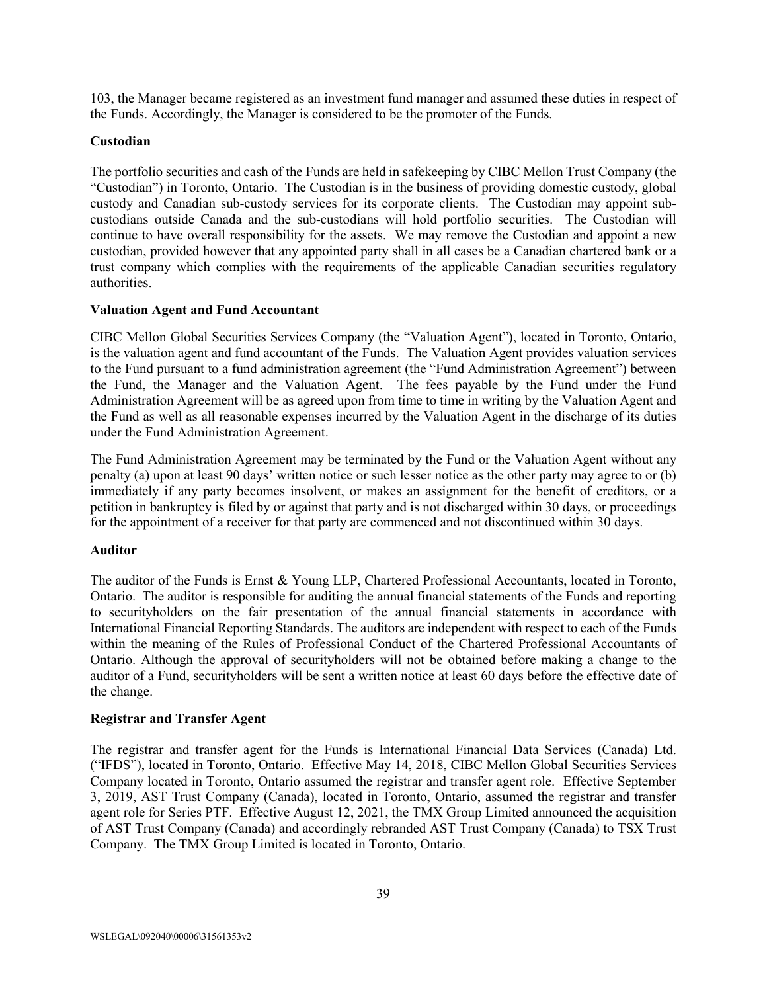103, the Manager became registered as an investment fund manager and assumed these duties in respect of the Funds. Accordingly, the Manager is considered to be the promoter of the Funds.

## **Custodian**

The portfolio securities and cash of the Funds are held in safekeeping by CIBC Mellon Trust Company (the "Custodian") in Toronto, Ontario. The Custodian is in the business of providing domestic custody, global custody and Canadian sub-custody services for its corporate clients. The Custodian may appoint subcustodians outside Canada and the sub-custodians will hold portfolio securities. The Custodian will continue to have overall responsibility for the assets. We may remove the Custodian and appoint a new custodian, provided however that any appointed party shall in all cases be a Canadian chartered bank or a trust company which complies with the requirements of the applicable Canadian securities regulatory authorities.

## **Valuation Agent and Fund Accountant**

CIBC Mellon Global Securities Services Company (the "Valuation Agent"), located in Toronto, Ontario, is the valuation agent and fund accountant of the Funds. The Valuation Agent provides valuation services to the Fund pursuant to a fund administration agreement (the "Fund Administration Agreement") between the Fund, the Manager and the Valuation Agent. The fees payable by the Fund under the Fund Administration Agreement will be as agreed upon from time to time in writing by the Valuation Agent and the Fund as well as all reasonable expenses incurred by the Valuation Agent in the discharge of its duties under the Fund Administration Agreement.

The Fund Administration Agreement may be terminated by the Fund or the Valuation Agent without any penalty (a) upon at least 90 days' written notice or such lesser notice as the other party may agree to or (b) immediately if any party becomes insolvent, or makes an assignment for the benefit of creditors, or a petition in bankruptcy is filed by or against that party and is not discharged within 30 days, or proceedings for the appointment of a receiver for that party are commenced and not discontinued within 30 days.

## **Auditor**

The auditor of the Funds is Ernst & Young LLP, Chartered Professional Accountants, located in Toronto, Ontario. The auditor is responsible for auditing the annual financial statements of the Funds and reporting to securityholders on the fair presentation of the annual financial statements in accordance with International Financial Reporting Standards. The auditors are independent with respect to each of the Funds within the meaning of the Rules of Professional Conduct of the Chartered Professional Accountants of Ontario. Although the approval of securityholders will not be obtained before making a change to the auditor of a Fund, securityholders will be sent a written notice at least 60 days before the effective date of the change.

## **Registrar and Transfer Agent**

The registrar and transfer agent for the Funds is International Financial Data Services (Canada) Ltd. ("IFDS"), located in Toronto, Ontario. Effective May 14, 2018, CIBC Mellon Global Securities Services Company located in Toronto, Ontario assumed the registrar and transfer agent role. Effective September 3, 2019, AST Trust Company (Canada), located in Toronto, Ontario, assumed the registrar and transfer agent role for Series PTF. Effective August 12, 2021, the TMX Group Limited announced the acquisition of AST Trust Company (Canada) and accordingly rebranded AST Trust Company (Canada) to TSX Trust Company. The TMX Group Limited is located in Toronto, Ontario.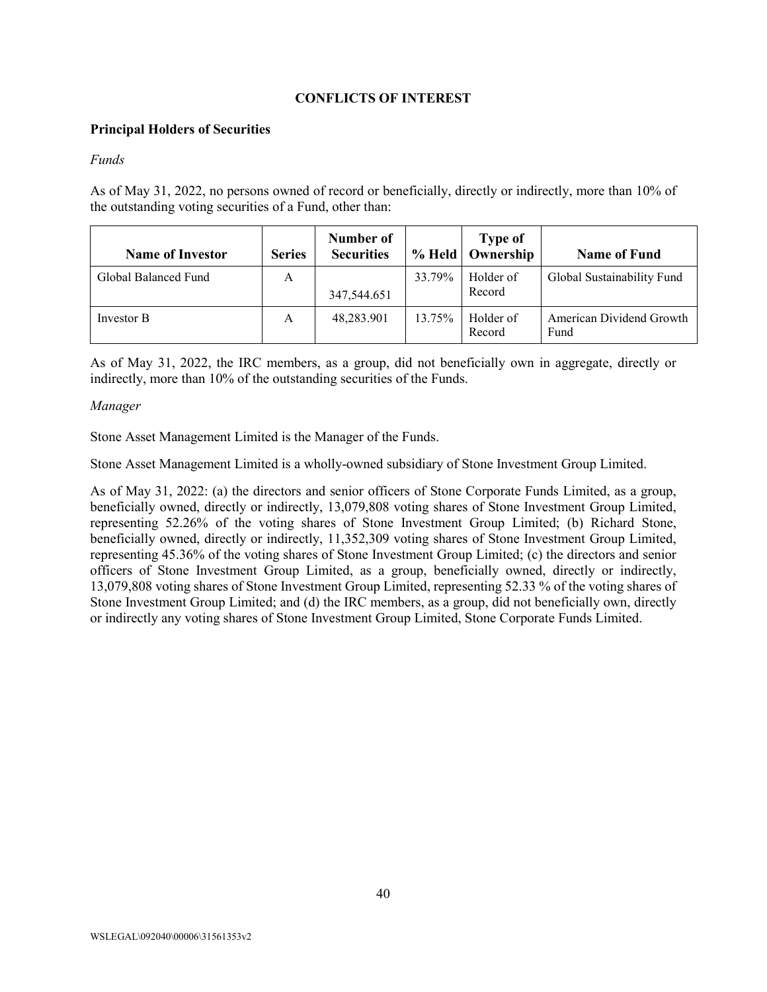## **CONFLICTS OF INTEREST**

#### <span id="page-40-0"></span>**Principal Holders of Securities**

#### *Funds*

As of May 31, 2022, no persons owned of record or beneficially, directly or indirectly, more than 10% of the outstanding voting securities of a Fund, other than:

| <b>Name of Investor</b> | <b>Series</b> | Number of<br><b>Securities</b> |        | <b>Type of</b><br>% Held   Ownership | <b>Name of Fund</b>              |
|-------------------------|---------------|--------------------------------|--------|--------------------------------------|----------------------------------|
| Global Balanced Fund    | A             | 347,544.651                    | 33.79% | Holder of<br>Record                  | Global Sustainability Fund       |
| Investor B              | А             | 48,283.901                     | 13.75% | Holder of<br>Record                  | American Dividend Growth<br>Fund |

As of May 31, 2022, the IRC members, as a group, did not beneficially own in aggregate, directly or indirectly, more than 10% of the outstanding securities of the Funds.

#### *Manager*

Stone Asset Management Limited is the Manager of the Funds.

Stone Asset Management Limited is a wholly-owned subsidiary of Stone Investment Group Limited.

As of May 31, 2022: (a) the directors and senior officers of Stone Corporate Funds Limited, as a group, beneficially owned, directly or indirectly, 13,079,808 voting shares of Stone Investment Group Limited, representing 52.26% of the voting shares of Stone Investment Group Limited; (b) Richard Stone, beneficially owned, directly or indirectly, 11,352,309 voting shares of Stone Investment Group Limited, representing 45.36% of the voting shares of Stone Investment Group Limited; (c) the directors and senior officers of Stone Investment Group Limited, as a group, beneficially owned, directly or indirectly, 13,079,808 voting shares of Stone Investment Group Limited, representing 52.33 % of the voting shares of Stone Investment Group Limited; and (d) the IRC members, as a group, did not beneficially own, directly or indirectly any voting shares of Stone Investment Group Limited, Stone Corporate Funds Limited.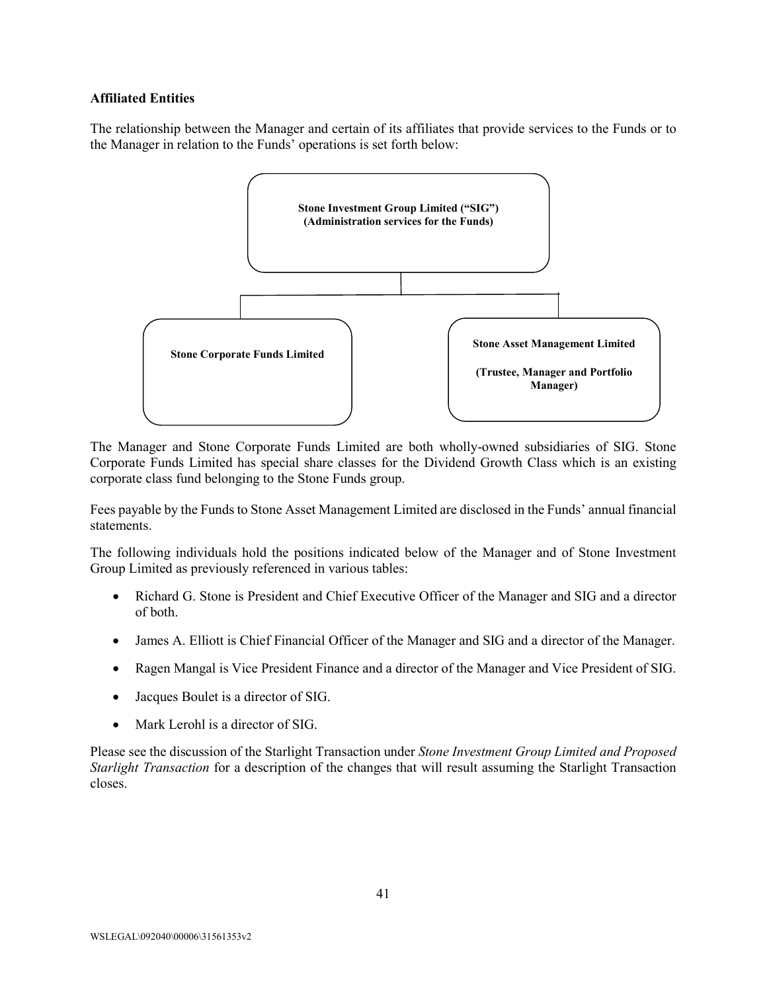#### **Affiliated Entities**

The relationship between the Manager and certain of its affiliates that provide services to the Funds or to the Manager in relation to the Funds' operations is set forth below:



The Manager and Stone Corporate Funds Limited are both wholly-owned subsidiaries of SIG. Stone Corporate Funds Limited has special share classes for the Dividend Growth Class which is an existing corporate class fund belonging to the Stone Funds group.

Fees payable by the Funds to Stone Asset Management Limited are disclosed in the Funds' annual financial statements.

The following individuals hold the positions indicated below of the Manager and of Stone Investment Group Limited as previously referenced in various tables:

- Richard G. Stone is President and Chief Executive Officer of the Manager and SIG and a director of both.
- James A. Elliott is Chief Financial Officer of the Manager and SIG and a director of the Manager.
- Ragen Mangal is Vice President Finance and a director of the Manager and Vice President of SIG.
- Jacques Boulet is a director of SIG.
- Mark Lerohl is a director of SIG.

Please see the discussion of the Starlight Transaction under *Stone Investment Group Limited and Proposed Starlight Transaction* for a description of the changes that will result assuming the Starlight Transaction closes.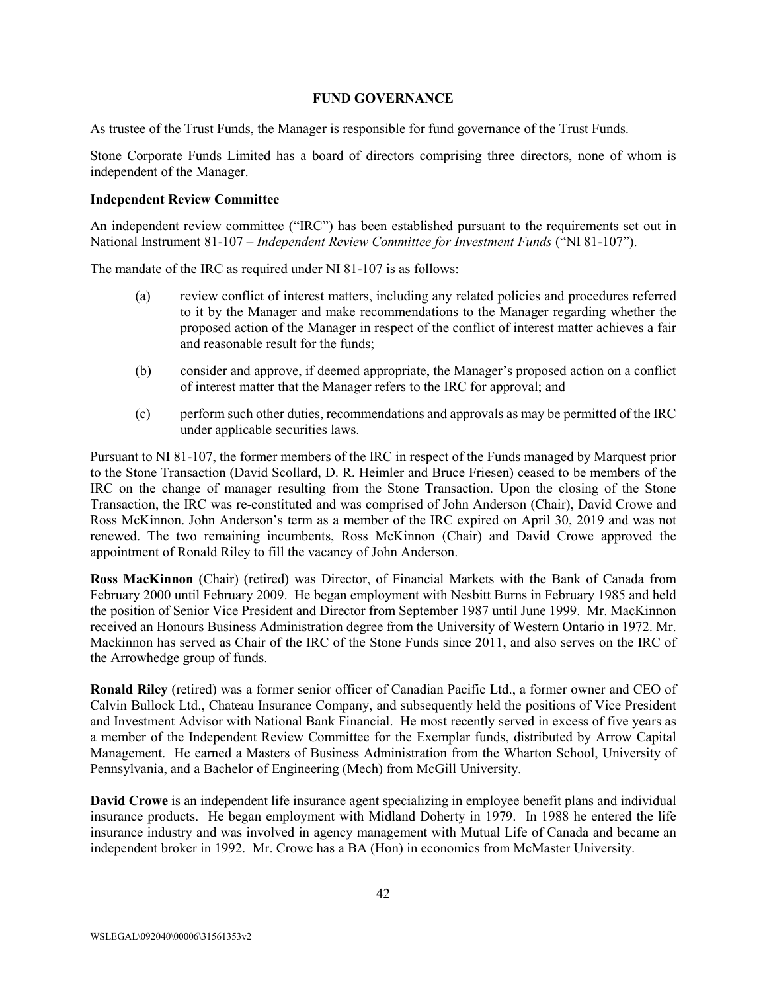#### **FUND GOVERNANCE**

<span id="page-42-0"></span>As trustee of the Trust Funds, the Manager is responsible for fund governance of the Trust Funds.

Stone Corporate Funds Limited has a board of directors comprising three directors, none of whom is independent of the Manager.

### **Independent Review Committee**

An independent review committee ("IRC") has been established pursuant to the requirements set out in National Instrument 81-107 – *Independent Review Committee for Investment Funds* ("NI 81-107").

The mandate of the IRC as required under NI 81-107 is as follows:

- (a) review conflict of interest matters, including any related policies and procedures referred to it by the Manager and make recommendations to the Manager regarding whether the proposed action of the Manager in respect of the conflict of interest matter achieves a fair and reasonable result for the funds;
- (b) consider and approve, if deemed appropriate, the Manager's proposed action on a conflict of interest matter that the Manager refers to the IRC for approval; and
- (c) perform such other duties, recommendations and approvals as may be permitted of the IRC under applicable securities laws.

Pursuant to NI 81-107, the former members of the IRC in respect of the Funds managed by Marquest prior to the Stone Transaction (David Scollard, D. R. Heimler and Bruce Friesen) ceased to be members of the IRC on the change of manager resulting from the Stone Transaction. Upon the closing of the Stone Transaction, the IRC was re-constituted and was comprised of John Anderson (Chair), David Crowe and Ross McKinnon. John Anderson's term as a member of the IRC expired on April 30, 2019 and was not renewed. The two remaining incumbents, Ross McKinnon (Chair) and David Crowe approved the appointment of Ronald Riley to fill the vacancy of John Anderson.

**Ross MacKinnon** (Chair) (retired) was Director, of Financial Markets with the Bank of Canada from February 2000 until February 2009. He began employment with Nesbitt Burns in February 1985 and held the position of Senior Vice President and Director from September 1987 until June 1999. Mr. MacKinnon received an Honours Business Administration degree from the University of Western Ontario in 1972. Mr. Mackinnon has served as Chair of the IRC of the Stone Funds since 2011, and also serves on the IRC of the Arrowhedge group of funds.

**Ronald Riley** (retired) was a former senior officer of Canadian Pacific Ltd., a former owner and CEO of Calvin Bullock Ltd., Chateau Insurance Company, and subsequently held the positions of Vice President and Investment Advisor with National Bank Financial. He most recently served in excess of five years as a member of the Independent Review Committee for the Exemplar funds, distributed by Arrow Capital Management. He earned a Masters of Business Administration from the Wharton School, University of Pennsylvania, and a Bachelor of Engineering (Mech) from McGill University.

**David Crowe** is an independent life insurance agent specializing in employee benefit plans and individual insurance products. He began employment with Midland Doherty in 1979. In 1988 he entered the life insurance industry and was involved in agency management with Mutual Life of Canada and became an independent broker in 1992. Mr. Crowe has a BA (Hon) in economics from McMaster University.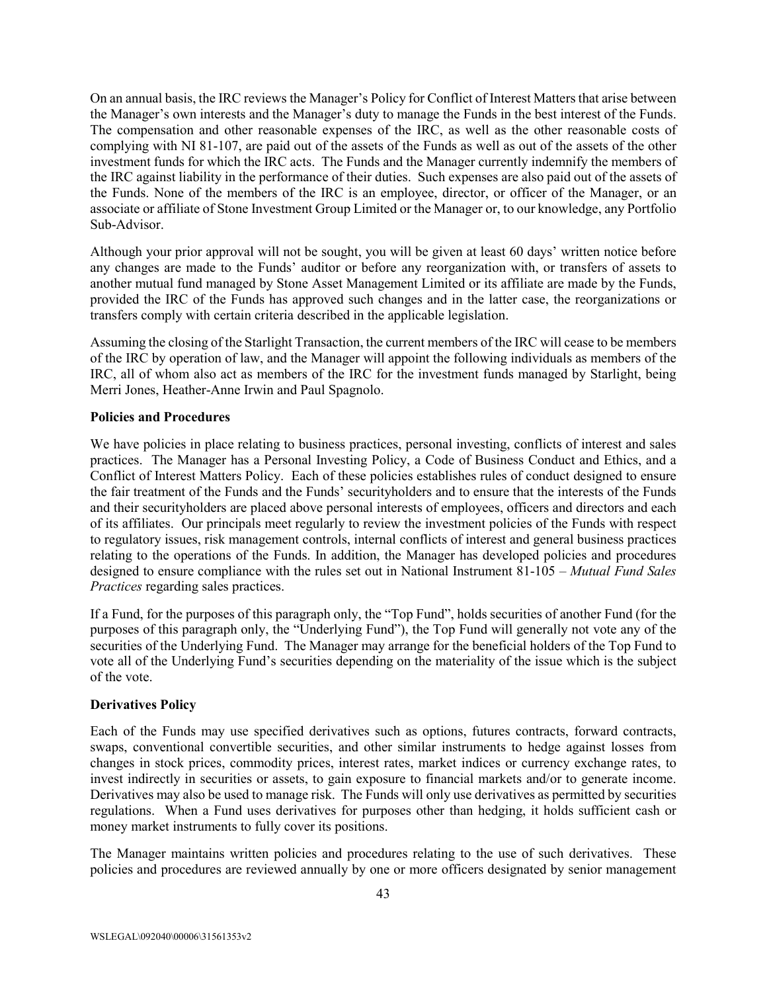On an annual basis, the IRC reviews the Manager's Policy for Conflict of Interest Matters that arise between the Manager's own interests and the Manager's duty to manage the Funds in the best interest of the Funds. The compensation and other reasonable expenses of the IRC, as well as the other reasonable costs of complying with NI 81-107, are paid out of the assets of the Funds as well as out of the assets of the other investment funds for which the IRC acts. The Funds and the Manager currently indemnify the members of the IRC against liability in the performance of their duties. Such expenses are also paid out of the assets of the Funds. None of the members of the IRC is an employee, director, or officer of the Manager, or an associate or affiliate of Stone Investment Group Limited or the Manager or, to our knowledge, any Portfolio Sub-Advisor.

Although your prior approval will not be sought, you will be given at least 60 days' written notice before any changes are made to the Funds' auditor or before any reorganization with, or transfers of assets to another mutual fund managed by Stone Asset Management Limited or its affiliate are made by the Funds, provided the IRC of the Funds has approved such changes and in the latter case, the reorganizations or transfers comply with certain criteria described in the applicable legislation.

Assuming the closing of the Starlight Transaction, the current members of the IRC will cease to be members of the IRC by operation of law, and the Manager will appoint the following individuals as members of the IRC, all of whom also act as members of the IRC for the investment funds managed by Starlight, being Merri Jones, Heather-Anne Irwin and Paul Spagnolo.

## **Policies and Procedures**

We have policies in place relating to business practices, personal investing, conflicts of interest and sales practices. The Manager has a Personal Investing Policy, a Code of Business Conduct and Ethics, and a Conflict of Interest Matters Policy. Each of these policies establishes rules of conduct designed to ensure the fair treatment of the Funds and the Funds' securityholders and to ensure that the interests of the Funds and their securityholders are placed above personal interests of employees, officers and directors and each of its affiliates. Our principals meet regularly to review the investment policies of the Funds with respect to regulatory issues, risk management controls, internal conflicts of interest and general business practices relating to the operations of the Funds. In addition, the Manager has developed policies and procedures designed to ensure compliance with the rules set out in National Instrument 81-105 – *Mutual Fund Sales Practices* regarding sales practices.

If a Fund, for the purposes of this paragraph only, the "Top Fund", holds securities of another Fund (for the purposes of this paragraph only, the "Underlying Fund"), the Top Fund will generally not vote any of the securities of the Underlying Fund. The Manager may arrange for the beneficial holders of the Top Fund to vote all of the Underlying Fund's securities depending on the materiality of the issue which is the subject of the vote.

# **Derivatives Policy**

Each of the Funds may use specified derivatives such as options, futures contracts, forward contracts, swaps, conventional convertible securities, and other similar instruments to hedge against losses from changes in stock prices, commodity prices, interest rates, market indices or currency exchange rates, to invest indirectly in securities or assets, to gain exposure to financial markets and/or to generate income. Derivatives may also be used to manage risk. The Funds will only use derivatives as permitted by securities regulations. When a Fund uses derivatives for purposes other than hedging, it holds sufficient cash or money market instruments to fully cover its positions.

The Manager maintains written policies and procedures relating to the use of such derivatives. These policies and procedures are reviewed annually by one or more officers designated by senior management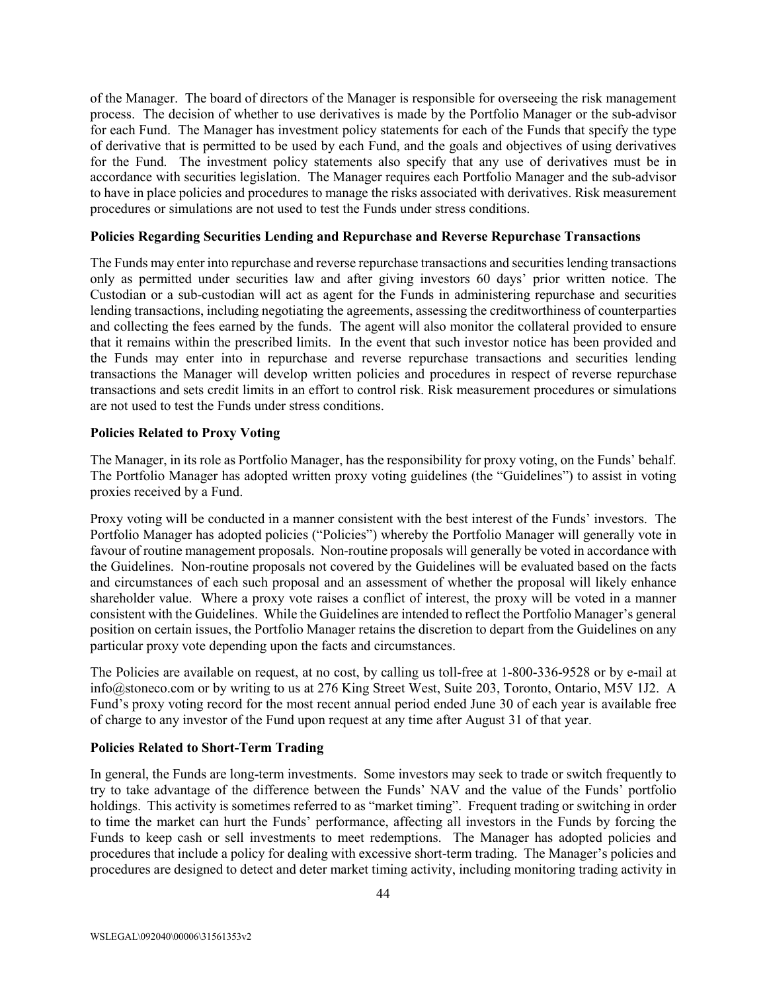of the Manager. The board of directors of the Manager is responsible for overseeing the risk management process. The decision of whether to use derivatives is made by the Portfolio Manager or the sub-advisor for each Fund. The Manager has investment policy statements for each of the Funds that specify the type of derivative that is permitted to be used by each Fund, and the goals and objectives of using derivatives for the Fund. The investment policy statements also specify that any use of derivatives must be in accordance with securities legislation. The Manager requires each Portfolio Manager and the sub-advisor to have in place policies and procedures to manage the risks associated with derivatives. Risk measurement procedures or simulations are not used to test the Funds under stress conditions.

### **Policies Regarding Securities Lending and Repurchase and Reverse Repurchase Transactions**

The Funds may enter into repurchase and reverse repurchase transactions and securities lending transactions only as permitted under securities law and after giving investors 60 days' prior written notice. The Custodian or a sub-custodian will act as agent for the Funds in administering repurchase and securities lending transactions, including negotiating the agreements, assessing the creditworthiness of counterparties and collecting the fees earned by the funds. The agent will also monitor the collateral provided to ensure that it remains within the prescribed limits. In the event that such investor notice has been provided and the Funds may enter into in repurchase and reverse repurchase transactions and securities lending transactions the Manager will develop written policies and procedures in respect of reverse repurchase transactions and sets credit limits in an effort to control risk. Risk measurement procedures or simulations are not used to test the Funds under stress conditions.

## **Policies Related to Proxy Voting**

The Manager, in its role as Portfolio Manager, has the responsibility for proxy voting, on the Funds' behalf. The Portfolio Manager has adopted written proxy voting guidelines (the "Guidelines") to assist in voting proxies received by a Fund.

Proxy voting will be conducted in a manner consistent with the best interest of the Funds' investors. The Portfolio Manager has adopted policies ("Policies") whereby the Portfolio Manager will generally vote in favour of routine management proposals. Non-routine proposals will generally be voted in accordance with the Guidelines. Non-routine proposals not covered by the Guidelines will be evaluated based on the facts and circumstances of each such proposal and an assessment of whether the proposal will likely enhance shareholder value. Where a proxy vote raises a conflict of interest, the proxy will be voted in a manner consistent with the Guidelines. While the Guidelines are intended to reflect the Portfolio Manager's general position on certain issues, the Portfolio Manager retains the discretion to depart from the Guidelines on any particular proxy vote depending upon the facts and circumstances.

The Policies are available on request, at no cost, by calling us toll-free at 1-800-336-9528 or by e-mail at info@stoneco.com or by writing to us at 276 King Street West, Suite 203, Toronto, Ontario, M5V 1J2. A Fund's proxy voting record for the most recent annual period ended June 30 of each year is available free of charge to any investor of the Fund upon request at any time after August 31 of that year.

## **Policies Related to Short-Term Trading**

In general, the Funds are long-term investments. Some investors may seek to trade or switch frequently to try to take advantage of the difference between the Funds' NAV and the value of the Funds' portfolio holdings. This activity is sometimes referred to as "market timing". Frequent trading or switching in order to time the market can hurt the Funds' performance, affecting all investors in the Funds by forcing the Funds to keep cash or sell investments to meet redemptions. The Manager has adopted policies and procedures that include a policy for dealing with excessive short-term trading. The Manager's policies and procedures are designed to detect and deter market timing activity, including monitoring trading activity in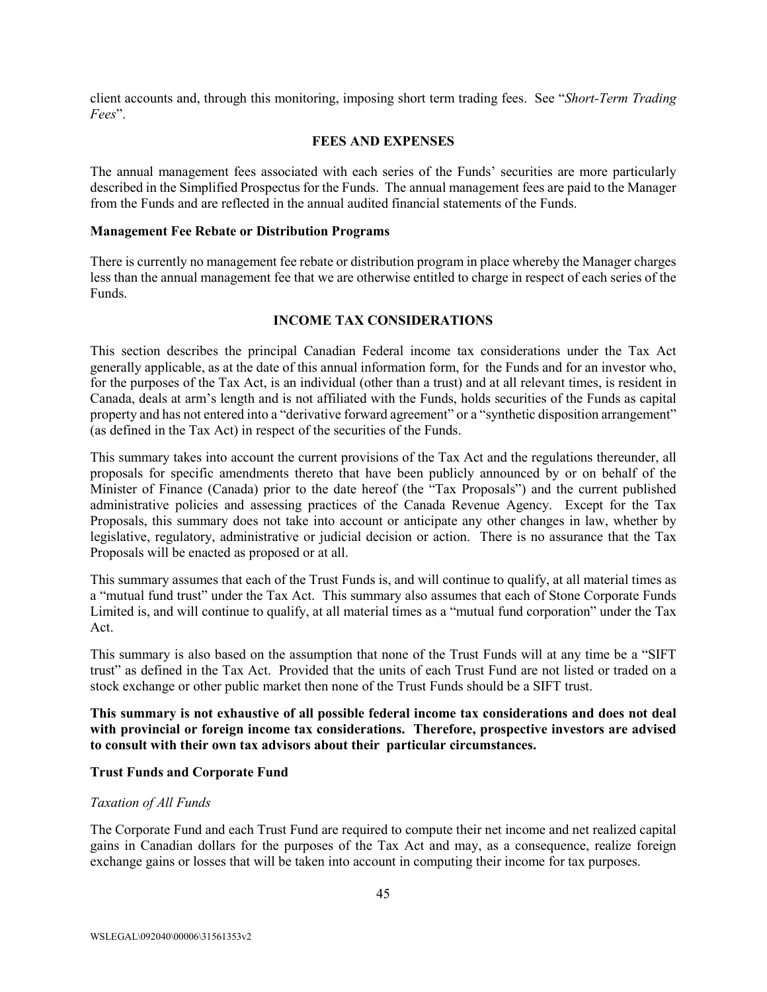client accounts and, through this monitoring, imposing short term trading fees. See "*Short-Term Trading Fees*".

## **FEES AND EXPENSES**

<span id="page-45-0"></span>The annual management fees associated with each series of the Funds' securities are more particularly described in the Simplified Prospectus for the Funds. The annual management fees are paid to the Manager from the Funds and are reflected in the annual audited financial statements of the Funds.

#### **Management Fee Rebate or Distribution Programs**

There is currently no management fee rebate or distribution program in place whereby the Manager charges less than the annual management fee that we are otherwise entitled to charge in respect of each series of the Funds.

## **INCOME TAX CONSIDERATIONS**

<span id="page-45-1"></span>This section describes the principal Canadian Federal income tax considerations under the Tax Act generally applicable, as at the date of this annual information form, for the Funds and for an investor who, for the purposes of the Tax Act, is an individual (other than a trust) and at all relevant times, is resident in Canada, deals at arm's length and is not affiliated with the Funds, holds securities of the Funds as capital property and has not entered into a "derivative forward agreement" or a "synthetic disposition arrangement" (as defined in the Tax Act) in respect of the securities of the Funds.

This summary takes into account the current provisions of the Tax Act and the regulations thereunder, all proposals for specific amendments thereto that have been publicly announced by or on behalf of the Minister of Finance (Canada) prior to the date hereof (the "Tax Proposals") and the current published administrative policies and assessing practices of the Canada Revenue Agency. Except for the Tax Proposals, this summary does not take into account or anticipate any other changes in law, whether by legislative, regulatory, administrative or judicial decision or action. There is no assurance that the Tax Proposals will be enacted as proposed or at all.

This summary assumes that each of the Trust Funds is, and will continue to qualify, at all material times as a "mutual fund trust" under the Tax Act. This summary also assumes that each of Stone Corporate Funds Limited is, and will continue to qualify, at all material times as a "mutual fund corporation" under the Tax Act.

This summary is also based on the assumption that none of the Trust Funds will at any time be a "SIFT trust" as defined in the Tax Act. Provided that the units of each Trust Fund are not listed or traded on a stock exchange or other public market then none of the Trust Funds should be a SIFT trust.

**This summary is not exhaustive of all possible federal income tax considerations and does not deal with provincial or foreign income tax considerations. Therefore, prospective investors are advised to consult with their own tax advisors about their particular circumstances.**

## **Trust Funds and Corporate Fund**

#### *Taxation of All Funds*

The Corporate Fund and each Trust Fund are required to compute their net income and net realized capital gains in Canadian dollars for the purposes of the Tax Act and may, as a consequence, realize foreign exchange gains or losses that will be taken into account in computing their income for tax purposes.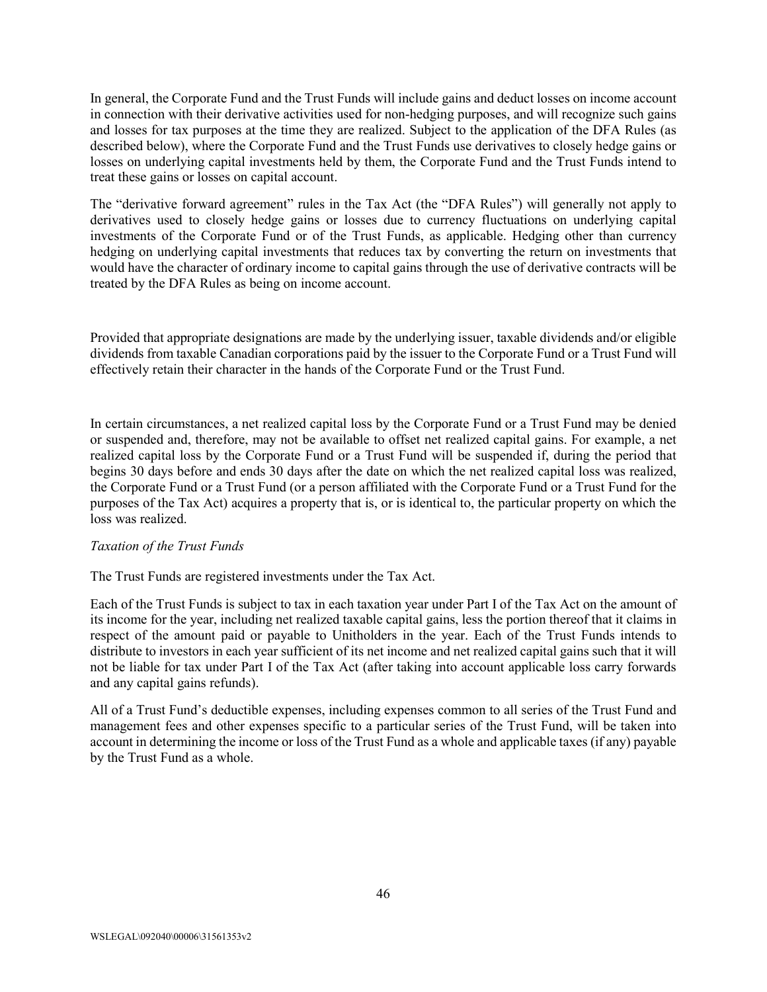In general, the Corporate Fund and the Trust Funds will include gains and deduct losses on income account in connection with their derivative activities used for non-hedging purposes, and will recognize such gains and losses for tax purposes at the time they are realized. Subject to the application of the DFA Rules (as described below), where the Corporate Fund and the Trust Funds use derivatives to closely hedge gains or losses on underlying capital investments held by them, the Corporate Fund and the Trust Funds intend to treat these gains or losses on capital account.

The "derivative forward agreement" rules in the Tax Act (the "DFA Rules") will generally not apply to derivatives used to closely hedge gains or losses due to currency fluctuations on underlying capital investments of the Corporate Fund or of the Trust Funds, as applicable. Hedging other than currency hedging on underlying capital investments that reduces tax by converting the return on investments that would have the character of ordinary income to capital gains through the use of derivative contracts will be treated by the DFA Rules as being on income account.

Provided that appropriate designations are made by the underlying issuer, taxable dividends and/or eligible dividends from taxable Canadian corporations paid by the issuer to the Corporate Fund or a Trust Fund will effectively retain their character in the hands of the Corporate Fund or the Trust Fund.

In certain circumstances, a net realized capital loss by the Corporate Fund or a Trust Fund may be denied or suspended and, therefore, may not be available to offset net realized capital gains. For example, a net realized capital loss by the Corporate Fund or a Trust Fund will be suspended if, during the period that begins 30 days before and ends 30 days after the date on which the net realized capital loss was realized, the Corporate Fund or a Trust Fund (or a person affiliated with the Corporate Fund or a Trust Fund for the purposes of the Tax Act) acquires a property that is, or is identical to, the particular property on which the loss was realized.

## *Taxation of the Trust Funds*

The Trust Funds are registered investments under the Tax Act.

Each of the Trust Funds is subject to tax in each taxation year under Part I of the Tax Act on the amount of its income for the year, including net realized taxable capital gains, less the portion thereof that it claims in respect of the amount paid or payable to Unitholders in the year. Each of the Trust Funds intends to distribute to investors in each year sufficient of its net income and net realized capital gains such that it will not be liable for tax under Part I of the Tax Act (after taking into account applicable loss carry forwards and any capital gains refunds).

All of a Trust Fund's deductible expenses, including expenses common to all series of the Trust Fund and management fees and other expenses specific to a particular series of the Trust Fund, will be taken into account in determining the income or loss of the Trust Fund as a whole and applicable taxes (if any) payable by the Trust Fund as a whole.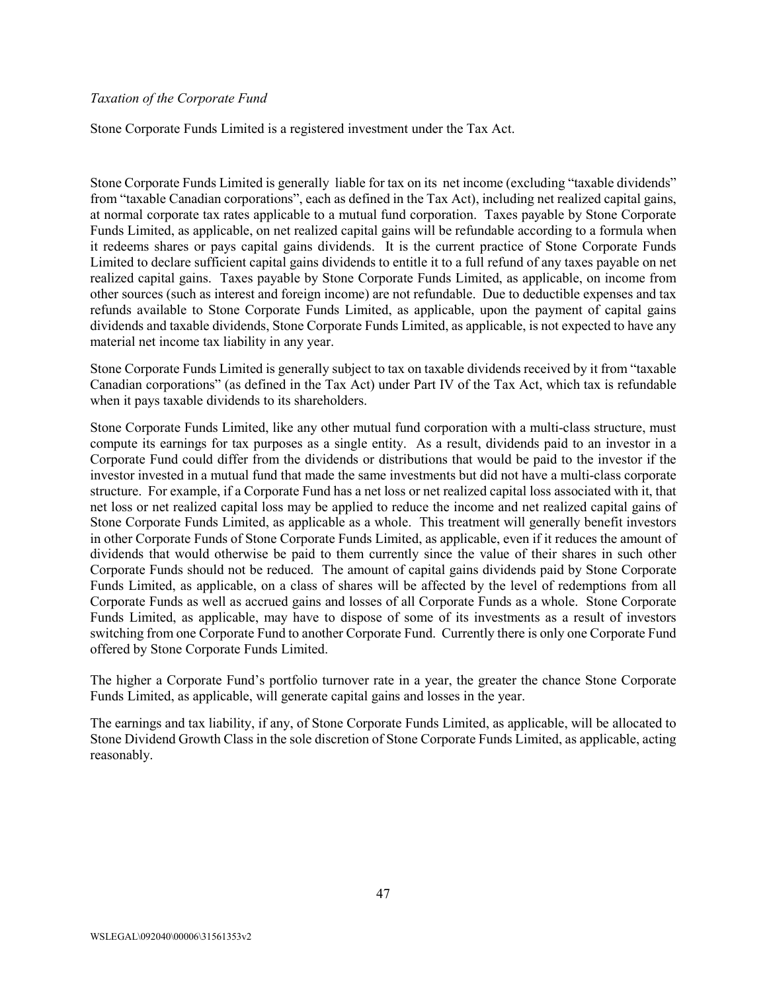#### *Taxation of the Corporate Fund*

Stone Corporate Funds Limited is a registered investment under the Tax Act.

Stone Corporate Funds Limited is generally liable for tax on its net income (excluding "taxable dividends" from "taxable Canadian corporations", each as defined in the Tax Act), including net realized capital gains, at normal corporate tax rates applicable to a mutual fund corporation. Taxes payable by Stone Corporate Funds Limited, as applicable, on net realized capital gains will be refundable according to a formula when it redeems shares or pays capital gains dividends. It is the current practice of Stone Corporate Funds Limited to declare sufficient capital gains dividends to entitle it to a full refund of any taxes payable on net realized capital gains. Taxes payable by Stone Corporate Funds Limited, as applicable, on income from other sources (such as interest and foreign income) are not refundable. Due to deductible expenses and tax refunds available to Stone Corporate Funds Limited, as applicable, upon the payment of capital gains dividends and taxable dividends, Stone Corporate Funds Limited, as applicable, is not expected to have any material net income tax liability in any year.

Stone Corporate Funds Limited is generally subject to tax on taxable dividends received by it from "taxable Canadian corporations" (as defined in the Tax Act) under Part IV of the Tax Act, which tax is refundable when it pays taxable dividends to its shareholders.

Stone Corporate Funds Limited, like any other mutual fund corporation with a multi-class structure, must compute its earnings for tax purposes as a single entity. As a result, dividends paid to an investor in a Corporate Fund could differ from the dividends or distributions that would be paid to the investor if the investor invested in a mutual fund that made the same investments but did not have a multi-class corporate structure. For example, if a Corporate Fund has a net loss or net realized capital loss associated with it, that net loss or net realized capital loss may be applied to reduce the income and net realized capital gains of Stone Corporate Funds Limited, as applicable as a whole. This treatment will generally benefit investors in other Corporate Funds of Stone Corporate Funds Limited, as applicable, even if it reduces the amount of dividends that would otherwise be paid to them currently since the value of their shares in such other Corporate Funds should not be reduced. The amount of capital gains dividends paid by Stone Corporate Funds Limited, as applicable, on a class of shares will be affected by the level of redemptions from all Corporate Funds as well as accrued gains and losses of all Corporate Funds as a whole. Stone Corporate Funds Limited, as applicable, may have to dispose of some of its investments as a result of investors switching from one Corporate Fund to another Corporate Fund. Currently there is only one Corporate Fund offered by Stone Corporate Funds Limited.

The higher a Corporate Fund's portfolio turnover rate in a year, the greater the chance Stone Corporate Funds Limited, as applicable, will generate capital gains and losses in the year.

The earnings and tax liability, if any, of Stone Corporate Funds Limited, as applicable, will be allocated to Stone Dividend Growth Class in the sole discretion of Stone Corporate Funds Limited, as applicable, acting reasonably.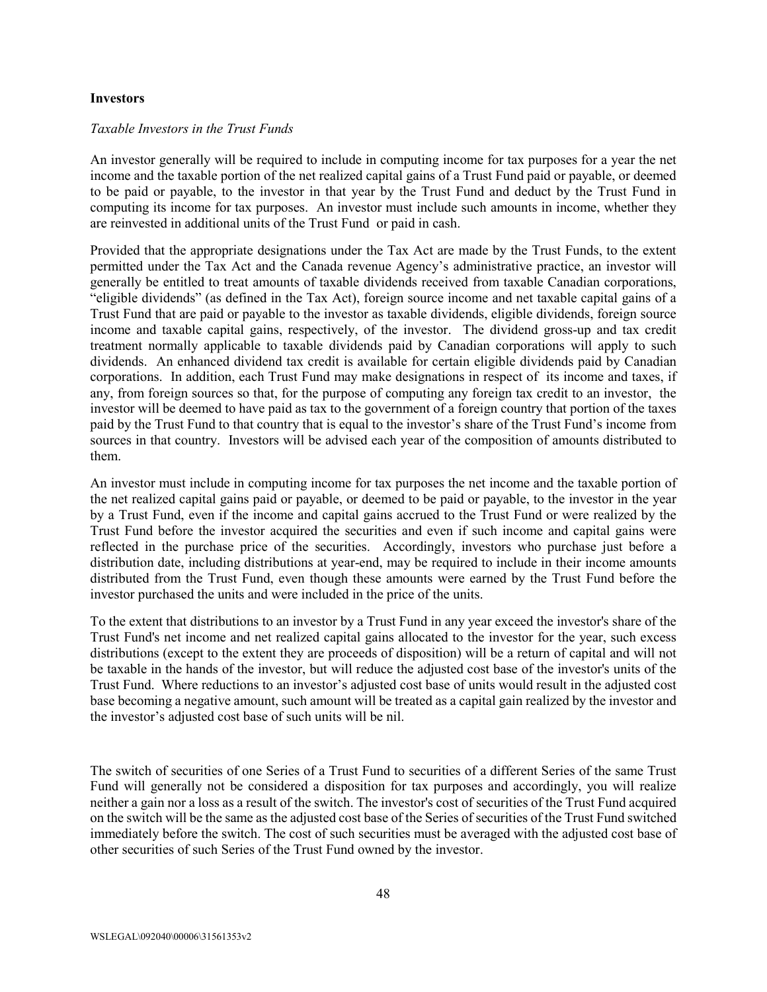#### **Investors**

#### *Taxable Investors in the Trust Funds*

An investor generally will be required to include in computing income for tax purposes for a year the net income and the taxable portion of the net realized capital gains of a Trust Fund paid or payable, or deemed to be paid or payable, to the investor in that year by the Trust Fund and deduct by the Trust Fund in computing its income for tax purposes. An investor must include such amounts in income, whether they are reinvested in additional units of the Trust Fund or paid in cash.

Provided that the appropriate designations under the Tax Act are made by the Trust Funds, to the extent permitted under the Tax Act and the Canada revenue Agency's administrative practice, an investor will generally be entitled to treat amounts of taxable dividends received from taxable Canadian corporations, "eligible dividends" (as defined in the Tax Act), foreign source income and net taxable capital gains of a Trust Fund that are paid or payable to the investor as taxable dividends, eligible dividends, foreign source income and taxable capital gains, respectively, of the investor. The dividend gross-up and tax credit treatment normally applicable to taxable dividends paid by Canadian corporations will apply to such dividends. An enhanced dividend tax credit is available for certain eligible dividends paid by Canadian corporations. In addition, each Trust Fund may make designations in respect of its income and taxes, if any, from foreign sources so that, for the purpose of computing any foreign tax credit to an investor, the investor will be deemed to have paid as tax to the government of a foreign country that portion of the taxes paid by the Trust Fund to that country that is equal to the investor's share of the Trust Fund's income from sources in that country. Investors will be advised each year of the composition of amounts distributed to them.

An investor must include in computing income for tax purposes the net income and the taxable portion of the net realized capital gains paid or payable, or deemed to be paid or payable, to the investor in the year by a Trust Fund, even if the income and capital gains accrued to the Trust Fund or were realized by the Trust Fund before the investor acquired the securities and even if such income and capital gains were reflected in the purchase price of the securities. Accordingly, investors who purchase just before a distribution date, including distributions at year-end, may be required to include in their income amounts distributed from the Trust Fund, even though these amounts were earned by the Trust Fund before the investor purchased the units and were included in the price of the units.

To the extent that distributions to an investor by a Trust Fund in any year exceed the investor's share of the Trust Fund's net income and net realized capital gains allocated to the investor for the year, such excess distributions (except to the extent they are proceeds of disposition) will be a return of capital and will not be taxable in the hands of the investor, but will reduce the adjusted cost base of the investor's units of the Trust Fund. Where reductions to an investor's adjusted cost base of units would result in the adjusted cost base becoming a negative amount, such amount will be treated as a capital gain realized by the investor and the investor's adjusted cost base of such units will be nil.

The switch of securities of one Series of a Trust Fund to securities of a different Series of the same Trust Fund will generally not be considered a disposition for tax purposes and accordingly, you will realize neither a gain nor a loss as a result of the switch. The investor's cost of securities of the Trust Fund acquired on the switch will be the same as the adjusted cost base of the Series of securities of the Trust Fund switched immediately before the switch. The cost of such securities must be averaged with the adjusted cost base of other securities of such Series of the Trust Fund owned by the investor.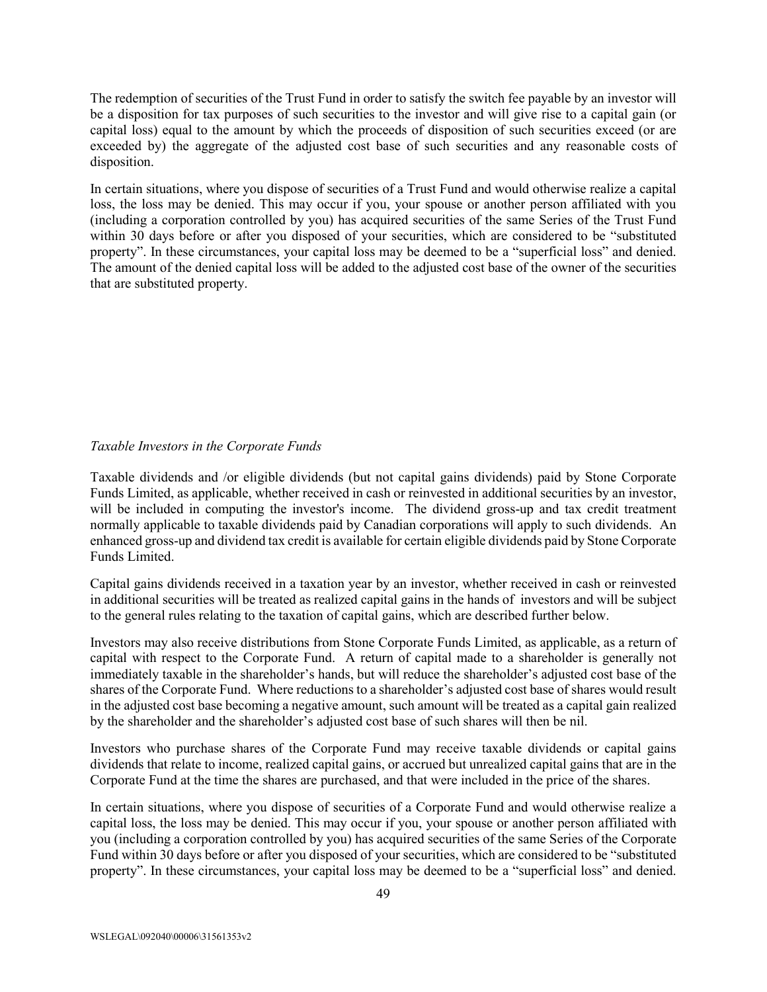The redemption of securities of the Trust Fund in order to satisfy the switch fee payable by an investor will be a disposition for tax purposes of such securities to the investor and will give rise to a capital gain (or capital loss) equal to the amount by which the proceeds of disposition of such securities exceed (or are exceeded by) the aggregate of the adjusted cost base of such securities and any reasonable costs of disposition.

In certain situations, where you dispose of securities of a Trust Fund and would otherwise realize a capital loss, the loss may be denied. This may occur if you, your spouse or another person affiliated with you (including a corporation controlled by you) has acquired securities of the same Series of the Trust Fund within 30 days before or after you disposed of your securities, which are considered to be "substituted property". In these circumstances, your capital loss may be deemed to be a "superficial loss" and denied. The amount of the denied capital loss will be added to the adjusted cost base of the owner of the securities that are substituted property.

## *Taxable Investors in the Corporate Funds*

Taxable dividends and /or eligible dividends (but not capital gains dividends) paid by Stone Corporate Funds Limited, as applicable, whether received in cash or reinvested in additional securities by an investor, will be included in computing the investor's income. The dividend gross-up and tax credit treatment normally applicable to taxable dividends paid by Canadian corporations will apply to such dividends. An enhanced gross-up and dividend tax credit is available for certain eligible dividends paid by Stone Corporate Funds Limited.

Capital gains dividends received in a taxation year by an investor, whether received in cash or reinvested in additional securities will be treated as realized capital gains in the hands of investors and will be subject to the general rules relating to the taxation of capital gains, which are described further below.

Investors may also receive distributions from Stone Corporate Funds Limited, as applicable, as a return of capital with respect to the Corporate Fund. A return of capital made to a shareholder is generally not immediately taxable in the shareholder's hands, but will reduce the shareholder's adjusted cost base of the shares of the Corporate Fund. Where reductions to a shareholder's adjusted cost base of shares would result in the adjusted cost base becoming a negative amount, such amount will be treated as a capital gain realized by the shareholder and the shareholder's adjusted cost base of such shares will then be nil.

Investors who purchase shares of the Corporate Fund may receive taxable dividends or capital gains dividends that relate to income, realized capital gains, or accrued but unrealized capital gains that are in the Corporate Fund at the time the shares are purchased, and that were included in the price of the shares.

In certain situations, where you dispose of securities of a Corporate Fund and would otherwise realize a capital loss, the loss may be denied. This may occur if you, your spouse or another person affiliated with you (including a corporation controlled by you) has acquired securities of the same Series of the Corporate Fund within 30 days before or after you disposed of your securities, which are considered to be "substituted property". In these circumstances, your capital loss may be deemed to be a "superficial loss" and denied.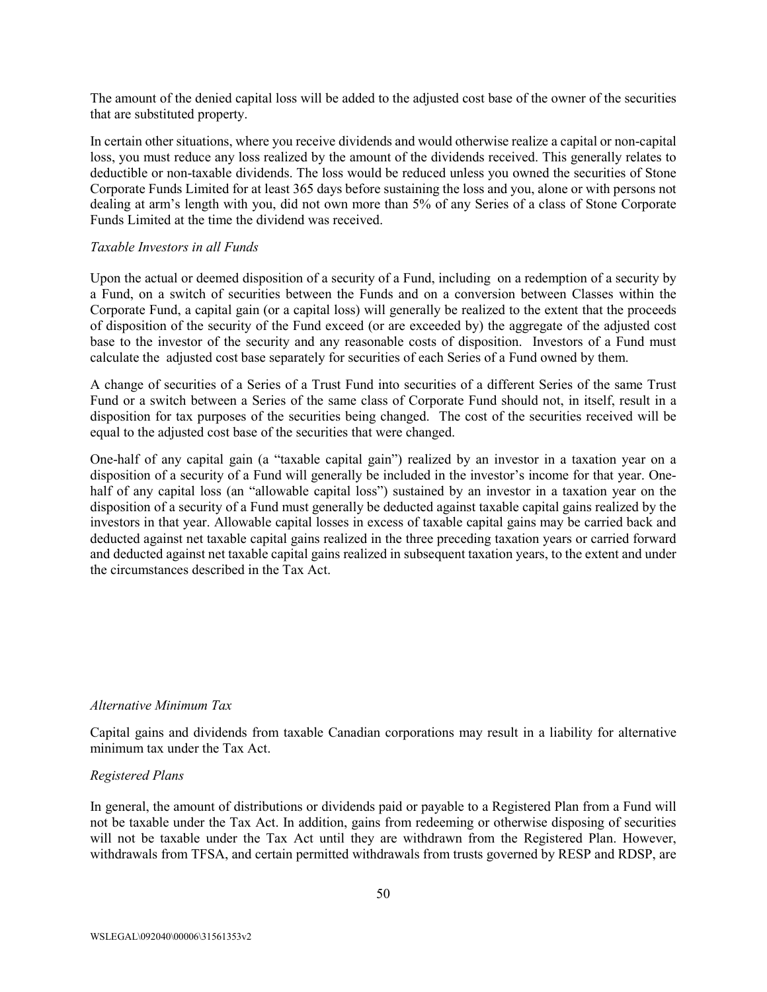The amount of the denied capital loss will be added to the adjusted cost base of the owner of the securities that are substituted property.

In certain other situations, where you receive dividends and would otherwise realize a capital or non-capital loss, you must reduce any loss realized by the amount of the dividends received. This generally relates to deductible or non-taxable dividends. The loss would be reduced unless you owned the securities of Stone Corporate Funds Limited for at least 365 days before sustaining the loss and you, alone or with persons not dealing at arm's length with you, did not own more than 5% of any Series of a class of Stone Corporate Funds Limited at the time the dividend was received.

#### *Taxable Investors in all Funds*

Upon the actual or deemed disposition of a security of a Fund, including on a redemption of a security by a Fund, on a switch of securities between the Funds and on a conversion between Classes within the Corporate Fund, a capital gain (or a capital loss) will generally be realized to the extent that the proceeds of disposition of the security of the Fund exceed (or are exceeded by) the aggregate of the adjusted cost base to the investor of the security and any reasonable costs of disposition. Investors of a Fund must calculate the adjusted cost base separately for securities of each Series of a Fund owned by them.

A change of securities of a Series of a Trust Fund into securities of a different Series of the same Trust Fund or a switch between a Series of the same class of Corporate Fund should not, in itself, result in a disposition for tax purposes of the securities being changed. The cost of the securities received will be equal to the adjusted cost base of the securities that were changed.

One-half of any capital gain (a "taxable capital gain") realized by an investor in a taxation year on a disposition of a security of a Fund will generally be included in the investor's income for that year. Onehalf of any capital loss (an "allowable capital loss") sustained by an investor in a taxation year on the disposition of a security of a Fund must generally be deducted against taxable capital gains realized by the investors in that year. Allowable capital losses in excess of taxable capital gains may be carried back and deducted against net taxable capital gains realized in the three preceding taxation years or carried forward and deducted against net taxable capital gains realized in subsequent taxation years, to the extent and under the circumstances described in the Tax Act.

## *Alternative Minimum Tax*

Capital gains and dividends from taxable Canadian corporations may result in a liability for alternative minimum tax under the Tax Act.

#### *Registered Plans*

In general, the amount of distributions or dividends paid or payable to a Registered Plan from a Fund will not be taxable under the Tax Act. In addition, gains from redeeming or otherwise disposing of securities will not be taxable under the Tax Act until they are withdrawn from the Registered Plan. However, withdrawals from TFSA, and certain permitted withdrawals from trusts governed by RESP and RDSP, are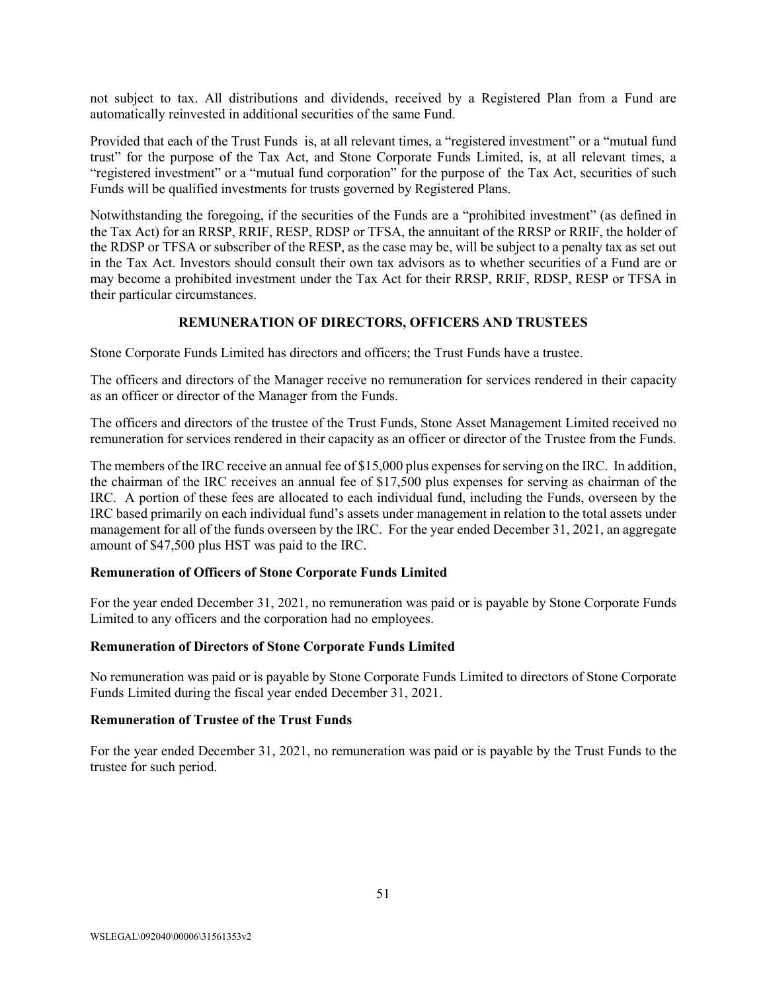not subject to tax. All distributions and dividends, received by a Registered Plan from a Fund are automatically reinvested in additional securities of the same Fund.

Provided that each of the Trust Funds is, at all relevant times, a "registered investment" or a "mutual fund trust" for the purpose of the Tax Act, and Stone Corporate Funds Limited, is, at all relevant times, a "registered investment" or a "mutual fund corporation" for the purpose of the Tax Act, securities of such Funds will be qualified investments for trusts governed by Registered Plans.

Notwithstanding the foregoing, if the securities of the Funds are a "prohibited investment" (as defined in the Tax Act) for an RRSP, RRIF, RESP, RDSP or TFSA, the annuitant of the RRSP or RRIF, the holder of the RDSP or TFSA or subscriber of the RESP, as the case may be, will be subject to a penalty tax as set out in the Tax Act. Investors should consult their own tax advisors as to whether securities of a Fund are or may become a prohibited investment under the Tax Act for their RRSP, RRIF, RDSP, RESP or TFSA in their particular circumstances.

## **REMUNERATION OF DIRECTORS, OFFICERS AND TRUSTEES**

<span id="page-51-0"></span>Stone Corporate Funds Limited has directors and officers; the Trust Funds have a trustee.

The officers and directors of the Manager receive no remuneration for services rendered in their capacity as an officer or director of the Manager from the Funds.

The officers and directors of the trustee of the Trust Funds, Stone Asset Management Limited received no remuneration for services rendered in their capacity as an officer or director of the Trustee from the Funds.

The members of the IRC receive an annual fee of \$15,000 plus expenses for serving on the IRC. In addition, the chairman of the IRC receives an annual fee of \$17,500 plus expenses for serving as chairman of the IRC. A portion of these fees are allocated to each individual fund, including the Funds, overseen by the IRC based primarily on each individual fund's assets under management in relation to the total assets under management for all of the funds overseen by the IRC. For the year ended December 31, 2021, an aggregate amount of \$47,500 plus HST was paid to the IRC.

## **Remuneration of Officers of Stone Corporate Funds Limited**

For the year ended December 31, 2021, no remuneration was paid or is payable by Stone Corporate Funds Limited to any officers and the corporation had no employees.

## **Remuneration of Directors of Stone Corporate Funds Limited**

No remuneration was paid or is payable by Stone Corporate Funds Limited to directors of Stone Corporate Funds Limited during the fiscal year ended December 31, 2021.

## **Remuneration of Trustee of the Trust Funds**

For the year ended December 31, 2021, no remuneration was paid or is payable by the Trust Funds to the trustee for such period.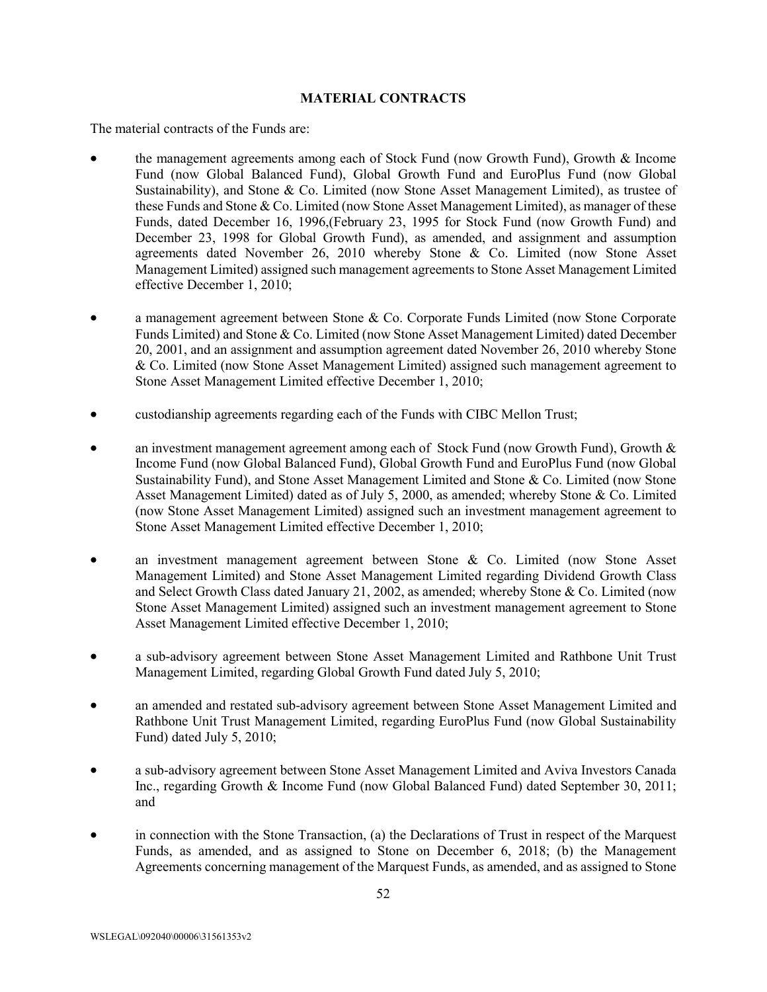## **MATERIAL CONTRACTS**

<span id="page-52-0"></span>The material contracts of the Funds are:

- the management agreements among each of Stock Fund (now Growth Fund), Growth & Income Fund (now Global Balanced Fund), Global Growth Fund and EuroPlus Fund (now Global Sustainability), and Stone & Co. Limited (now Stone Asset Management Limited), as trustee of these Funds and Stone & Co. Limited (now Stone Asset Management Limited), as manager of these Funds, dated December 16, 1996,(February 23, 1995 for Stock Fund (now Growth Fund) and December 23, 1998 for Global Growth Fund), as amended, and assignment and assumption agreements dated November 26, 2010 whereby Stone & Co. Limited (now Stone Asset Management Limited) assigned such management agreements to Stone Asset Management Limited effective December 1, 2010;
- a management agreement between Stone & Co. Corporate Funds Limited (now Stone Corporate Funds Limited) and Stone & Co. Limited (now Stone Asset Management Limited) dated December 20, 2001, and an assignment and assumption agreement dated November 26, 2010 whereby Stone & Co. Limited (now Stone Asset Management Limited) assigned such management agreement to Stone Asset Management Limited effective December 1, 2010;
- custodianship agreements regarding each of the Funds with CIBC Mellon Trust;
- an investment management agreement among each of Stock Fund (now Growth Fund), Growth  $\&$ Income Fund (now Global Balanced Fund), Global Growth Fund and EuroPlus Fund (now Global Sustainability Fund), and Stone Asset Management Limited and Stone & Co. Limited (now Stone Asset Management Limited) dated as of July 5, 2000, as amended; whereby Stone & Co. Limited (now Stone Asset Management Limited) assigned such an investment management agreement to Stone Asset Management Limited effective December 1, 2010;
- an investment management agreement between Stone  $\&$  Co. Limited (now Stone Asset Management Limited) and Stone Asset Management Limited regarding Dividend Growth Class and Select Growth Class dated January 21, 2002, as amended; whereby Stone & Co. Limited (now Stone Asset Management Limited) assigned such an investment management agreement to Stone Asset Management Limited effective December 1, 2010;
- a sub-advisory agreement between Stone Asset Management Limited and Rathbone Unit Trust Management Limited, regarding Global Growth Fund dated July 5, 2010;
- an amended and restated sub-advisory agreement between Stone Asset Management Limited and Rathbone Unit Trust Management Limited, regarding EuroPlus Fund (now Global Sustainability Fund) dated July 5, 2010;
- a sub-advisory agreement between Stone Asset Management Limited and Aviva Investors Canada Inc., regarding Growth & Income Fund (now Global Balanced Fund) dated September 30, 2011; and
- in connection with the Stone Transaction, (a) the Declarations of Trust in respect of the Marquest Funds, as amended, and as assigned to Stone on December 6, 2018; (b) the Management Agreements concerning management of the Marquest Funds, as amended, and as assigned to Stone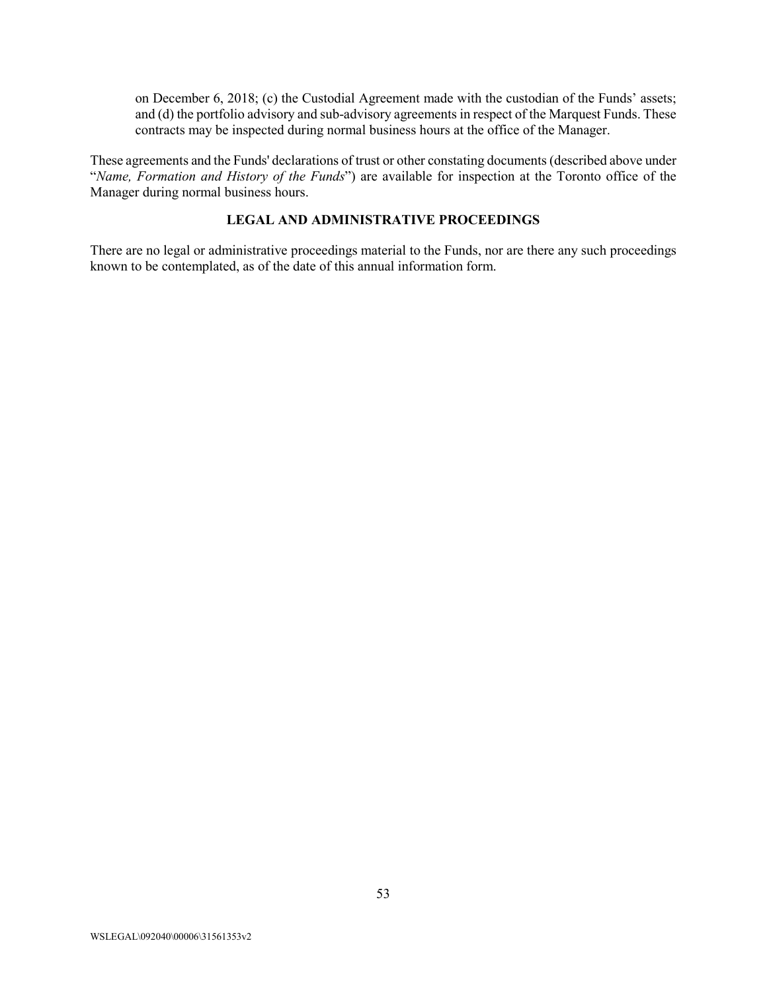on December 6, 2018; (c) the Custodial Agreement made with the custodian of the Funds' assets; and (d) the portfolio advisory and sub-advisory agreements in respect of the Marquest Funds. These contracts may be inspected during normal business hours at the office of the Manager.

These agreements and the Funds' declarations of trust or other constating documents (described above under "*Name, Formation and History of the Funds*") are available for inspection at the Toronto office of the Manager during normal business hours.

## **LEGAL AND ADMINISTRATIVE PROCEEDINGS**

<span id="page-53-0"></span>There are no legal or administrative proceedings material to the Funds, nor are there any such proceedings known to be contemplated, as of the date of this annual information form.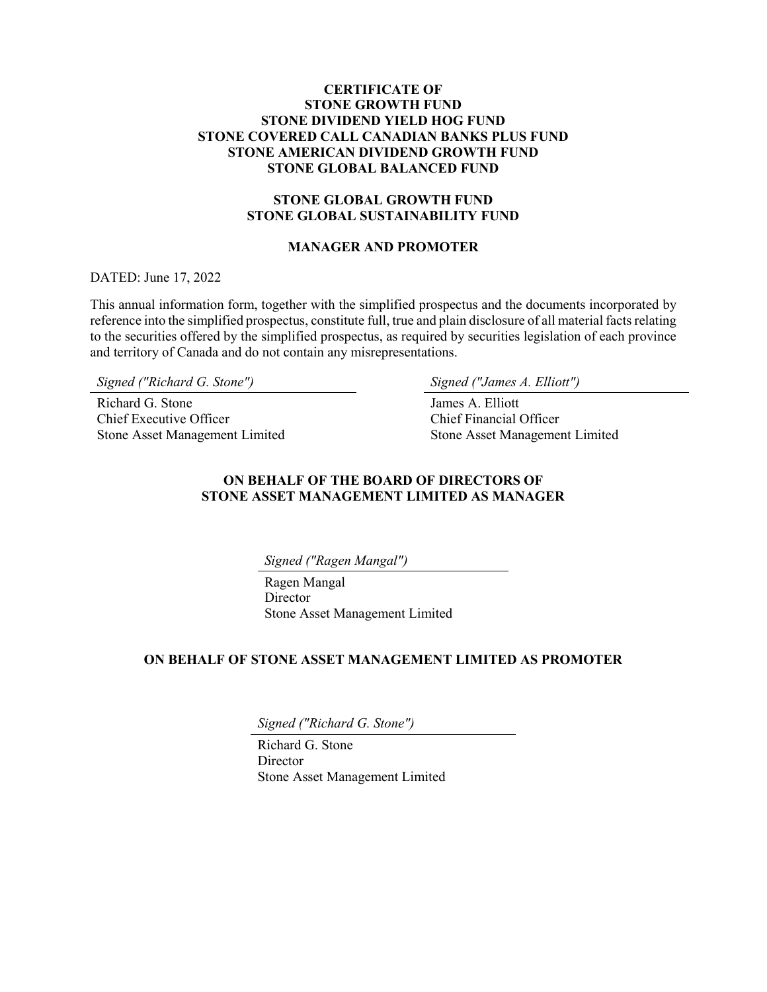## <span id="page-54-0"></span>**CERTIFICATE OF STONE GROWTH FUND STONE DIVIDEND YIELD HOG FUND STONE COVERED CALL CANADIAN BANKS PLUS FUND STONE AMERICAN DIVIDEND GROWTH FUND STONE GLOBAL BALANCED FUND**

# **STONE GLOBAL GROWTH FUND STONE GLOBAL SUSTAINABILITY FUND**

## **MANAGER AND PROMOTER**

DATED: June 17, 2022

This annual information form, together with the simplified prospectus and the documents incorporated by reference into the simplified prospectus, constitute full, true and plain disclosure of all material facts relating to the securities offered by the simplified prospectus, as required by securities legislation of each province and territory of Canada and do not contain any misrepresentations.

*Signed ("Richard G. Stone") Signed ("James A. Elliott")*

Richard G. Stone Chief Executive Officer Stone Asset Management Limited

James A. Elliott Chief Financial Officer Stone Asset Management Limited

## **ON BEHALF OF THE BOARD OF DIRECTORS OF STONE ASSET MANAGEMENT LIMITED AS MANAGER**

*Signed ("Ragen Mangal")*

Ragen Mangal Director Stone Asset Management Limited

## **ON BEHALF OF STONE ASSET MANAGEMENT LIMITED AS PROMOTER**

*Signed ("Richard G. Stone")*

Richard G. Stone **Director** Stone Asset Management Limited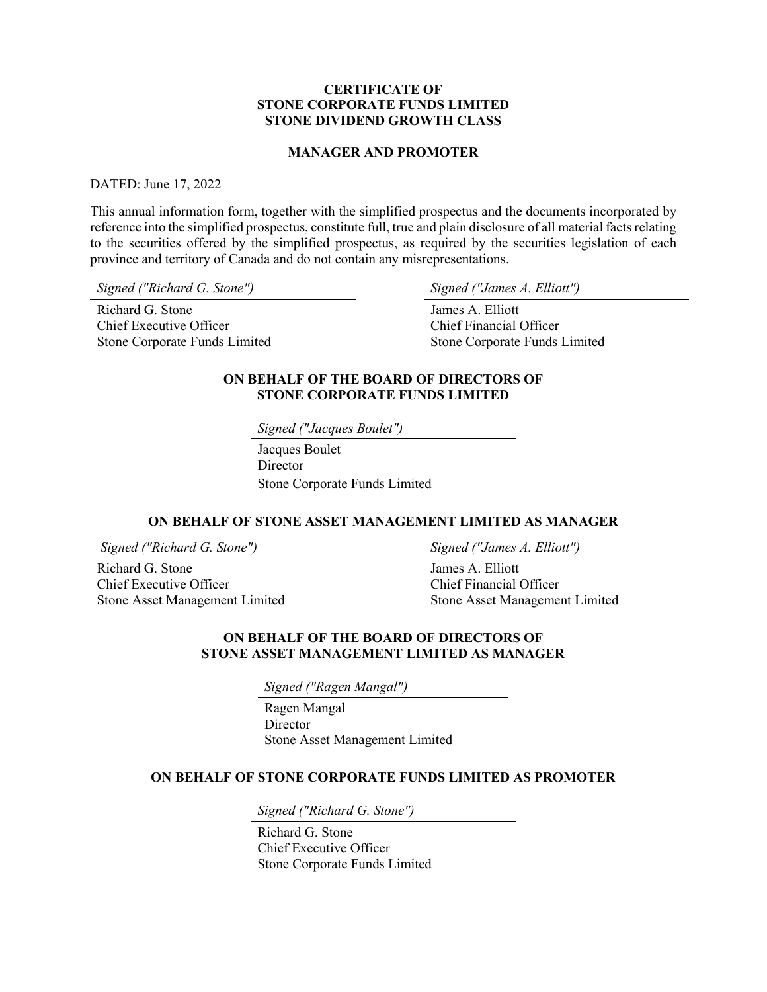#### **CERTIFICATE OF STONE CORPORATE FUNDS LIMITED STONE DIVIDEND GROWTH CLASS**

#### **MANAGER AND PROMOTER**

#### <span id="page-55-0"></span>DATED: June 17, 2022

This annual information form, together with the simplified prospectus and the documents incorporated by reference into the simplified prospectus, constitute full, true and plain disclosure of all material facts relating to the securities offered by the simplified prospectus, as required by the securities legislation of each province and territory of Canada and do not contain any misrepresentations.

*Signed ("Richard G. Stone") Signed ("James A. Elliott")*

Richard G. Stone Chief Executive Officer Stone Corporate Funds Limited

James A. Elliott Chief Financial Officer Stone Corporate Funds Limited

### **ON BEHALF OF THE BOARD OF DIRECTORS OF STONE CORPORATE FUNDS LIMITED**

*Signed ("Jacques Boulet")*

Jacques Boulet **Director** Stone Corporate Funds Limited

#### **ON BEHALF OF STONE ASSET MANAGEMENT LIMITED AS MANAGER**

*Signed ("Richard G. Stone") Signed ("James A. Elliott")*

Richard G. Stone Chief Executive Officer Stone Asset Management Limited

James A. Elliott Chief Financial Officer Stone Asset Management Limited

#### **ON BEHALF OF THE BOARD OF DIRECTORS OF STONE ASSET MANAGEMENT LIMITED AS MANAGER**

*Signed ("Ragen Mangal")*

Ragen Mangal **Director** Stone Asset Management Limited

#### **ON BEHALF OF STONE CORPORATE FUNDS LIMITED AS PROMOTER**

*Signed ("Richard G. Stone")*

Richard G. Stone Chief Executive Officer Stone Corporate Funds Limited